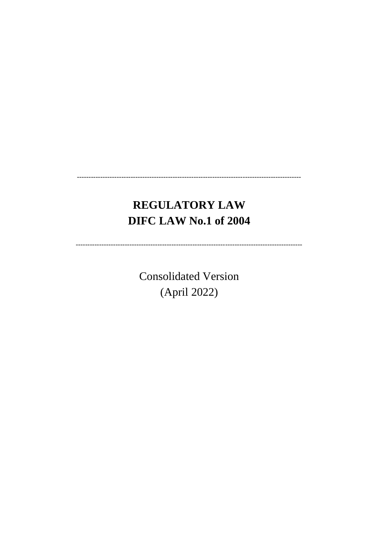# **REGULATORY LAW DIFC LAW No.1 of 2004**

**Consolidated Version** (April 2022)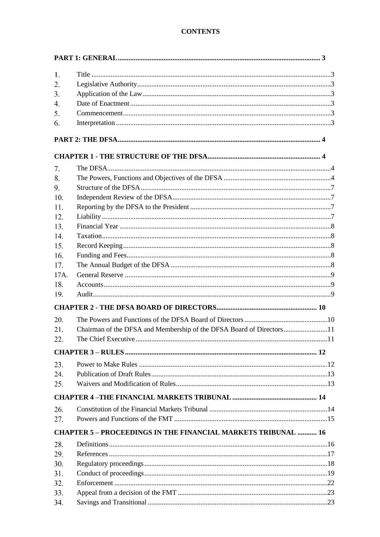# **CONTENTS**

| 1.               |                                                                      |  |
|------------------|----------------------------------------------------------------------|--|
| 2.               |                                                                      |  |
| 3.               |                                                                      |  |
| $\overline{4}$ . |                                                                      |  |
| 5.               |                                                                      |  |
| 6.               |                                                                      |  |
|                  |                                                                      |  |
|                  |                                                                      |  |
| 7.               |                                                                      |  |
| 8.               |                                                                      |  |
| 9.               |                                                                      |  |
| 10.              |                                                                      |  |
| 11.              |                                                                      |  |
| 12.              |                                                                      |  |
| 13.              |                                                                      |  |
| 14.              |                                                                      |  |
| 15.              |                                                                      |  |
| 16.              |                                                                      |  |
| 17.              |                                                                      |  |
| 17A.             |                                                                      |  |
| 18.              |                                                                      |  |
| 19.              |                                                                      |  |
|                  |                                                                      |  |
| 20.              |                                                                      |  |
| 21.              | Chairman of the DFSA and Membership of the DFSA Board of Directors11 |  |
| 22.              |                                                                      |  |
|                  |                                                                      |  |
| 23.              |                                                                      |  |
| 24.              |                                                                      |  |
| 25.              |                                                                      |  |
|                  |                                                                      |  |
| 26.              |                                                                      |  |
| 27.              |                                                                      |  |
|                  | <b>CHAPTER 5 - PROCEEDINGS IN THE FINANCIAL MARKETS TRIBUNAL  16</b> |  |
| 28.              |                                                                      |  |
| 29.              |                                                                      |  |
| 30.              |                                                                      |  |
| 31.              |                                                                      |  |
| 32.              |                                                                      |  |
| 33.              |                                                                      |  |
| 34.              |                                                                      |  |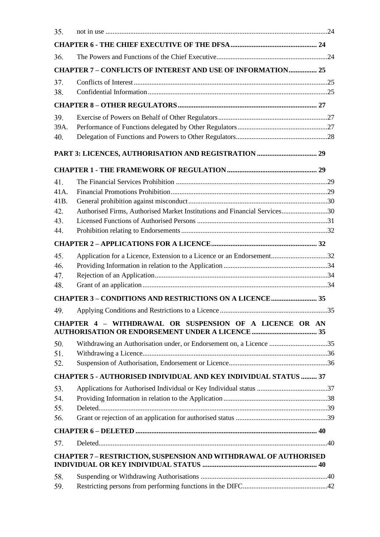| 35.                                                                     |                                                                           |  |
|-------------------------------------------------------------------------|---------------------------------------------------------------------------|--|
|                                                                         |                                                                           |  |
| 36.                                                                     |                                                                           |  |
|                                                                         | <b>CHAPTER 7 - CONFLICTS OF INTEREST AND USE OF INFORMATION 25</b>        |  |
| 37.                                                                     |                                                                           |  |
| 38.                                                                     |                                                                           |  |
|                                                                         |                                                                           |  |
| 39.                                                                     |                                                                           |  |
| 39A.                                                                    |                                                                           |  |
| 40.                                                                     |                                                                           |  |
|                                                                         |                                                                           |  |
|                                                                         |                                                                           |  |
| 41.                                                                     |                                                                           |  |
| $41A$ .                                                                 |                                                                           |  |
| 41B.                                                                    |                                                                           |  |
| 42.                                                                     | Authorised Firms, Authorised Market Institutions and Financial Services30 |  |
| 43.<br>44.                                                              |                                                                           |  |
|                                                                         |                                                                           |  |
|                                                                         |                                                                           |  |
| 45.<br>46.                                                              | Application for a Licence, Extension to a Licence or an Endorsement32     |  |
| 47.                                                                     |                                                                           |  |
| 48.                                                                     |                                                                           |  |
|                                                                         |                                                                           |  |
| 49.                                                                     |                                                                           |  |
|                                                                         | CHAPTER 4 - WITHDRAWAL OR SUSPENSION OF A LICENCE OR AN                   |  |
| 50.                                                                     |                                                                           |  |
| 51.                                                                     |                                                                           |  |
| 52.                                                                     |                                                                           |  |
|                                                                         | <b>CHAPTER 5 - AUTHORISED INDIVIDUAL AND KEY INDIVIDUAL STATUS  37</b>    |  |
| 53.                                                                     |                                                                           |  |
| 54.                                                                     |                                                                           |  |
| 55.                                                                     |                                                                           |  |
| 56.                                                                     |                                                                           |  |
|                                                                         |                                                                           |  |
| 57.                                                                     |                                                                           |  |
| <b>CHAPTER 7 - RESTRICTION, SUSPENSION AND WITHDRAWAL OF AUTHORISED</b> |                                                                           |  |
| 58.                                                                     |                                                                           |  |
| 59.                                                                     |                                                                           |  |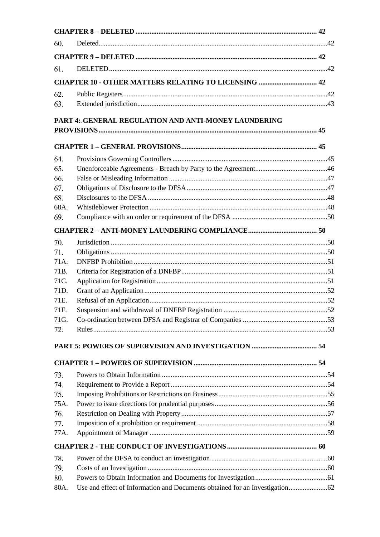| 60.  |                                                             |  |
|------|-------------------------------------------------------------|--|
|      |                                                             |  |
| 61.  |                                                             |  |
|      | <b>CHAPTER 10 - OTHER MATTERS RELATING TO LICENSING  42</b> |  |
| 62.  |                                                             |  |
| 63.  |                                                             |  |
|      | PART 4: GENERAL REGULATION AND ANTI-MONEY LAUNDERING        |  |
|      |                                                             |  |
|      |                                                             |  |
| 64.  |                                                             |  |
| 65.  |                                                             |  |
| 66.  |                                                             |  |
| 67.  |                                                             |  |
| 68.  |                                                             |  |
| 68A. |                                                             |  |
| 69.  |                                                             |  |
|      |                                                             |  |
| 70.  |                                                             |  |
| 71.  |                                                             |  |
| 71A. |                                                             |  |
| 71B. |                                                             |  |
| 71C. |                                                             |  |
| 71D. |                                                             |  |
| 71E. |                                                             |  |
| 71F. |                                                             |  |
| 71G. |                                                             |  |
| 72.  |                                                             |  |
|      |                                                             |  |
|      |                                                             |  |
|      |                                                             |  |
| 73.  |                                                             |  |
| 74.  |                                                             |  |
| 75.  |                                                             |  |
| 75A. |                                                             |  |
| 76.  |                                                             |  |
| 77.  |                                                             |  |
| 77A. |                                                             |  |
|      |                                                             |  |
| 78.  |                                                             |  |
| 79.  |                                                             |  |
| 80.  |                                                             |  |
| 80A. |                                                             |  |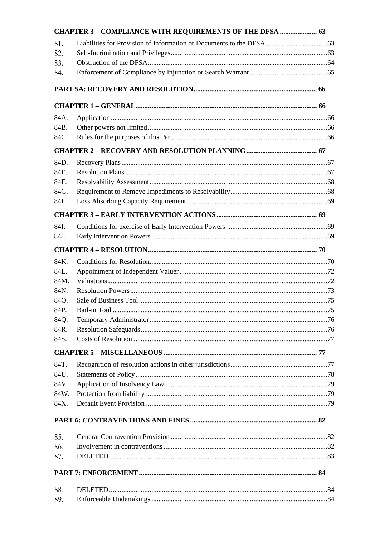|              | CHAPTER 3 - COMPLIANCE WITH REQUIREMENTS OF THE DFSA  63 |  |
|--------------|----------------------------------------------------------|--|
| 81.          |                                                          |  |
| 82.          |                                                          |  |
| 83.          |                                                          |  |
| 84.          |                                                          |  |
|              |                                                          |  |
|              |                                                          |  |
| 84A.         |                                                          |  |
| 84B.         |                                                          |  |
| 84C.         |                                                          |  |
|              |                                                          |  |
| 84D.         |                                                          |  |
| 84E.         |                                                          |  |
| 84F.         |                                                          |  |
| 84G.         |                                                          |  |
| 84H.         |                                                          |  |
|              |                                                          |  |
| 84I.         |                                                          |  |
| 84J.         |                                                          |  |
|              |                                                          |  |
| 84K.         |                                                          |  |
| 84L.         |                                                          |  |
| 84M.         |                                                          |  |
| 84N.         |                                                          |  |
| 84O.         |                                                          |  |
| 84P.         |                                                          |  |
| 84Q.         |                                                          |  |
| 84R.<br>84S. |                                                          |  |
|              |                                                          |  |
|              |                                                          |  |
| 84T.         |                                                          |  |
| 84U.         |                                                          |  |
| 84V.<br>84W. |                                                          |  |
| 84X.         |                                                          |  |
|              |                                                          |  |
|              |                                                          |  |
| 85.          |                                                          |  |
| 86.          |                                                          |  |
| 87.          |                                                          |  |
|              |                                                          |  |
| 88.          |                                                          |  |
| 89.          |                                                          |  |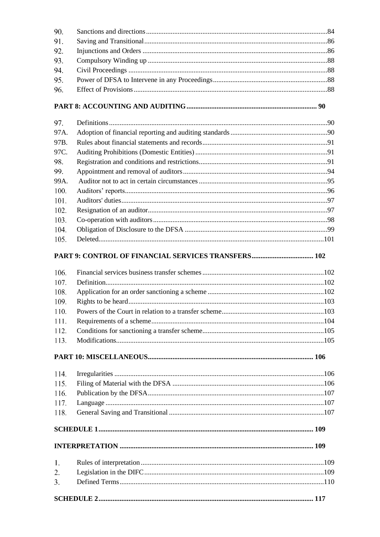| 90.  |  |
|------|--|
| 91.  |  |
| 92.  |  |
| 93.  |  |
| 94.  |  |
| 95.  |  |
| 96.  |  |
|      |  |
| 97.  |  |
| 97A. |  |
| 97B. |  |
| 97C. |  |
| 98.  |  |
| 99.  |  |
| 99A. |  |
| 100. |  |
| 101. |  |
| 102. |  |
| 103. |  |
| 104. |  |
| 105. |  |
|      |  |
| 106. |  |
| 107. |  |
| 108. |  |
| 109. |  |
| 110. |  |
| 111. |  |
| 112. |  |
| 113. |  |
|      |  |
| 114. |  |
| 115. |  |
| 116. |  |
| 117. |  |
| 118. |  |
|      |  |
|      |  |
| 1.   |  |
| 2.   |  |
| 3.   |  |
|      |  |
|      |  |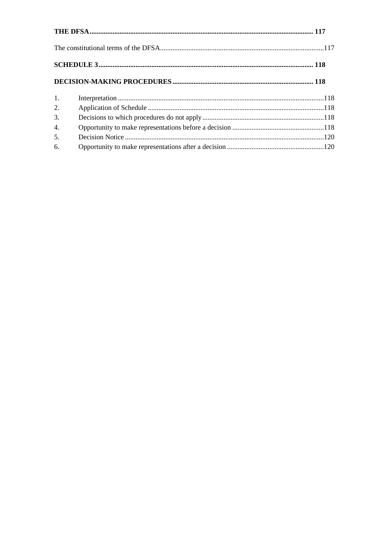| 1. |  |
|----|--|
| 2. |  |
| 3. |  |
| 4. |  |
| 5. |  |
| 6. |  |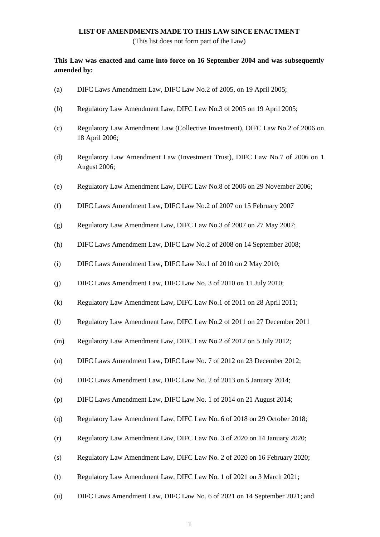### **LIST OF AMENDMENTS MADE TO THIS LAW SINCE ENACTMENT**

(This list does not form part of the Law)

# **This Law was enacted and came into force on 16 September 2004 and was subsequently amended by:**

- (a) DIFC Laws Amendment Law, DIFC Law No.2 of 2005, on 19 April 2005;
- (b) Regulatory Law Amendment Law, DIFC Law No.3 of 2005 on 19 April 2005;
- (c) Regulatory Law Amendment Law (Collective Investment), DIFC Law No.2 of 2006 on 18 April 2006;
- (d) Regulatory Law Amendment Law (Investment Trust), DIFC Law No.7 of 2006 on 1 August 2006;
- (e) Regulatory Law Amendment Law, DIFC Law No.8 of 2006 on 29 November 2006;
- (f) DIFC Laws Amendment Law, DIFC Law No.2 of 2007 on 15 February 2007
- (g) Regulatory Law Amendment Law, DIFC Law No.3 of 2007 on 27 May 2007;
- (h) DIFC Laws Amendment Law, DIFC Law No.2 of 2008 on 14 September 2008;
- (i) DIFC Laws Amendment Law, DIFC Law No.1 of 2010 on 2 May 2010;
- (j) DIFC Laws Amendment Law, DIFC Law No. 3 of 2010 on 11 July 2010;
- (k) Regulatory Law Amendment Law, DIFC Law No.1 of 2011 on 28 April 2011;
- (l) Regulatory Law Amendment Law, DIFC Law No.2 of 2011 on 27 December 2011
- (m) Regulatory Law Amendment Law, DIFC Law No.2 of 2012 on 5 July 2012;
- (n) DIFC Laws Amendment Law, DIFC Law No. 7 of 2012 on 23 December 2012;
- (o) DIFC Laws Amendment Law, DIFC Law No. 2 of 2013 on 5 January 2014;
- (p) DIFC Laws Amendment Law, DIFC Law No. 1 of 2014 on 21 August 2014;
- (q) Regulatory Law Amendment Law, DIFC Law No. 6 of 2018 on 29 October 2018;
- (r) Regulatory Law Amendment Law, DIFC Law No. 3 of 2020 on 14 January 2020;
- (s) Regulatory Law Amendment Law, DIFC Law No. 2 of 2020 on 16 February 2020;
- (t) Regulatory Law Amendment Law, DIFC Law No. 1 of 2021 on 3 March 2021;
- (u) DIFC Laws Amendment Law, DIFC Law No. 6 of 2021 on 14 September 2021; and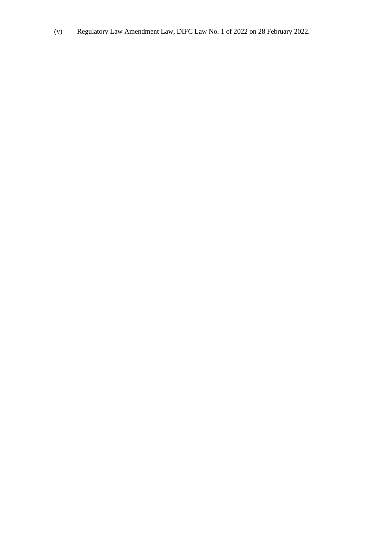(v) Regulatory Law Amendment Law, DIFC Law No. 1 of 2022 on 28 February 2022.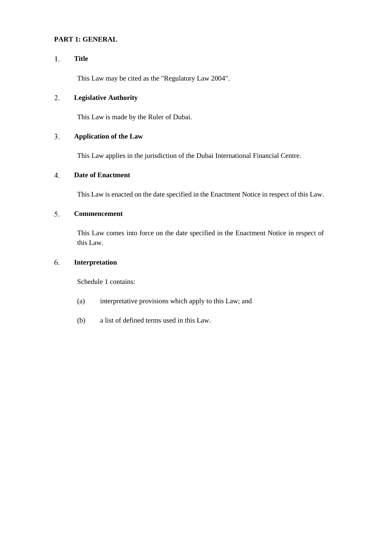# <span id="page-9-0"></span>**PART 1: GENERAL**

#### <span id="page-9-1"></span> $1.$ **Title**

This Law may be cited as the "Regulatory Law 2004".

#### <span id="page-9-2"></span>2. **Legislative Authority**

This Law is made by the Ruler of Dubai.

#### <span id="page-9-3"></span> $3.$ **Application of the Law**

This Law applies in the jurisdiction of the Dubai International Financial Centre.

#### <span id="page-9-4"></span> $\overline{4}$ . **Date of Enactment**

This Law is enacted on the date specified in the Enactment Notice in respect of this Law.

#### <span id="page-9-5"></span>5. **Commencement**

This Law comes into force on the date specified in the Enactment Notice in respect of this Law.

#### <span id="page-9-6"></span>6. **Interpretation**

Schedule 1 contains:

- (a) interpretative provisions which apply to this Law; and
- (b) a list of defined terms used in this Law.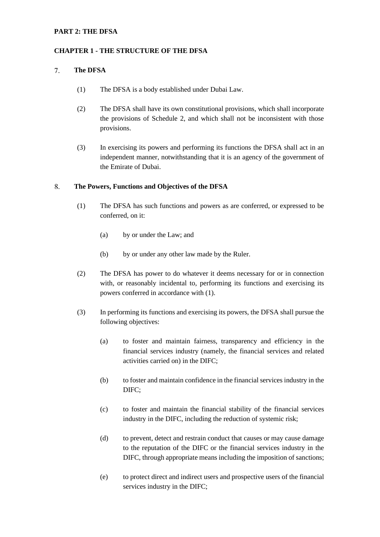### <span id="page-10-0"></span>**PART 2: THE DFSA**

### <span id="page-10-1"></span>**CHAPTER 1 - THE STRUCTURE OF THE DFSA**

#### <span id="page-10-2"></span> $7.$ **The DFSA**

- (1) The DFSA is a body established under Dubai Law.
- (2) The DFSA shall have its own constitutional provisions, which shall incorporate the provisions of Schedule 2, and which shall not be inconsistent with those provisions.
- (3) In exercising its powers and performing its functions the DFSA shall act in an independent manner, notwithstanding that it is an agency of the government of the Emirate of Dubai.

#### <span id="page-10-3"></span>8. **The Powers, Functions and Objectives of the DFSA**

- (1) The DFSA has such functions and powers as are conferred, or expressed to be conferred, on it:
	- (a) by or under the Law; and
	- (b) by or under any other law made by the Ruler.
- (2) The DFSA has power to do whatever it deems necessary for or in connection with, or reasonably incidental to, performing its functions and exercising its powers conferred in accordance with (1).
- (3) In performing its functions and exercising its powers, the DFSA shall pursue the following objectives:
	- (a) to foster and maintain fairness, transparency and efficiency in the financial services industry (namely, the financial services and related activities carried on) in the DIFC;
	- (b) to foster and maintain confidence in the financial services industry in the DIFC;
	- (c) to foster and maintain the financial stability of the financial services industry in the DIFC, including the reduction of systemic risk;
	- (d) to prevent, detect and restrain conduct that causes or may cause damage to the reputation of the DIFC or the financial services industry in the DIFC, through appropriate means including the imposition of sanctions;
	- (e) to protect direct and indirect users and prospective users of the financial services industry in the DIFC;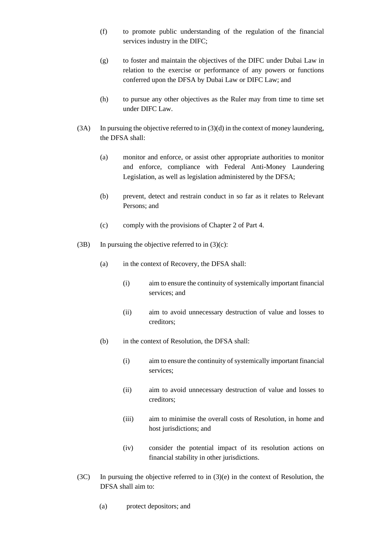- (f) to promote public understanding of the regulation of the financial services industry in the DIFC;
- (g) to foster and maintain the objectives of the DIFC under Dubai Law in relation to the exercise or performance of any powers or functions conferred upon the DFSA by Dubai Law or DIFC Law; and
- (h) to pursue any other objectives as the Ruler may from time to time set under DIFC Law.
- (3A) In pursuing the objective referred to in (3)(d) in the context of money laundering, the DFSA shall:
	- (a) monitor and enforce, or assist other appropriate authorities to monitor and enforce, compliance with Federal Anti-Money Laundering Legislation, as well as legislation administered by the DFSA;
	- (b) prevent, detect and restrain conduct in so far as it relates to Relevant Persons; and
	- (c) comply with the provisions of Chapter 2 of Part 4.
- (3B) In pursuing the objective referred to in  $(3)(c)$ :
	- (a) in the context of Recovery, the DFSA shall:
		- (i) aim to ensure the continuity of systemically important financial services; and
		- (ii) aim to avoid unnecessary destruction of value and losses to creditors;
	- (b) in the context of Resolution, the DFSA shall:
		- (i) aim to ensure the continuity of systemically important financial services;
		- (ii) aim to avoid unnecessary destruction of value and losses to creditors;
		- (iii) aim to minimise the overall costs of Resolution, in home and host jurisdictions; and
		- (iv) consider the potential impact of its resolution actions on financial stability in other jurisdictions.
- (3C) In pursuing the objective referred to in (3)(e) in the context of Resolution, the DFSA shall aim to:
	- (a) protect depositors; and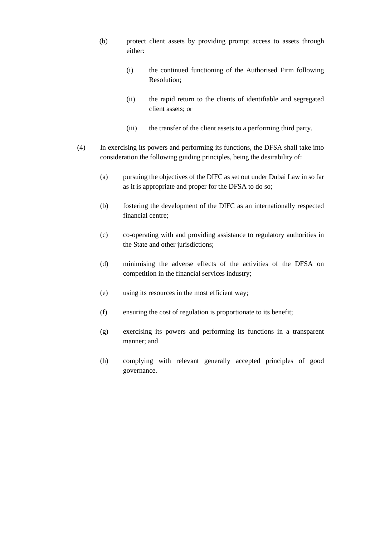- (b) protect client assets by providing prompt access to assets through either:
	- (i) the continued functioning of the Authorised Firm following Resolution;
	- (ii) the rapid return to the clients of identifiable and segregated client assets; or
	- (iii) the transfer of the client assets to a performing third party.
- (4) In exercising its powers and performing its functions, the DFSA shall take into consideration the following guiding principles, being the desirability of:
	- (a) pursuing the objectives of the DIFC as set out under Dubai Law in so far as it is appropriate and proper for the DFSA to do so;
	- (b) fostering the development of the DIFC as an internationally respected financial centre;
	- (c) co-operating with and providing assistance to regulatory authorities in the State and other jurisdictions;
	- (d) minimising the adverse effects of the activities of the DFSA on competition in the financial services industry;
	- (e) using its resources in the most efficient way;
	- (f) ensuring the cost of regulation is proportionate to its benefit;
	- (g) exercising its powers and performing its functions in a transparent manner; and
	- (h) complying with relevant generally accepted principles of good governance.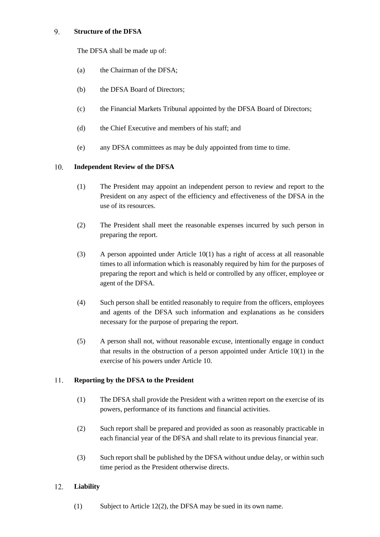#### <span id="page-13-0"></span>9. **Structure of the DFSA**

The DFSA shall be made up of:

- (a) the Chairman of the DFSA;
- (b) the DFSA Board of Directors;
- (c) the Financial Markets Tribunal appointed by the DFSA Board of Directors;
- (d) the Chief Executive and members of his staff; and
- (e) any DFSA committees as may be duly appointed from time to time.

#### <span id="page-13-1"></span> $10.$ **Independent Review of the DFSA**

- (1) The President may appoint an independent person to review and report to the President on any aspect of the efficiency and effectiveness of the DFSA in the use of its resources.
- (2) The President shall meet the reasonable expenses incurred by such person in preparing the report.
- (3) A person appointed under Article 10(1) has a right of access at all reasonable times to all information which is reasonably required by him for the purposes of preparing the report and which is held or controlled by any officer, employee or agent of the DFSA.
- (4) Such person shall be entitled reasonably to require from the officers, employees and agents of the DFSA such information and explanations as he considers necessary for the purpose of preparing the report.
- (5) A person shall not, without reasonable excuse, intentionally engage in conduct that results in the obstruction of a person appointed under Article 10(1) in the exercise of his powers under Article 10.

#### <span id="page-13-2"></span>11. **Reporting by the DFSA to the President**

- (1) The DFSA shall provide the President with a written report on the exercise of its powers, performance of its functions and financial activities.
- (2) Such report shall be prepared and provided as soon as reasonably practicable in each financial year of the DFSA and shall relate to its previous financial year.
- (3) Such report shall be published by the DFSA without undue delay, or within such time period as the President otherwise directs.

#### <span id="page-13-3"></span> $12.$ **Liability**

(1) Subject to Article 12(2), the DFSA may be sued in its own name.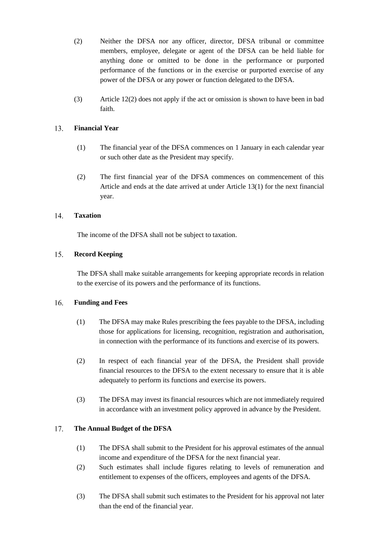- (2) Neither the DFSA nor any officer, director, DFSA tribunal or committee members, employee, delegate or agent of the DFSA can be held liable for anything done or omitted to be done in the performance or purported performance of the functions or in the exercise or purported exercise of any power of the DFSA or any power or function delegated to the DFSA.
- (3) Article 12(2) does not apply if the act or omission is shown to have been in bad faith.

#### <span id="page-14-0"></span>**Financial Year** 13.

- (1) The financial year of the DFSA commences on 1 January in each calendar year or such other date as the President may specify.
- (2) The first financial year of the DFSA commences on commencement of this Article and ends at the date arrived at under Article 13(1) for the next financial year.

#### <span id="page-14-1"></span> $14$ **Taxation**

The income of the DFSA shall not be subject to taxation.

#### <span id="page-14-2"></span> $15.$ **Record Keeping**

The DFSA shall make suitable arrangements for keeping appropriate records in relation to the exercise of its powers and the performance of its functions.

#### <span id="page-14-3"></span>16. **Funding and Fees**

- (1) The DFSA may make Rules prescribing the fees payable to the DFSA, including those for applications for licensing, recognition, registration and authorisation, in connection with the performance of its functions and exercise of its powers.
- (2) In respect of each financial year of the DFSA, the President shall provide financial resources to the DFSA to the extent necessary to ensure that it is able adequately to perform its functions and exercise its powers.
- (3) The DFSA may invest its financial resources which are not immediately required in accordance with an investment policy approved in advance by the President.

#### <span id="page-14-4"></span>17. **The Annual Budget of the DFSA**

- (1) The DFSA shall submit to the President for his approval estimates of the annual income and expenditure of the DFSA for the next financial year.
- (2) Such estimates shall include figures relating to levels of remuneration and entitlement to expenses of the officers, employees and agents of the DFSA.
- (3) The DFSA shall submit such estimates to the President for his approval not later than the end of the financial year.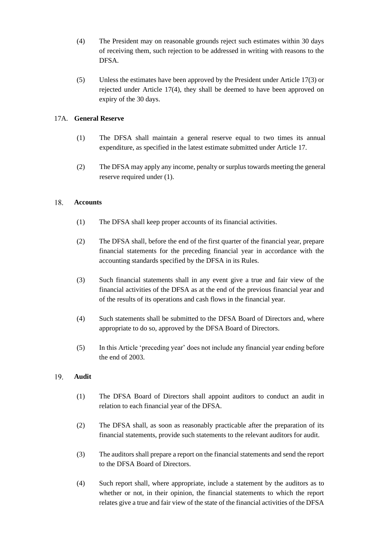- (4) The President may on reasonable grounds reject such estimates within 30 days of receiving them, such rejection to be addressed in writing with reasons to the DFSA.
- (5) Unless the estimates have been approved by the President under Article 17(3) or rejected under Article 17(4), they shall be deemed to have been approved on expiry of the 30 days.

# <span id="page-15-0"></span>17A. **General Reserve**

- (1) The DFSA shall maintain a general reserve equal to two times its annual expenditure, as specified in the latest estimate submitted under Article 17.
- (2) The DFSA may apply any income, penalty or surplus towards meeting the general reserve required under (1).

#### <span id="page-15-1"></span>18. **Accounts**

- (1) The DFSA shall keep proper accounts of its financial activities.
- (2) The DFSA shall, before the end of the first quarter of the financial year, prepare financial statements for the preceding financial year in accordance with the accounting standards specified by the DFSA in its Rules.
- (3) Such financial statements shall in any event give a true and fair view of the financial activities of the DFSA as at the end of the previous financial year and of the results of its operations and cash flows in the financial year.
- (4) Such statements shall be submitted to the DFSA Board of Directors and, where appropriate to do so, approved by the DFSA Board of Directors.
- (5) In this Article 'preceding year' does not include any financial year ending before the end of 2003.

#### <span id="page-15-2"></span>19. **Audit**

- (1) The DFSA Board of Directors shall appoint auditors to conduct an audit in relation to each financial year of the DFSA.
- (2) The DFSA shall, as soon as reasonably practicable after the preparation of its financial statements, provide such statements to the relevant auditors for audit.
- (3) The auditors shall prepare a report on the financial statements and send the report to the DFSA Board of Directors.
- (4) Such report shall, where appropriate, include a statement by the auditors as to whether or not, in their opinion, the financial statements to which the report relates give a true and fair view of the state of the financial activities of the DFSA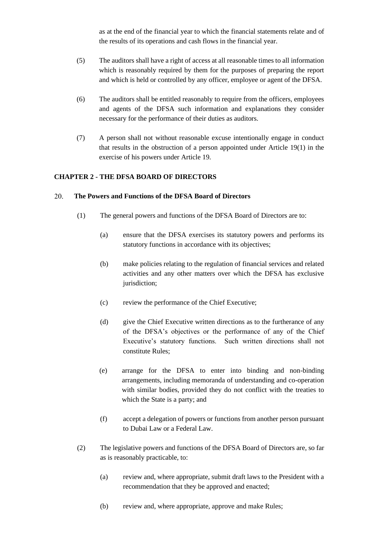as at the end of the financial year to which the financial statements relate and of the results of its operations and cash flows in the financial year.

- (5) The auditors shall have a right of access at all reasonable times to all information which is reasonably required by them for the purposes of preparing the report and which is held or controlled by any officer, employee or agent of the DFSA.
- (6) The auditors shall be entitled reasonably to require from the officers, employees and agents of the DFSA such information and explanations they consider necessary for the performance of their duties as auditors.
- (7) A person shall not without reasonable excuse intentionally engage in conduct that results in the obstruction of a person appointed under Article 19(1) in the exercise of his powers under Article 19.

# <span id="page-16-0"></span>**CHAPTER 2 - THE DFSA BOARD OF DIRECTORS**

#### <span id="page-16-1"></span>20. **The Powers and Functions of the DFSA Board of Directors**

- (1) The general powers and functions of the DFSA Board of Directors are to:
	- (a) ensure that the DFSA exercises its statutory powers and performs its statutory functions in accordance with its objectives;
	- (b) make policies relating to the regulation of financial services and related activities and any other matters over which the DFSA has exclusive jurisdiction;
	- (c) review the performance of the Chief Executive;
	- (d) give the Chief Executive written directions as to the furtherance of any of the DFSA's objectives or the performance of any of the Chief Executive's statutory functions. Such written directions shall not constitute Rules;
	- (e) arrange for the DFSA to enter into binding and non-binding arrangements, including memoranda of understanding and co-operation with similar bodies, provided they do not conflict with the treaties to which the State is a party; and
	- (f) accept a delegation of powers or functions from another person pursuant to Dubai Law or a Federal Law.
- (2) The legislative powers and functions of the DFSA Board of Directors are, so far as is reasonably practicable, to:
	- (a) review and, where appropriate, submit draft laws to the President with a recommendation that they be approved and enacted;
	- (b) review and, where appropriate, approve and make Rules;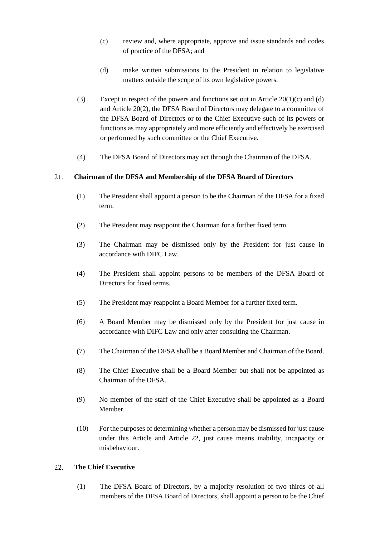- (c) review and, where appropriate, approve and issue standards and codes of practice of the DFSA; and
- (d) make written submissions to the President in relation to legislative matters outside the scope of its own legislative powers.
- (3) Except in respect of the powers and functions set out in Article  $20(1)(c)$  and (d) and Article 20(2), the DFSA Board of Directors may delegate to a committee of the DFSA Board of Directors or to the Chief Executive such of its powers or functions as may appropriately and more efficiently and effectively be exercised or performed by such committee or the Chief Executive.
- (4) The DFSA Board of Directors may act through the Chairman of the DFSA.

#### <span id="page-17-0"></span>21. **Chairman of the DFSA and Membership of the DFSA Board of Directors**

- (1) The President shall appoint a person to be the Chairman of the DFSA for a fixed term.
- (2) The President may reappoint the Chairman for a further fixed term.
- (3) The Chairman may be dismissed only by the President for just cause in accordance with DIFC Law.
- (4) The President shall appoint persons to be members of the DFSA Board of Directors for fixed terms.
- (5) The President may reappoint a Board Member for a further fixed term.
- (6) A Board Member may be dismissed only by the President for just cause in accordance with DIFC Law and only after consulting the Chairman.
- (7) The Chairman of the DFSA shall be a Board Member and Chairman of the Board.
- (8) The Chief Executive shall be a Board Member but shall not be appointed as Chairman of the DFSA.
- (9) No member of the staff of the Chief Executive shall be appointed as a Board Member.
- (10) For the purposes of determining whether a person may be dismissed for just cause under this Article and Article 22, just cause means inability, incapacity or misbehaviour.

#### <span id="page-17-1"></span>22. **The Chief Executive**

(1) The DFSA Board of Directors, by a majority resolution of two thirds of all members of the DFSA Board of Directors, shall appoint a person to be the Chief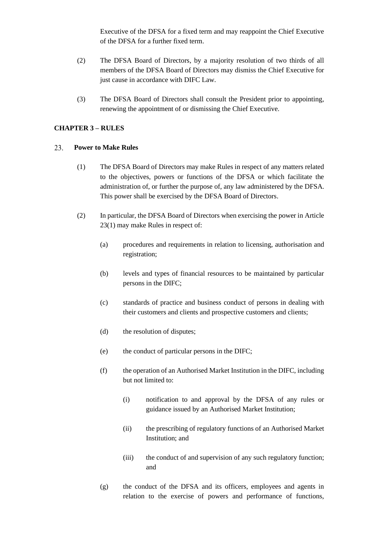Executive of the DFSA for a fixed term and may reappoint the Chief Executive of the DFSA for a further fixed term.

- (2) The DFSA Board of Directors, by a majority resolution of two thirds of all members of the DFSA Board of Directors may dismiss the Chief Executive for just cause in accordance with DIFC Law.
- (3) The DFSA Board of Directors shall consult the President prior to appointing, renewing the appointment of or dismissing the Chief Executive.

# <span id="page-18-0"></span>**CHAPTER 3 – RULES**

#### <span id="page-18-1"></span>23. **Power to Make Rules**

- (1) The DFSA Board of Directors may make Rules in respect of any matters related to the objectives, powers or functions of the DFSA or which facilitate the administration of, or further the purpose of, any law administered by the DFSA. This power shall be exercised by the DFSA Board of Directors.
- (2) In particular, the DFSA Board of Directors when exercising the power in Article 23(1) may make Rules in respect of:
	- (a) procedures and requirements in relation to licensing, authorisation and registration;
	- (b) levels and types of financial resources to be maintained by particular persons in the DIFC;
	- (c) standards of practice and business conduct of persons in dealing with their customers and clients and prospective customers and clients;
	- (d) the resolution of disputes;
	- (e) the conduct of particular persons in the DIFC;
	- (f) the operation of an Authorised Market Institution in the DIFC, including but not limited to:
		- (i) notification to and approval by the DFSA of any rules or guidance issued by an Authorised Market Institution;
		- (ii) the prescribing of regulatory functions of an Authorised Market Institution; and
		- (iii) the conduct of and supervision of any such regulatory function; and
	- (g) the conduct of the DFSA and its officers, employees and agents in relation to the exercise of powers and performance of functions,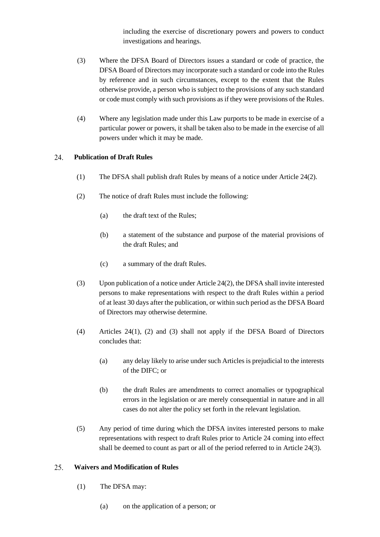including the exercise of discretionary powers and powers to conduct investigations and hearings.

- (3) Where the DFSA Board of Directors issues a standard or code of practice, the DFSA Board of Directors may incorporate such a standard or code into the Rules by reference and in such circumstances, except to the extent that the Rules otherwise provide, a person who is subject to the provisions of any such standard or code must comply with such provisions as if they were provisions of the Rules.
- (4) Where any legislation made under this Law purports to be made in exercise of a particular power or powers, it shall be taken also to be made in the exercise of all powers under which it may be made.

#### <span id="page-19-0"></span>24. **Publication of Draft Rules**

- (1) The DFSA shall publish draft Rules by means of a notice under Article 24(2).
- (2) The notice of draft Rules must include the following:
	- (a) the draft text of the Rules;
	- (b) a statement of the substance and purpose of the material provisions of the draft Rules; and
	- (c) a summary of the draft Rules.
- (3) Upon publication of a notice under Article 24(2), the DFSA shall invite interested persons to make representations with respect to the draft Rules within a period of at least 30 days after the publication, or within such period as the DFSA Board of Directors may otherwise determine.
- (4) Articles 24(1), (2) and (3) shall not apply if the DFSA Board of Directors concludes that:
	- (a) any delay likely to arise under such Articles is prejudicial to the interests of the DIFC; or
	- (b) the draft Rules are amendments to correct anomalies or typographical errors in the legislation or are merely consequential in nature and in all cases do not alter the policy set forth in the relevant legislation.
- (5) Any period of time during which the DFSA invites interested persons to make representations with respect to draft Rules prior to Article 24 coming into effect shall be deemed to count as part or all of the period referred to in Article 24(3).

#### <span id="page-19-1"></span>25. **Waivers and Modification of Rules**

- (1) The DFSA may:
	- (a) on the application of a person; or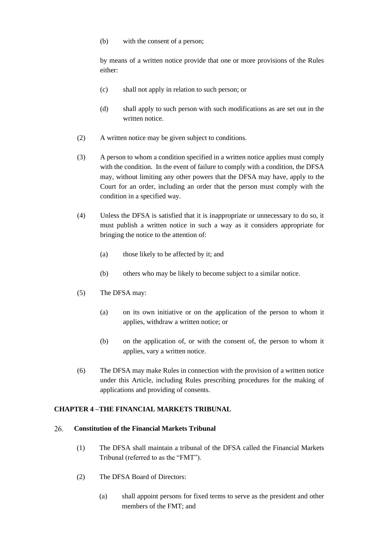(b) with the consent of a person;

by means of a written notice provide that one or more provisions of the Rules either:

- (c) shall not apply in relation to such person; or
- (d) shall apply to such person with such modifications as are set out in the written notice.
- (2) A written notice may be given subject to conditions.
- (3) A person to whom a condition specified in a written notice applies must comply with the condition. In the event of failure to comply with a condition, the DFSA may, without limiting any other powers that the DFSA may have, apply to the Court for an order, including an order that the person must comply with the condition in a specified way.
- (4) Unless the DFSA is satisfied that it is inappropriate or unnecessary to do so, it must publish a written notice in such a way as it considers appropriate for bringing the notice to the attention of:
	- (a) those likely to be affected by it; and
	- (b) others who may be likely to become subject to a similar notice.
- (5) The DFSA may:
	- (a) on its own initiative or on the application of the person to whom it applies, withdraw a written notice; or
	- (b) on the application of, or with the consent of, the person to whom it applies, vary a written notice.
- (6) The DFSA may make Rules in connection with the provision of a written notice under this Article, including Rules prescribing procedures for the making of applications and providing of consents.

# <span id="page-20-0"></span>**CHAPTER 4 –THE FINANCIAL MARKETS TRIBUNAL**

#### <span id="page-20-1"></span>26. **Constitution of the Financial Markets Tribunal**

- (1) The DFSA shall maintain a tribunal of the DFSA called the Financial Markets Tribunal (referred to as the "FMT").
- (2) The DFSA Board of Directors:
	- (a) shall appoint persons for fixed terms to serve as the president and other members of the FMT; and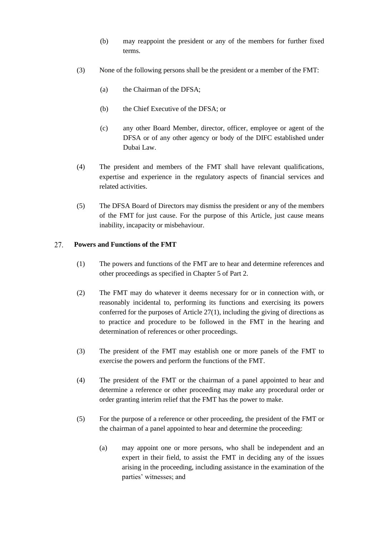- (b) may reappoint the president or any of the members for further fixed terms.
- (3) None of the following persons shall be the president or a member of the FMT:
	- (a) the Chairman of the DFSA;
	- (b) the Chief Executive of the DFSA; or
	- (c) any other Board Member, director, officer, employee or agent of the DFSA or of any other agency or body of the DIFC established under Dubai Law.
- (4) The president and members of the FMT shall have relevant qualifications, expertise and experience in the regulatory aspects of financial services and related activities.
- (5) The DFSA Board of Directors may dismiss the president or any of the members of the FMT for just cause. For the purpose of this Article, just cause means inability, incapacity or misbehaviour.

#### <span id="page-21-0"></span>27. **Powers and Functions of the FMT**

- (1) The powers and functions of the FMT are to hear and determine references and other proceedings as specified in Chapter 5 of Part 2.
- (2) The FMT may do whatever it deems necessary for or in connection with, or reasonably incidental to, performing its functions and exercising its powers conferred for the purposes of Article 27(1), including the giving of directions as to practice and procedure to be followed in the FMT in the hearing and determination of references or other proceedings.
- (3) The president of the FMT may establish one or more panels of the FMT to exercise the powers and perform the functions of the FMT.
- (4) The president of the FMT or the chairman of a panel appointed to hear and determine a reference or other proceeding may make any procedural order or order granting interim relief that the FMT has the power to make.
- (5) For the purpose of a reference or other proceeding, the president of the FMT or the chairman of a panel appointed to hear and determine the proceeding:
	- (a) may appoint one or more persons, who shall be independent and an expert in their field, to assist the FMT in deciding any of the issues arising in the proceeding, including assistance in the examination of the parties' witnesses; and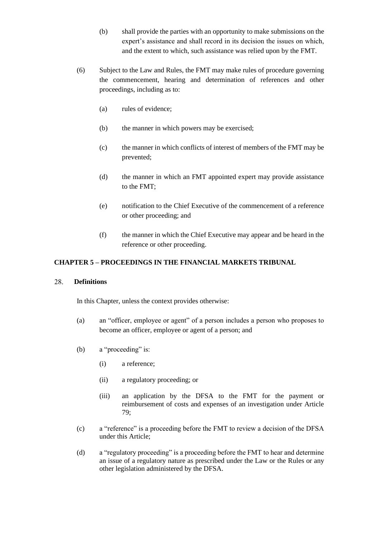- (b) shall provide the parties with an opportunity to make submissions on the expert's assistance and shall record in its decision the issues on which, and the extent to which, such assistance was relied upon by the FMT.
- (6) Subject to the Law and Rules, the FMT may make rules of procedure governing the commencement, hearing and determination of references and other proceedings, including as to:
	- (a) rules of evidence;
	- (b) the manner in which powers may be exercised;
	- (c) the manner in which conflicts of interest of members of the FMT may be prevented;
	- (d) the manner in which an FMT appointed expert may provide assistance to the FMT;
	- (e) notification to the Chief Executive of the commencement of a reference or other proceeding; and
	- (f) the manner in which the Chief Executive may appear and be heard in the reference or other proceeding.

### <span id="page-22-0"></span>**CHAPTER 5 – PROCEEDINGS IN THE FINANCIAL MARKETS TRIBUNAL**

#### <span id="page-22-1"></span>28. **Definitions**

In this Chapter, unless the context provides otherwise:

- (a) an "officer, employee or agent" of a person includes a person who proposes to become an officer, employee or agent of a person; and
- (b) a "proceeding" is:
	- (i) a reference;
	- (ii) a regulatory proceeding; or
	- (iii) an application by the DFSA to the FMT for the payment or reimbursement of costs and expenses of an investigation under Article 79;
- (c) a "reference" is a proceeding before the FMT to review a decision of the DFSA under this Article;
- (d) a "regulatory proceeding" is a proceeding before the FMT to hear and determine an issue of a regulatory nature as prescribed under the Law or the Rules or any other legislation administered by the DFSA.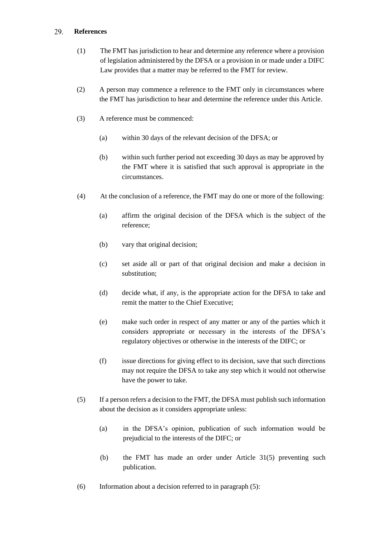#### <span id="page-23-0"></span>29. **References**

- (1) The FMT has jurisdiction to hear and determine any reference where a provision of legislation administered by the DFSA or a provision in or made under a DIFC Law provides that a matter may be referred to the FMT for review.
- (2) A person may commence a reference to the FMT only in circumstances where the FMT has jurisdiction to hear and determine the reference under this Article.
- (3) A reference must be commenced:
	- (a) within 30 days of the relevant decision of the DFSA; or
	- (b) within such further period not exceeding 30 days as may be approved by the FMT where it is satisfied that such approval is appropriate in the circumstances.
- (4) At the conclusion of a reference, the FMT may do one or more of the following:
	- (a) affirm the original decision of the DFSA which is the subject of the reference;
	- (b) vary that original decision;
	- (c) set aside all or part of that original decision and make a decision in substitution;
	- (d) decide what, if any, is the appropriate action for the DFSA to take and remit the matter to the Chief Executive;
	- (e) make such order in respect of any matter or any of the parties which it considers appropriate or necessary in the interests of the DFSA's regulatory objectives or otherwise in the interests of the DIFC; or
	- (f) issue directions for giving effect to its decision, save that such directions may not require the DFSA to take any step which it would not otherwise have the power to take.
- (5) If a person refers a decision to the FMT, the DFSA must publish such information about the decision as it considers appropriate unless:
	- (a) in the DFSA's opinion, publication of such information would be prejudicial to the interests of the DIFC; or
	- (b) the FMT has made an order under Article 31(5) preventing such publication.
- (6) Information about a decision referred to in paragraph (5):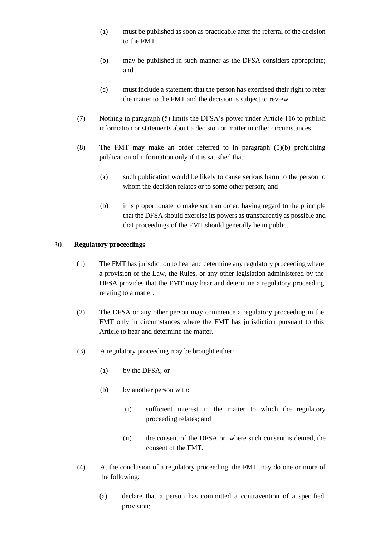- (a) must be published as soon as practicable after the referral of the decision to the FMT;
- (b) may be published in such manner as the DFSA considers appropriate; and
- (c) must include a statement that the person has exercised their right to refer the matter to the FMT and the decision is subject to review.
- (7) Nothing in paragraph (5) limits the DFSA's power under Article 116 to publish information or statements about a decision or matter in other circumstances.
- (8) The FMT may make an order referred to in paragraph (5)(b) prohibiting publication of information only if it is satisfied that:
	- (a) such publication would be likely to cause serious harm to the person to whom the decision relates or to some other person; and
	- (b) it is proportionate to make such an order, having regard to the principle that the DFSA should exercise its powers as transparently as possible and that proceedings of the FMT should generally be in public.

#### <span id="page-24-0"></span>30. **Regulatory proceedings**

- (1) The FMT has jurisdiction to hear and determine any regulatory proceeding where a provision of the Law, the Rules, or any other legislation administered by the DFSA provides that the FMT may hear and determine a regulatory proceeding relating to a matter.
- (2) The DFSA or any other person may commence a regulatory proceeding in the FMT only in circumstances where the FMT has jurisdiction pursuant to this Article to hear and determine the matter.
- (3) A regulatory proceeding may be brought either:
	- (a) by the DFSA; or
	- (b) by another person with:
		- (i) sufficient interest in the matter to which the regulatory proceeding relates; and
		- (ii) the consent of the DFSA or, where such consent is denied, the consent of the FMT.
- (4) At the conclusion of a regulatory proceeding, the FMT may do one or more of the following:
	- (a) declare that a person has committed a contravention of a specified provision;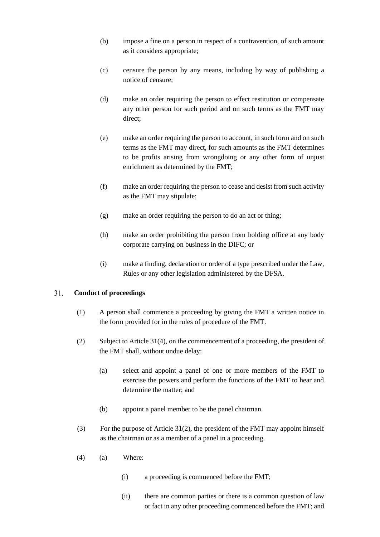- (b) impose a fine on a person in respect of a contravention, of such amount as it considers appropriate;
- (c) censure the person by any means, including by way of publishing a notice of censure;
- (d) make an order requiring the person to effect restitution or compensate any other person for such period and on such terms as the FMT may direct;
- (e) make an order requiring the person to account, in such form and on such terms as the FMT may direct, for such amounts as the FMT determines to be profits arising from wrongdoing or any other form of unjust enrichment as determined by the FMT;
- (f) make an order requiring the person to cease and desist from such activity as the FMT may stipulate;
- (g) make an order requiring the person to do an act or thing;
- (h) make an order prohibiting the person from holding office at any body corporate carrying on business in the DIFC; or
- (i) make a finding, declaration or order of a type prescribed under the Law, Rules or any other legislation administered by the DFSA.

#### <span id="page-25-0"></span> $31.$ **Conduct of proceedings**

- (1) A person shall commence a proceeding by giving the FMT a written notice in the form provided for in the rules of procedure of the FMT.
- (2) Subject to Article 31(4), on the commencement of a proceeding, the president of the FMT shall, without undue delay:
	- (a) select and appoint a panel of one or more members of the FMT to exercise the powers and perform the functions of the FMT to hear and determine the matter; and
	- (b) appoint a panel member to be the panel chairman.
- (3) For the purpose of Article 31(2), the president of the FMT may appoint himself as the chairman or as a member of a panel in a proceeding.
- (4) (a) Where:
	- (i) a proceeding is commenced before the FMT;
	- (ii) there are common parties or there is a common question of law or fact in any other proceeding commenced before the FMT; and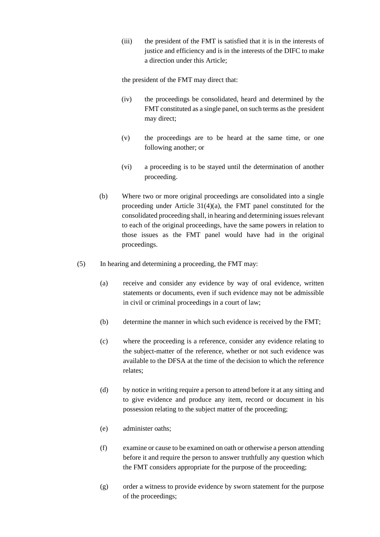(iii) the president of the FMT is satisfied that it is in the interests of justice and efficiency and is in the interests of the DIFC to make a direction under this Article;

the president of the FMT may direct that:

- (iv) the proceedings be consolidated, heard and determined by the FMT constituted as a single panel, on such terms as the president may direct;
- (v) the proceedings are to be heard at the same time, or one following another; or
- (vi) a proceeding is to be stayed until the determination of another proceeding.
- (b) Where two or more original proceedings are consolidated into a single proceeding under Article 31(4)(a), the FMT panel constituted for the consolidated proceeding shall, in hearing and determining issues relevant to each of the original proceedings, have the same powers in relation to those issues as the FMT panel would have had in the original proceedings.
- (5) In hearing and determining a proceeding, the FMT may:
	- (a) receive and consider any evidence by way of oral evidence, written statements or documents, even if such evidence may not be admissible in civil or criminal proceedings in a court of law;
	- (b) determine the manner in which such evidence is received by the FMT;
	- (c) where the proceeding is a reference, consider any evidence relating to the subject-matter of the reference, whether or not such evidence was available to the DFSA at the time of the decision to which the reference relates;
	- (d) by notice in writing require a person to attend before it at any sitting and to give evidence and produce any item, record or document in his possession relating to the subject matter of the proceeding;
	- (e) administer oaths;
	- (f) examine or cause to be examined on oath or otherwise a person attending before it and require the person to answer truthfully any question which the FMT considers appropriate for the purpose of the proceeding;
	- (g) order a witness to provide evidence by sworn statement for the purpose of the proceedings;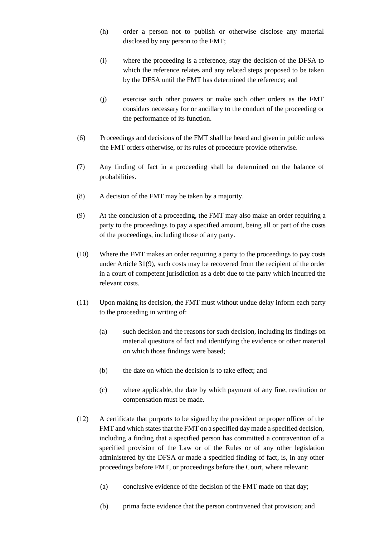- (h) order a person not to publish or otherwise disclose any material disclosed by any person to the FMT;
- (i) where the proceeding is a reference, stay the decision of the DFSA to which the reference relates and any related steps proposed to be taken by the DFSA until the FMT has determined the reference; and
- (j) exercise such other powers or make such other orders as the FMT considers necessary for or ancillary to the conduct of the proceeding or the performance of its function.
- (6) Proceedings and decisions of the FMT shall be heard and given in public unless the FMT orders otherwise, or its rules of procedure provide otherwise.
- (7) Any finding of fact in a proceeding shall be determined on the balance of probabilities.
- (8) A decision of the FMT may be taken by a majority.
- (9) At the conclusion of a proceeding, the FMT may also make an order requiring a party to the proceedings to pay a specified amount, being all or part of the costs of the proceedings, including those of any party.
- (10) Where the FMT makes an order requiring a party to the proceedings to pay costs under Article 31(9), such costs may be recovered from the recipient of the order in a court of competent jurisdiction as a debt due to the party which incurred the relevant costs.
- (11) Upon making its decision, the FMT must without undue delay inform each party to the proceeding in writing of:
	- (a) such decision and the reasons for such decision, including its findings on material questions of fact and identifying the evidence or other material on which those findings were based;
	- (b) the date on which the decision is to take effect; and
	- (c) where applicable, the date by which payment of any fine, restitution or compensation must be made.
- (12) A certificate that purports to be signed by the president or proper officer of the FMT and which states that the FMT on a specified day made a specified decision, including a finding that a specified person has committed a contravention of a specified provision of the Law or of the Rules or of any other legislation administered by the DFSA or made a specified finding of fact, is, in any other proceedings before FMT, or proceedings before the Court, where relevant:
	- (a) conclusive evidence of the decision of the FMT made on that day;
	- (b) prima facie evidence that the person contravened that provision; and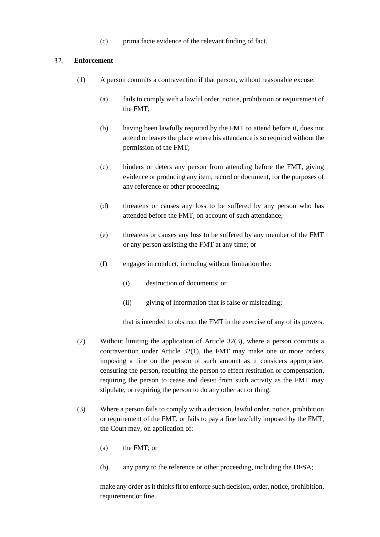(c) prima facie evidence of the relevant finding of fact.

#### <span id="page-28-0"></span> $32.$ **Enforcement**

- (1) A person commits a contravention if that person, without reasonable excuse:
	- (a) fails to comply with a lawful order, notice, prohibition or requirement of the FMT;
	- (b) having been lawfully required by the FMT to attend before it, does not attend or leaves the place where his attendance is so required without the permission of the FMT;
	- (c) hinders or deters any person from attending before the FMT, giving evidence or producing any item, record or document, for the purposes of any reference or other proceeding;
	- (d) threatens or causes any loss to be suffered by any person who has attended before the FMT, on account of such attendance;
	- (e) threatens or causes any loss to be suffered by any member of the FMT or any person assisting the FMT at any time; or
	- (f) engages in conduct, including without limitation the:
		- (i) destruction of documents; or
		- (ii) giving of information that is false or misleading;

that is intended to obstruct the FMT in the exercise of any of its powers.

- (2) Without limiting the application of Article 32(3), where a person commits a contravention under Article 32(1), the FMT may make one or more orders imposing a fine on the person of such amount as it considers appropriate, censuring the person, requiring the person to effect restitution or compensation, requiring the person to cease and desist from such activity as the FMT may stipulate, or requiring the person to do any other act or thing.
- (3) Where a person fails to comply with a decision, lawful order, notice, prohibition or requirement of the FMT, or fails to pay a fine lawfully imposed by the FMT, the Court may, on application of:
	- (a) the FMT; or
	- (b) any party to the reference or other proceeding, including the DFSA;

make any order as it thinks fit to enforce such decision, order, notice, prohibition, requirement or fine.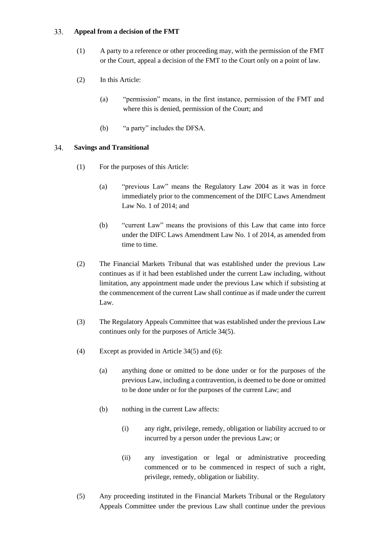#### <span id="page-29-0"></span>33. **Appeal from a decision of the FMT**

- (1) A party to a reference or other proceeding may, with the permission of the FMT or the Court, appeal a decision of the FMT to the Court only on a point of law.
- (2) In this Article:
	- (a) "permission" means, in the first instance, permission of the FMT and where this is denied, permission of the Court; and
	- (b) "a party" includes the DFSA.

#### <span id="page-29-1"></span>34. **Savings and Transitional**

- (1) For the purposes of this Article:
	- (a) "previous Law" means the Regulatory Law 2004 as it was in force immediately prior to the commencement of the DIFC Laws Amendment Law No. 1 of 2014; and
	- (b) "current Law" means the provisions of this Law that came into force under the DIFC Laws Amendment Law No. 1 of 2014, as amended from time to time.
- (2) The Financial Markets Tribunal that was established under the previous Law continues as if it had been established under the current Law including, without limitation, any appointment made under the previous Law which if subsisting at the commencement of the current Law shall continue as if made under the current Law.
- (3) The Regulatory Appeals Committee that was established under the previous Law continues only for the purposes of Article 34(5).
- (4) Except as provided in Article 34(5) and (6):
	- (a) anything done or omitted to be done under or for the purposes of the previous Law, including a contravention, is deemed to be done or omitted to be done under or for the purposes of the current Law; and
	- (b) nothing in the current Law affects:
		- (i) any right, privilege, remedy, obligation or liability accrued to or incurred by a person under the previous Law; or
		- (ii) any investigation or legal or administrative proceeding commenced or to be commenced in respect of such a right, privilege, remedy, obligation or liability.
- (5) Any proceeding instituted in the Financial Markets Tribunal or the Regulatory Appeals Committee under the previous Law shall continue under the previous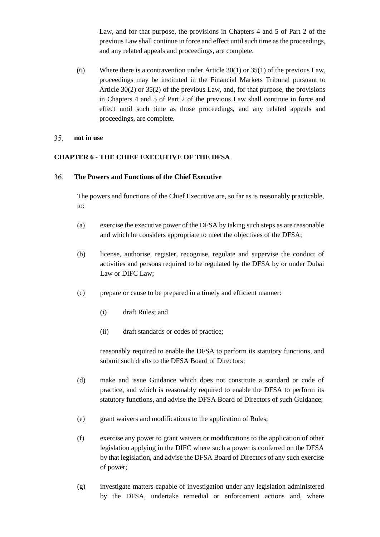Law, and for that purpose, the provisions in Chapters 4 and 5 of Part 2 of the previous Law shall continue in force and effect until such time as the proceedings, and any related appeals and proceedings, are complete.

(6) Where there is a contravention under Article 30(1) or 35(1) of the previous Law, proceedings may be instituted in the Financial Markets Tribunal pursuant to Article 30(2) or 35(2) of the previous Law, and, for that purpose, the provisions in Chapters 4 and 5 of Part 2 of the previous Law shall continue in force and effect until such time as those proceedings, and any related appeals and proceedings, are complete.

#### <span id="page-30-0"></span> $35.$ **not in use**

# <span id="page-30-1"></span>**CHAPTER 6 - THE CHIEF EXECUTIVE OF THE DFSA**

#### <span id="page-30-2"></span>36. **The Powers and Functions of the Chief Executive**

The powers and functions of the Chief Executive are, so far as is reasonably practicable, to:

- (a) exercise the executive power of the DFSA by taking such steps as are reasonable and which he considers appropriate to meet the objectives of the DFSA;
- (b) license, authorise, register, recognise, regulate and supervise the conduct of activities and persons required to be regulated by the DFSA by or under Dubai Law or DIFC Law;
- (c) prepare or cause to be prepared in a timely and efficient manner:
	- (i) draft Rules; and
	- (ii) draft standards or codes of practice;

reasonably required to enable the DFSA to perform its statutory functions, and submit such drafts to the DFSA Board of Directors;

- (d) make and issue Guidance which does not constitute a standard or code of practice, and which is reasonably required to enable the DFSA to perform its statutory functions, and advise the DFSA Board of Directors of such Guidance;
- (e) grant waivers and modifications to the application of Rules;
- (f) exercise any power to grant waivers or modifications to the application of other legislation applying in the DIFC where such a power is conferred on the DFSA by that legislation, and advise the DFSA Board of Directors of any such exercise of power;
- (g) investigate matters capable of investigation under any legislation administered by the DFSA, undertake remedial or enforcement actions and, where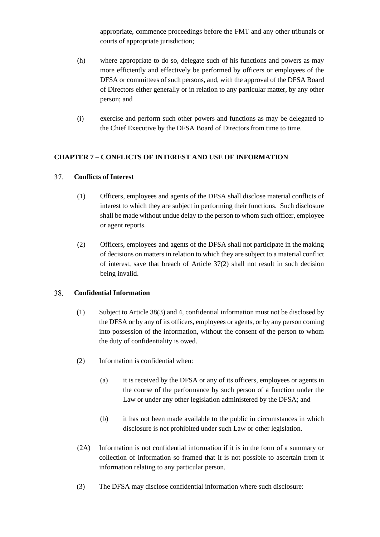appropriate, commence proceedings before the FMT and any other tribunals or courts of appropriate jurisdiction;

- (h) where appropriate to do so, delegate such of his functions and powers as may more efficiently and effectively be performed by officers or employees of the DFSA or committees of such persons, and, with the approval of the DFSA Board of Directors either generally or in relation to any particular matter, by any other person; and
- (i) exercise and perform such other powers and functions as may be delegated to the Chief Executive by the DFSA Board of Directors from time to time.

# <span id="page-31-0"></span>**CHAPTER 7 – CONFLICTS OF INTEREST AND USE OF INFORMATION**

#### <span id="page-31-1"></span>37. **Conflicts of Interest**

- (1) Officers, employees and agents of the DFSA shall disclose material conflicts of interest to which they are subject in performing their functions. Such disclosure shall be made without undue delay to the person to whom such officer, employee or agent reports.
- (2) Officers, employees and agents of the DFSA shall not participate in the making of decisions on matters in relation to which they are subject to a material conflict of interest, save that breach of Article 37(2) shall not result in such decision being invalid.

#### <span id="page-31-2"></span>38. **Confidential Information**

- (1) Subject to Article 38(3) and 4, confidential information must not be disclosed by the DFSA or by any of its officers, employees or agents, or by any person coming into possession of the information, without the consent of the person to whom the duty of confidentiality is owed.
- (2) Information is confidential when:
	- (a) it is received by the DFSA or any of its officers, employees or agents in the course of the performance by such person of a function under the Law or under any other legislation administered by the DFSA; and
	- (b) it has not been made available to the public in circumstances in which disclosure is not prohibited under such Law or other legislation.
- (2A) Information is not confidential information if it is in the form of a summary or collection of information so framed that it is not possible to ascertain from it information relating to any particular person.
- (3) The DFSA may disclose confidential information where such disclosure: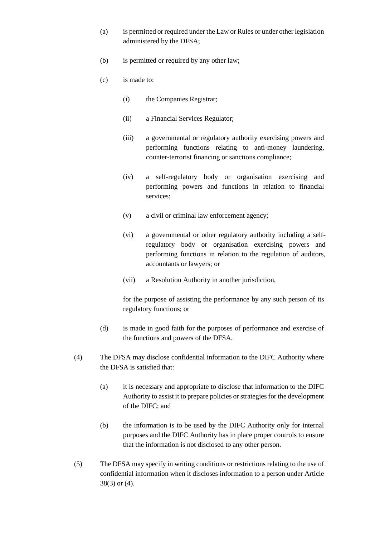- (a) is permitted or required under the Law or Rules or under other legislation administered by the DFSA;
- (b) is permitted or required by any other law;
- (c) is made to:
	- (i) the Companies Registrar;
	- (ii) a Financial Services Regulator;
	- (iii) a governmental or regulatory authority exercising powers and performing functions relating to anti-money laundering, counter-terrorist financing or sanctions compliance;
	- (iv) a self-regulatory body or organisation exercising and performing powers and functions in relation to financial services;
	- (v) a civil or criminal law enforcement agency;
	- (vi) a governmental or other regulatory authority including a selfregulatory body or organisation exercising powers and performing functions in relation to the regulation of auditors, accountants or lawyers; or
	- (vii) a Resolution Authority in another jurisdiction,

for the purpose of assisting the performance by any such person of its regulatory functions; or

- (d) is made in good faith for the purposes of performance and exercise of the functions and powers of the DFSA.
- (4) The DFSA may disclose confidential information to the DIFC Authority where the DFSA is satisfied that:
	- (a) it is necessary and appropriate to disclose that information to the DIFC Authority to assist it to prepare policies or strategies for the development of the DIFC; and
	- (b) the information is to be used by the DIFC Authority only for internal purposes and the DIFC Authority has in place proper controls to ensure that the information is not disclosed to any other person.
- (5) The DFSA may specify in writing conditions or restrictions relating to the use of confidential information when it discloses information to a person under Article 38(3) or (4).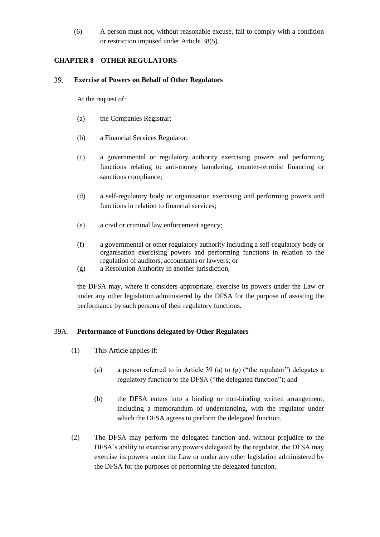(6) A person must not, without reasonable excuse, fail to comply with a condition or restriction imposed under Article 38(5).

# <span id="page-33-0"></span>**CHAPTER 8 – OTHER REGULATORS**

#### <span id="page-33-1"></span>39. **Exercise of Powers on Behalf of Other Regulators**

At the request of:

- (a) the Companies Registrar;
- (b) a Financial Services Regulator;
- (c) a governmental or regulatory authority exercising powers and performing functions relating to anti-money laundering, counter-terrorist financing or sanctions compliance;
- (d) a self-regulatory body or organisation exercising and performing powers and functions in relation to financial services;
- (e) a civil or criminal law enforcement agency;
- (f) a governmental or other regulatory authority including a self-regulatory body or organisation exercising powers and performing functions in relation to the regulation of auditors, accountants or lawyers; or
- (g) a Resolution Authority in another jurisdiction,

the DFSA may, where it considers appropriate, exercise its powers under the Law or under any other legislation administered by the DFSA for the purpose of assisting the performance by such persons of their regulatory functions.

# <span id="page-33-2"></span>39A. **Performance of Functions delegated by Other Regulators**

- (1) This Article applies if:
	- (a) a person referred to in Article 39 (a) to (g) ("the regulator") delegates a regulatory function to the DFSA ("the delegated function"); and
	- (b) the DFSA enters into a binding or non-binding written arrangement, including a memorandum of understanding, with the regulator under which the DFSA agrees to perform the delegated function.
- (2) The DFSA may perform the delegated function and, without prejudice to the DFSA's ability to exercise any powers delegated by the regulator, the DFSA may exercise its powers under the Law or under any other legislation administered by the DFSA for the purposes of performing the delegated function.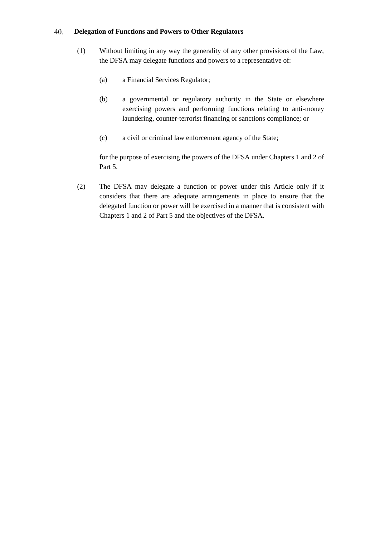#### <span id="page-34-0"></span>40. **Delegation of Functions and Powers to Other Regulators**

- (1) Without limiting in any way the generality of any other provisions of the Law, the DFSA may delegate functions and powers to a representative of:
	- (a) a Financial Services Regulator;
	- (b) a governmental or regulatory authority in the State or elsewhere exercising powers and performing functions relating to anti-money laundering, counter-terrorist financing or sanctions compliance; or
	- (c) a civil or criminal law enforcement agency of the State;

for the purpose of exercising the powers of the DFSA under Chapters 1 and 2 of Part 5.

(2) The DFSA may delegate a function or power under this Article only if it considers that there are adequate arrangements in place to ensure that the delegated function or power will be exercised in a manner that is consistent with Chapters 1 and 2 of Part 5 and the objectives of the DFSA.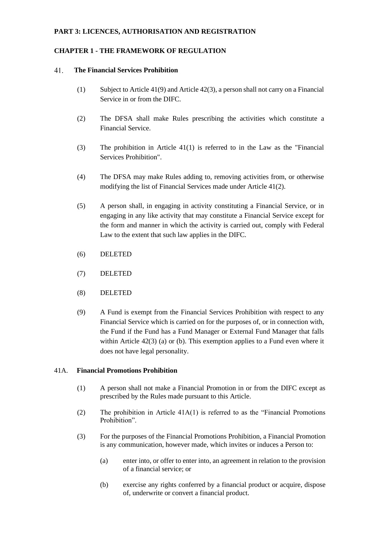### <span id="page-35-0"></span>**PART 3: LICENCES, AUTHORISATION AND REGISTRATION**

### <span id="page-35-1"></span>**CHAPTER 1 - THE FRAMEWORK OF REGULATION**

#### <span id="page-35-2"></span>41. **The Financial Services Prohibition**

- (1) Subject to Article 41(9) and Article 42(3), a person shall not carry on a Financial Service in or from the DIFC.
- (2) The DFSA shall make Rules prescribing the activities which constitute a Financial Service.
- (3) The prohibition in Article 41(1) is referred to in the Law as the "Financial Services Prohibition".
- (4) The DFSA may make Rules adding to, removing activities from, or otherwise modifying the list of Financial Services made under Article 41(2).
- (5) A person shall, in engaging in activity constituting a Financial Service, or in engaging in any like activity that may constitute a Financial Service except for the form and manner in which the activity is carried out, comply with Federal Law to the extent that such law applies in the DIFC.
- (6) DELETED
- (7) DELETED
- (8) DELETED
- (9) A Fund is exempt from the Financial Services Prohibition with respect to any Financial Service which is carried on for the purposes of, or in connection with, the Fund if the Fund has a Fund Manager or External Fund Manager that falls within Article 42(3) (a) or (b). This exemption applies to a Fund even where it does not have legal personality.

### <span id="page-35-3"></span>41A. **Financial Promotions Prohibition**

- (1) A person shall not make a Financial Promotion in or from the DIFC except as prescribed by the Rules made pursuant to this Article.
- (2) The prohibition in Article 41A(1) is referred to as the "Financial Promotions Prohibition".
- (3) For the purposes of the Financial Promotions Prohibition, a Financial Promotion is any communication, however made, which invites or induces a Person to:
	- (a) enter into, or offer to enter into, an agreement in relation to the provision of a financial service; or
	- (b) exercise any rights conferred by a financial product or acquire, dispose of, underwrite or convert a financial product.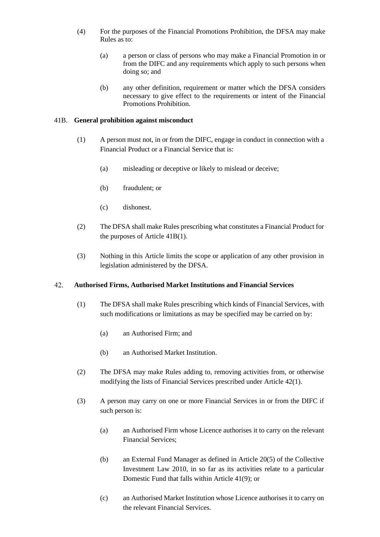- (4) For the purposes of the Financial Promotions Prohibition, the DFSA may make Rules as to:
	- (a) a person or class of persons who may make a Financial Promotion in or from the DIFC and any requirements which apply to such persons when doing so; and
	- (b) any other definition, requirement or matter which the DFSA considers necessary to give effect to the requirements or intent of the Financial Promotions Prohibition.

# 41B. **General prohibition against misconduct**

- (1) A person must not, in or from the DIFC, engage in conduct in connection with a Financial Product or a Financial Service that is:
	- (a) misleading or deceptive or likely to mislead or deceive;
	- (b) fraudulent; or
	- (c) dishonest.
- (2) The DFSA shall make Rules prescribing what constitutes a Financial Product for the purposes of Article 41B(1).
- (3) Nothing in this Article limits the scope or application of any other provision in legislation administered by the DFSA.

#### 42. **Authorised Firms, Authorised Market Institutions and Financial Services**

- (1) The DFSA shall make Rules prescribing which kinds of Financial Services, with such modifications or limitations as may be specified may be carried on by:
	- (a) an Authorised Firm; and
	- (b) an Authorised Market Institution.
- (2) The DFSA may make Rules adding to, removing activities from, or otherwise modifying the lists of Financial Services prescribed under Article 42(1).
- (3) A person may carry on one or more Financial Services in or from the DIFC if such person is:
	- (a) an Authorised Firm whose Licence authorises it to carry on the relevant Financial Services;
	- (b) an External Fund Manager as defined in Article 20(5) of the Collective Investment Law 2010, in so far as its activities relate to a particular Domestic Fund that falls within Article 41(9); or
	- (c) an Authorised Market Institution whose Licence authorises it to carry on the relevant Financial Services.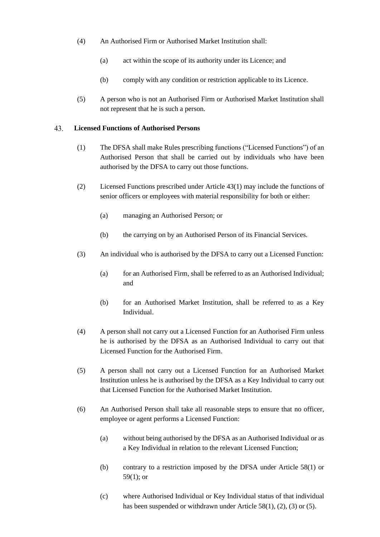- (4) An Authorised Firm or Authorised Market Institution shall:
	- (a) act within the scope of its authority under its Licence; and
	- (b) comply with any condition or restriction applicable to its Licence.
- (5) A person who is not an Authorised Firm or Authorised Market Institution shall not represent that he is such a person.

#### **Licensed Functions of Authorised Persons** 43.

- (1) The DFSA shall make Rules prescribing functions ("Licensed Functions") of an Authorised Person that shall be carried out by individuals who have been authorised by the DFSA to carry out those functions.
- (2) Licensed Functions prescribed under Article 43(1) may include the functions of senior officers or employees with material responsibility for both or either:
	- (a) managing an Authorised Person; or
	- (b) the carrying on by an Authorised Person of its Financial Services.
- (3) An individual who is authorised by the DFSA to carry out a Licensed Function:
	- (a) for an Authorised Firm, shall be referred to as an Authorised Individual; and
	- (b) for an Authorised Market Institution, shall be referred to as a Key Individual.
- (4) A person shall not carry out a Licensed Function for an Authorised Firm unless he is authorised by the DFSA as an Authorised Individual to carry out that Licensed Function for the Authorised Firm.
- (5) A person shall not carry out a Licensed Function for an Authorised Market Institution unless he is authorised by the DFSA as a Key Individual to carry out that Licensed Function for the Authorised Market Institution.
- (6) An Authorised Person shall take all reasonable steps to ensure that no officer, employee or agent performs a Licensed Function:
	- (a) without being authorised by the DFSA as an Authorised Individual or as a Key Individual in relation to the relevant Licensed Function;
	- (b) contrary to a restriction imposed by the DFSA under Article 58(1) or 59(1); or
	- (c) where Authorised Individual or Key Individual status of that individual has been suspended or withdrawn under Article 58(1), (2), (3) or (5).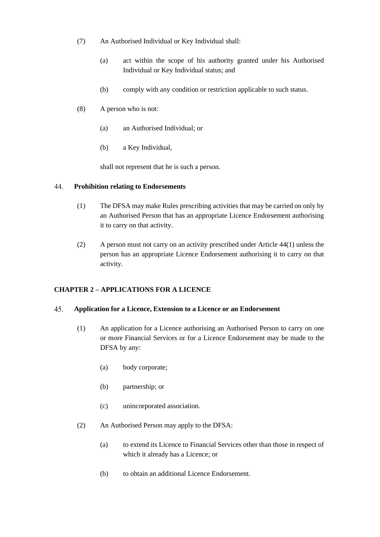- (7) An Authorised Individual or Key Individual shall:
	- (a) act within the scope of his authority granted under his Authorised Individual or Key Individual status; and
	- (b) comply with any condition or restriction applicable to such status.
- (8) A person who is not:
	- (a) an Authorised Individual; or
	- (b) a Key Individual,

shall not represent that he is such a person.

### 44. **Prohibition relating to Endorsements**

- (1) The DFSA may make Rules prescribing activities that may be carried on only by an Authorised Person that has an appropriate Licence Endorsement authorising it to carry on that activity.
- (2) A person must not carry on an activity prescribed under Article 44(1) unless the person has an appropriate Licence Endorsement authorising it to carry on that activity.

# **CHAPTER 2 – APPLICATIONS FOR A LICENCE**

#### 45. **Application for a Licence, Extension to a Licence or an Endorsement**

- (1) An application for a Licence authorising an Authorised Person to carry on one or more Financial Services or for a Licence Endorsement may be made to the DFSA by any:
	- (a) body corporate;
	- (b) partnership; or
	- (c) unincorporated association.
- (2) An Authorised Person may apply to the DFSA:
	- (a) to extend its Licence to Financial Services other than those in respect of which it already has a Licence; or
	- (b) to obtain an additional Licence Endorsement.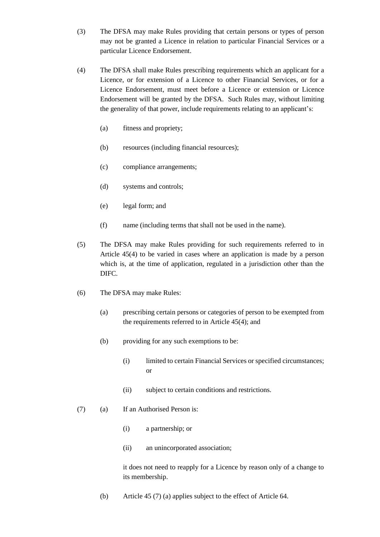- (3) The DFSA may make Rules providing that certain persons or types of person may not be granted a Licence in relation to particular Financial Services or a particular Licence Endorsement.
- (4) The DFSA shall make Rules prescribing requirements which an applicant for a Licence, or for extension of a Licence to other Financial Services, or for a Licence Endorsement, must meet before a Licence or extension or Licence Endorsement will be granted by the DFSA. Such Rules may, without limiting the generality of that power, include requirements relating to an applicant's:
	- (a) fitness and propriety;
	- (b) resources (including financial resources);
	- (c) compliance arrangements;
	- (d) systems and controls;
	- (e) legal form; and
	- (f) name (including terms that shall not be used in the name).
- (5) The DFSA may make Rules providing for such requirements referred to in Article 45(4) to be varied in cases where an application is made by a person which is, at the time of application, regulated in a jurisdiction other than the DIFC.
- (6) The DFSA may make Rules:
	- (a) prescribing certain persons or categories of person to be exempted from the requirements referred to in Article 45(4); and
	- (b) providing for any such exemptions to be:
		- (i) limited to certain Financial Services or specified circumstances; or
		- (ii) subject to certain conditions and restrictions.
- (7) (a) If an Authorised Person is:
	- (i) a partnership; or
	- (ii) an unincorporated association;

it does not need to reapply for a Licence by reason only of a change to its membership.

(b) Article 45 (7) (a) applies subject to the effect of Article 64.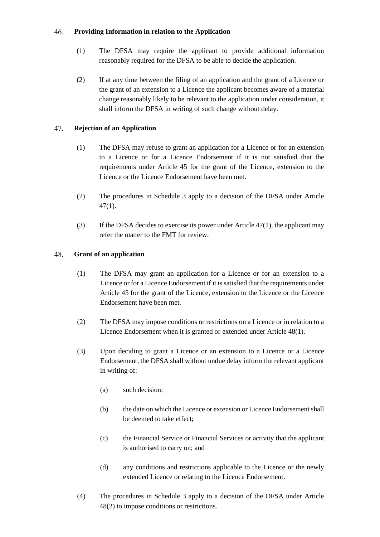### 46. **Providing Information in relation to the Application**

- (1) The DFSA may require the applicant to provide additional information reasonably required for the DFSA to be able to decide the application.
- (2) If at any time between the filing of an application and the grant of a Licence or the grant of an extension to a Licence the applicant becomes aware of a material change reasonably likely to be relevant to the application under consideration, it shall inform the DFSA in writing of such change without delay.

## 47. **Rejection of an Application**

- (1) The DFSA may refuse to grant an application for a Licence or for an extension to a Licence or for a Licence Endorsement if it is not satisfied that the requirements under Article 45 for the grant of the Licence, extension to the Licence or the Licence Endorsement have been met.
- (2) The procedures in Schedule 3 apply to a decision of the DFSA under Article  $47(1)$ .
- (3) If the DFSA decides to exercise its power under Article 47(1), the applicant may refer the matter to the FMT for review.

## 48. **Grant of an application**

- (1) The DFSA may grant an application for a Licence or for an extension to a Licence or for a Licence Endorsement if it is satisfied that the requirements under Article 45 for the grant of the Licence, extension to the Licence or the Licence Endorsement have been met.
- (2) The DFSA may impose conditions or restrictions on a Licence or in relation to a Licence Endorsement when it is granted or extended under Article 48(1).
- (3) Upon deciding to grant a Licence or an extension to a Licence or a Licence Endorsement, the DFSA shall without undue delay inform the relevant applicant in writing of:
	- (a) such decision;
	- (b) the date on which the Licence or extension or Licence Endorsement shall be deemed to take effect;
	- (c) the Financial Service or Financial Services or activity that the applicant is authorised to carry on; and
	- (d) any conditions and restrictions applicable to the Licence or the newly extended Licence or relating to the Licence Endorsement.
- (4) The procedures in Schedule 3 apply to a decision of the DFSA under Article 48(2) to impose conditions or restrictions.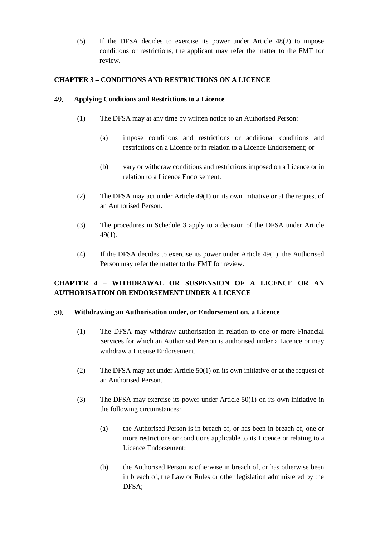(5) If the DFSA decides to exercise its power under Article 48(2) to impose conditions or restrictions, the applicant may refer the matter to the FMT for review.

# **CHAPTER 3 – CONDITIONS AND RESTRICTIONS ON A LICENCE**

### 49. **Applying Conditions and Restrictions to a Licence**

- (1) The DFSA may at any time by written notice to an Authorised Person:
	- (a) impose conditions and restrictions or additional conditions and restrictions on a Licence or in relation to a Licence Endorsement; or
	- (b) vary or withdraw conditions and restrictions imposed on a Licence or in relation to a Licence Endorsement.
- (2) The DFSA may act under Article 49(1) on its own initiative or at the request of an Authorised Person.
- (3) The procedures in Schedule 3 apply to a decision of the DFSA under Article 49(1).
- (4) If the DFSA decides to exercise its power under Article 49(1), the Authorised Person may refer the matter to the FMT for review.

# **CHAPTER 4 – WITHDRAWAL OR SUSPENSION OF A LICENCE OR AN AUTHORISATION OR ENDORSEMENT UNDER A LICENCE**

### 50. **Withdrawing an Authorisation under, or Endorsement on, a Licence**

- (1) The DFSA may withdraw authorisation in relation to one or more Financial Services for which an Authorised Person is authorised under a Licence or may withdraw a License Endorsement.
- (2) The DFSA may act under Article 50(1) on its own initiative or at the request of an Authorised Person.
- (3) The DFSA may exercise its power under Article 50(1) on its own initiative in the following circumstances:
	- (a) the Authorised Person is in breach of, or has been in breach of, one or more restrictions or conditions applicable to its Licence or relating to a Licence Endorsement;
	- (b) the Authorised Person is otherwise in breach of, or has otherwise been in breach of, the Law or Rules or other legislation administered by the DFSA;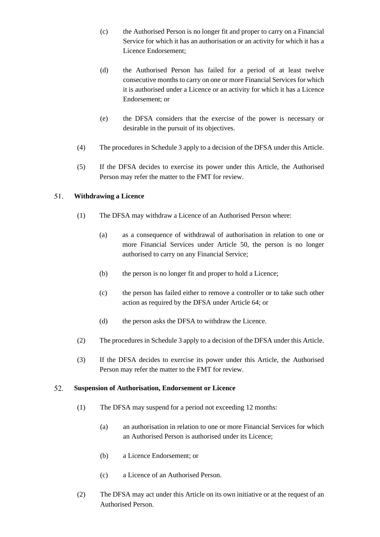- (c) the Authorised Person is no longer fit and proper to carry on a Financial Service for which it has an authorisation or an activity for which it has a Licence Endorsement;
- (d) the Authorised Person has failed for a period of at least twelve consecutive months to carry on one or more Financial Services for which it is authorised under a Licence or an activity for which it has a Licence Endorsement; or
- (e) the DFSA considers that the exercise of the power is necessary or desirable in the pursuit of its objectives.
- (4) The procedures in Schedule 3 apply to a decision of the DFSA under this Article.
- (5) If the DFSA decides to exercise its power under this Article, the Authorised Person may refer the matter to the FMT for review.

## 51. **Withdrawing a Licence**

- (1) The DFSA may withdraw a Licence of an Authorised Person where:
	- (a) as a consequence of withdrawal of authorisation in relation to one or more Financial Services under Article 50, the person is no longer authorised to carry on any Financial Service;
	- (b) the person is no longer fit and proper to hold a Licence;
	- (c) the person has failed either to remove a controller or to take such other action as required by the DFSA under Article 64; or
	- (d) the person asks the DFSA to withdraw the Licence.
- (2) The procedures in Schedule 3 apply to a decision of the DFSA under this Article.
- (3) If the DFSA decides to exercise its power under this Article, the Authorised Person may refer the matter to the FMT for review.

### 52. **Suspension of Authorisation, Endorsement or Licence**

- (1) The DFSA may suspend for a period not exceeding 12 months:
	- (a) an authorisation in relation to one or more Financial Services for which an Authorised Person is authorised under its Licence;
	- (b) a Licence Endorsement; or
	- (c) a Licence of an Authorised Person.
- (2) The DFSA may act under this Article on its own initiative or at the request of an Authorised Person.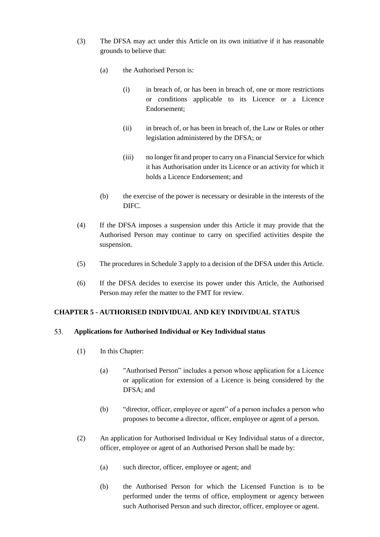- (3) The DFSA may act under this Article on its own initiative if it has reasonable grounds to believe that:
	- (a) the Authorised Person is:
		- (i) in breach of, or has been in breach of, one or more restrictions or conditions applicable to its Licence or a Licence Endorsement;
		- (ii) in breach of, or has been in breach of, the Law or Rules or other legislation administered by the DFSA; or
		- (iii) no longer fit and proper to carry on a Financial Service for which it has Authorisation under its Licence or an activity for which it holds a Licence Endorsement; and
	- (b) the exercise of the power is necessary or desirable in the interests of the DIFC.
- (4) If the DFSA imposes a suspension under this Article it may provide that the Authorised Person may continue to carry on specified activities despite the suspension.
- (5) The procedures in Schedule 3 apply to a decision of the DFSA under this Article.
- (6) If the DFSA decides to exercise its power under this Article, the Authorised Person may refer the matter to the FMT for review.

# **CHAPTER 5 - AUTHORISED INDIVIDUAL AND KEY INDIVIDUAL STATUS**

#### 53. **Applications for Authorised Individual or Key Individual status**

- (1) In this Chapter:
	- (a) "Authorised Person" includes a person whose application for a Licence or application for extension of a Licence is being considered by the DFSA; and
	- (b) "director, officer, employee or agent" of a person includes a person who proposes to become a director, officer, employee or agent of a person.
- (2) An application for Authorised Individual or Key Individual status of a director, officer, employee or agent of an Authorised Person shall be made by:
	- (a) such director, officer, employee or agent; and
	- (b) the Authorised Person for which the Licensed Function is to be performed under the terms of office, employment or agency between such Authorised Person and such director, officer, employee or agent.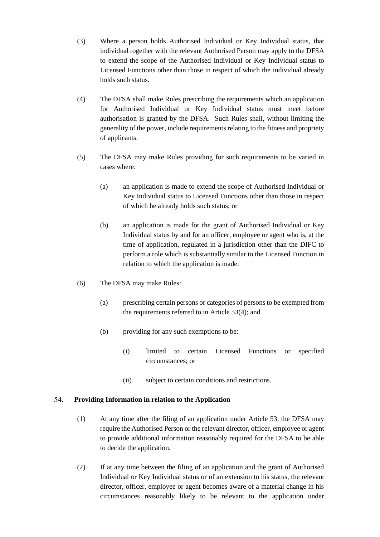- (3) Where a person holds Authorised Individual or Key Individual status, that individual together with the relevant Authorised Person may apply to the DFSA to extend the scope of the Authorised Individual or Key Individual status to Licensed Functions other than those in respect of which the individual already holds such status.
- (4) The DFSA shall make Rules prescribing the requirements which an application for Authorised Individual or Key Individual status must meet before authorisation is granted by the DFSA. Such Rules shall, without limiting the generality of the power, include requirements relating to the fitness and propriety of applicants.
- (5) The DFSA may make Rules providing for such requirements to be varied in cases where:
	- (a) an application is made to extend the scope of Authorised Individual or Key Individual status to Licensed Functions other than those in respect of which he already holds such status; or
	- (b) an application is made for the grant of Authorised Individual or Key Individual status by and for an officer, employee or agent who is, at the time of application, regulated in a jurisdiction other than the DIFC to perform a role which is substantially similar to the Licensed Function in relation to which the application is made.
- (6) The DFSA may make Rules:
	- (a) prescribing certain persons or categories of persons to be exempted from the requirements referred to in Article 53(4); and
	- (b) providing for any such exemptions to be:
		- (i) limited to certain Licensed Functions or specified circumstances; or
		- (ii) subject to certain conditions and restrictions.

#### 54. **Providing Information in relation to the Application**

- (1) At any time after the filing of an application under Article 53, the DFSA may require the Authorised Person or the relevant director, officer, employee or agent to provide additional information reasonably required for the DFSA to be able to decide the application.
- (2) If at any time between the filing of an application and the grant of Authorised Individual or Key Individual status or of an extension to his status, the relevant director, officer, employee or agent becomes aware of a material change in his circumstances reasonably likely to be relevant to the application under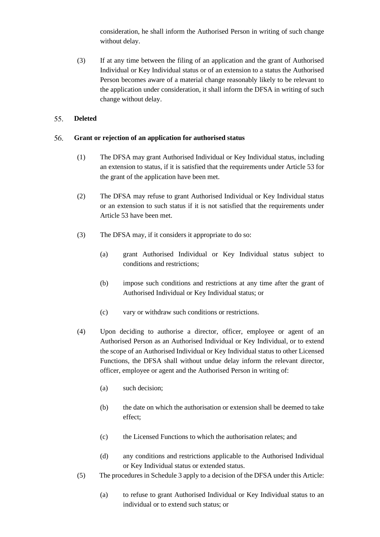consideration, he shall inform the Authorised Person in writing of such change without delay.

(3) If at any time between the filing of an application and the grant of Authorised Individual or Key Individual status or of an extension to a status the Authorised Person becomes aware of a material change reasonably likely to be relevant to the application under consideration, it shall inform the DFSA in writing of such change without delay.

### 55. **Deleted**

### 56. **Grant or rejection of an application for authorised status**

- (1) The DFSA may grant Authorised Individual or Key Individual status, including an extension to status, if it is satisfied that the requirements under Article 53 for the grant of the application have been met.
- (2) The DFSA may refuse to grant Authorised Individual or Key Individual status or an extension to such status if it is not satisfied that the requirements under Article 53 have been met.
- (3) The DFSA may, if it considers it appropriate to do so:
	- (a) grant Authorised Individual or Key Individual status subject to conditions and restrictions;
	- (b) impose such conditions and restrictions at any time after the grant of Authorised Individual or Key Individual status; or
	- (c) vary or withdraw such conditions or restrictions.
- (4) Upon deciding to authorise a director, officer, employee or agent of an Authorised Person as an Authorised Individual or Key Individual, or to extend the scope of an Authorised Individual or Key Individual status to other Licensed Functions, the DFSA shall without undue delay inform the relevant director, officer, employee or agent and the Authorised Person in writing of:
	- (a) such decision;
	- (b) the date on which the authorisation or extension shall be deemed to take effect;
	- (c) the Licensed Functions to which the authorisation relates; and
	- (d) any conditions and restrictions applicable to the Authorised Individual or Key Individual status or extended status.
- (5) The procedures in Schedule 3 apply to a decision of the DFSA under this Article:
	- (a) to refuse to grant Authorised Individual or Key Individual status to an individual or to extend such status; or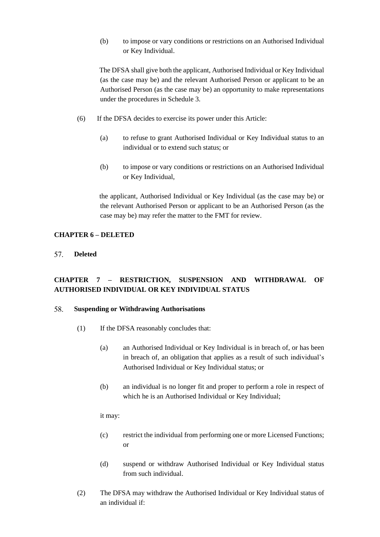(b) to impose or vary conditions or restrictions on an Authorised Individual or Key Individual.

The DFSA shall give both the applicant, Authorised Individual or Key Individual (as the case may be) and the relevant Authorised Person or applicant to be an Authorised Person (as the case may be) an opportunity to make representations under the procedures in Schedule 3.

- (6) If the DFSA decides to exercise its power under this Article:
	- (a) to refuse to grant Authorised Individual or Key Individual status to an individual or to extend such status; or
	- (b) to impose or vary conditions or restrictions on an Authorised Individual or Key Individual,

the applicant, Authorised Individual or Key Individual (as the case may be) or the relevant Authorised Person or applicant to be an Authorised Person (as the case may be) may refer the matter to the FMT for review.

## **CHAPTER 6 – DELETED**

57. **Deleted** 

# **CHAPTER 7 – RESTRICTION, SUSPENSION AND WITHDRAWAL OF AUTHORISED INDIVIDUAL OR KEY INDIVIDUAL STATUS**

### 58. **Suspending or Withdrawing Authorisations**

- (1) If the DFSA reasonably concludes that:
	- (a) an Authorised Individual or Key Individual is in breach of, or has been in breach of, an obligation that applies as a result of such individual's Authorised Individual or Key Individual status; or
	- (b) an individual is no longer fit and proper to perform a role in respect of which he is an Authorised Individual or Key Individual;

it may:

- (c) restrict the individual from performing one or more Licensed Functions; or
- (d) suspend or withdraw Authorised Individual or Key Individual status from such individual.
- (2) The DFSA may withdraw the Authorised Individual or Key Individual status of an individual if: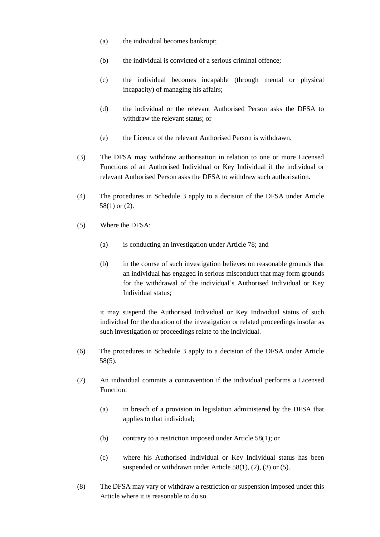- (a) the individual becomes bankrupt;
- (b) the individual is convicted of a serious criminal offence;
- (c) the individual becomes incapable (through mental or physical incapacity) of managing his affairs;
- (d) the individual or the relevant Authorised Person asks the DFSA to withdraw the relevant status; or
- (e) the Licence of the relevant Authorised Person is withdrawn.
- (3) The DFSA may withdraw authorisation in relation to one or more Licensed Functions of an Authorised Individual or Key Individual if the individual or relevant Authorised Person asks the DFSA to withdraw such authorisation.
- (4) The procedures in Schedule 3 apply to a decision of the DFSA under Article 58(1) or (2).
- (5) Where the DFSA:
	- (a) is conducting an investigation under Article 78; and
	- (b) in the course of such investigation believes on reasonable grounds that an individual has engaged in serious misconduct that may form grounds for the withdrawal of the individual's Authorised Individual or Key Individual status;

it may suspend the Authorised Individual or Key Individual status of such individual for the duration of the investigation or related proceedings insofar as such investigation or proceedings relate to the individual.

- (6) The procedures in Schedule 3 apply to a decision of the DFSA under Article 58(5).
- (7) An individual commits a contravention if the individual performs a Licensed Function:
	- (a) in breach of a provision in legislation administered by the DFSA that applies to that individual;
	- (b) contrary to a restriction imposed under Article 58(1); or
	- (c) where his Authorised Individual or Key Individual status has been suspended or withdrawn under Article 58(1), (2), (3) or (5).
- (8) The DFSA may vary or withdraw a restriction or suspension imposed under this Article where it is reasonable to do so.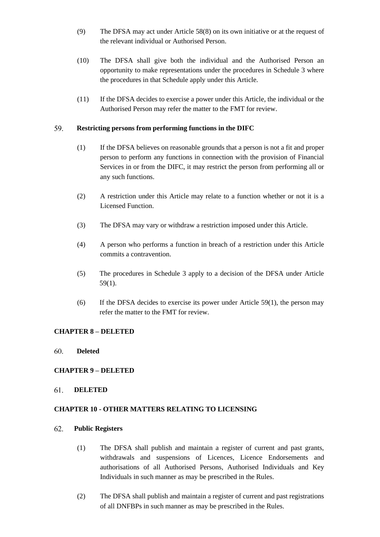- (9) The DFSA may act under Article 58(8) on its own initiative or at the request of the relevant individual or Authorised Person.
- (10) The DFSA shall give both the individual and the Authorised Person an opportunity to make representations under the procedures in Schedule 3 where the procedures in that Schedule apply under this Article.
- (11) If the DFSA decides to exercise a power under this Article, the individual or the Authorised Person may refer the matter to the FMT for review.

### 59. **Restricting persons from performing functions in the DIFC**

- (1) If the DFSA believes on reasonable grounds that a person is not a fit and proper person to perform any functions in connection with the provision of Financial Services in or from the DIFC, it may restrict the person from performing all or any such functions.
- (2) A restriction under this Article may relate to a function whether or not it is a Licensed Function.
- (3) The DFSA may vary or withdraw a restriction imposed under this Article.
- (4) A person who performs a function in breach of a restriction under this Article commits a contravention.
- (5) The procedures in Schedule 3 apply to a decision of the DFSA under Article 59(1).
- (6) If the DFSA decides to exercise its power under Article 59(1), the person may refer the matter to the FMT for review.

# **CHAPTER 8 – DELETED**

### 60. **Deleted**

# **CHAPTER 9 – DELETED**

### 61. **DELETED**

# **CHAPTER 10 - OTHER MATTERS RELATING TO LICENSING**

#### 62. **Public Registers**

- (1) The DFSA shall publish and maintain a register of current and past grants, withdrawals and suspensions of Licences, Licence Endorsements and authorisations of all Authorised Persons, Authorised Individuals and Key Individuals in such manner as may be prescribed in the Rules.
- (2) The DFSA shall publish and maintain a register of current and past registrations of all DNFBPs in such manner as may be prescribed in the Rules.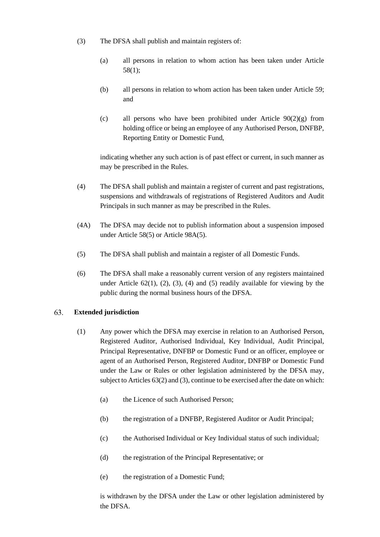- (3) The DFSA shall publish and maintain registers of:
	- (a) all persons in relation to whom action has been taken under Article 58(1);
	- (b) all persons in relation to whom action has been taken under Article 59; and
	- (c) all persons who have been prohibited under Article  $90(2)(g)$  from holding office or being an employee of any Authorised Person, DNFBP, Reporting Entity or Domestic Fund,

indicating whether any such action is of past effect or current, in such manner as may be prescribed in the Rules.

- (4) The DFSA shall publish and maintain a register of current and past registrations, suspensions and withdrawals of registrations of Registered Auditors and Audit Principals in such manner as may be prescribed in the Rules.
- (4A) The DFSA may decide not to publish information about a suspension imposed under Article 58(5) or Article 98A(5).
- (5) The DFSA shall publish and maintain a register of all Domestic Funds.
- (6) The DFSA shall make a reasonably current version of any registers maintained under Article  $62(1)$ ,  $(2)$ ,  $(3)$ ,  $(4)$  and  $(5)$  readily available for viewing by the public during the normal business hours of the DFSA.

### 63. **Extended jurisdiction**

- (1) Any power which the DFSA may exercise in relation to an Authorised Person, Registered Auditor, Authorised Individual, Key Individual, Audit Principal, Principal Representative, DNFBP or Domestic Fund or an officer, employee or agent of an Authorised Person, Registered Auditor, DNFBP or Domestic Fund under the Law or Rules or other legislation administered by the DFSA may, subject to Articles 63(2) and (3), continue to be exercised after the date on which:
	- (a) the Licence of such Authorised Person;
	- (b) the registration of a DNFBP, Registered Auditor or Audit Principal;
	- (c) the Authorised Individual or Key Individual status of such individual;
	- (d) the registration of the Principal Representative; or
	- (e) the registration of a Domestic Fund;

is withdrawn by the DFSA under the Law or other legislation administered by the DFSA.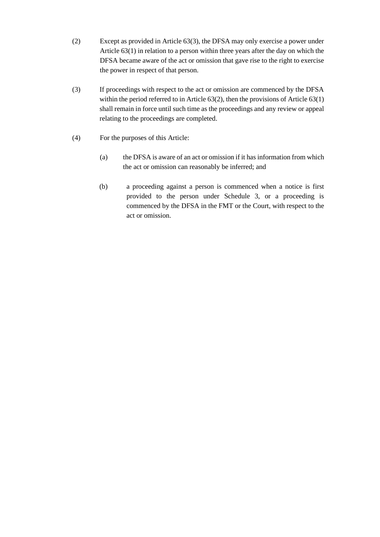- (2) Except as provided in Article 63(3), the DFSA may only exercise a power under Article 63(1) in relation to a person within three years after the day on which the DFSA became aware of the act or omission that gave rise to the right to exercise the power in respect of that person.
- (3) If proceedings with respect to the act or omission are commenced by the DFSA within the period referred to in Article 63(2), then the provisions of Article 63(1) shall remain in force until such time as the proceedings and any review or appeal relating to the proceedings are completed.
- (4) For the purposes of this Article:
	- (a) the DFSA is aware of an act or omission if it has information from which the act or omission can reasonably be inferred; and
	- (b) a proceeding against a person is commenced when a notice is first provided to the person under Schedule 3, or a proceeding is commenced by the DFSA in the FMT or the Court, with respect to the act or omission.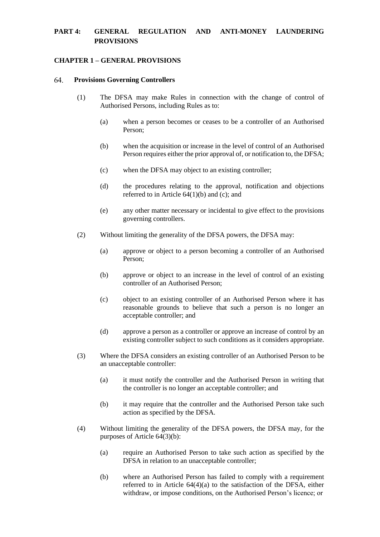# **PART 4: GENERAL REGULATION AND ANTI-MONEY LAUNDERING PROVISIONS**

# **CHAPTER 1 – GENERAL PROVISIONS**

#### 64. **Provisions Governing Controllers**

- (1) The DFSA may make Rules in connection with the change of control of Authorised Persons, including Rules as to:
	- (a) when a person becomes or ceases to be a controller of an Authorised Person;
	- (b) when the acquisition or increase in the level of control of an Authorised Person requires either the prior approval of, or notification to, the DFSA;
	- (c) when the DFSA may object to an existing controller;
	- (d) the procedures relating to the approval, notification and objections referred to in Article 64(1)(b) and (c); and
	- (e) any other matter necessary or incidental to give effect to the provisions governing controllers.
- (2) Without limiting the generality of the DFSA powers, the DFSA may:
	- (a) approve or object to a person becoming a controller of an Authorised Person;
	- (b) approve or object to an increase in the level of control of an existing controller of an Authorised Person;
	- (c) object to an existing controller of an Authorised Person where it has reasonable grounds to believe that such a person is no longer an acceptable controller; and
	- (d) approve a person as a controller or approve an increase of control by an existing controller subject to such conditions as it considers appropriate.
- (3) Where the DFSA considers an existing controller of an Authorised Person to be an unacceptable controller:
	- (a) it must notify the controller and the Authorised Person in writing that the controller is no longer an acceptable controller; and
	- (b) it may require that the controller and the Authorised Person take such action as specified by the DFSA.
- (4) Without limiting the generality of the DFSA powers, the DFSA may, for the purposes of Article 64(3)(b):
	- (a) require an Authorised Person to take such action as specified by the DFSA in relation to an unacceptable controller;
	- (b) where an Authorised Person has failed to comply with a requirement referred to in Article 64(4)(a) to the satisfaction of the DFSA, either withdraw, or impose conditions, on the Authorised Person's licence; or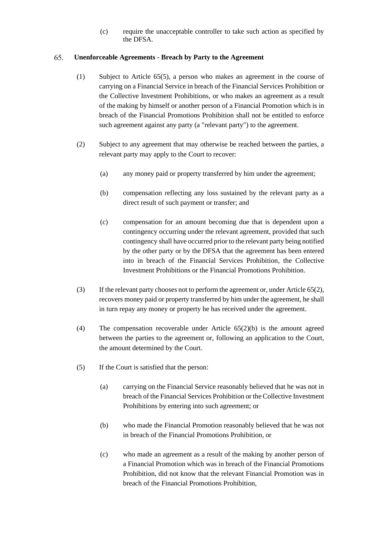(c) require the unacceptable controller to take such action as specified by the DFSA.

### 65. **Unenforceable Agreements - Breach by Party to the Agreement**

- (1) Subject to Article 65(5), a person who makes an agreement in the course of carrying on a Financial Service in breach of the Financial Services Prohibition or the Collective Investment Prohibitions, or who makes an agreement as a result of the making by himself or another person of a Financial Promotion which is in breach of the Financial Promotions Prohibition shall not be entitled to enforce such agreement against any party (a "relevant party") to the agreement.
- (2) Subject to any agreement that may otherwise be reached between the parties, a relevant party may apply to the Court to recover:
	- (a) any money paid or property transferred by him under the agreement;
	- (b) compensation reflecting any loss sustained by the relevant party as a direct result of such payment or transfer; and
	- (c) compensation for an amount becoming due that is dependent upon a contingency occurring under the relevant agreement, provided that such contingency shall have occurred prior to the relevant party being notified by the other party or by the DFSA that the agreement has been entered into in breach of the Financial Services Prohibition, the Collective Investment Prohibitions or the Financial Promotions Prohibition.
- (3) If the relevant party chooses not to perform the agreement or, under Article 65(2), recovers money paid or property transferred by him under the agreement, he shall in turn repay any money or property he has received under the agreement.
- (4) The compensation recoverable under Article 65(2)(b) is the amount agreed between the parties to the agreement or, following an application to the Court, the amount determined by the Court.
- (5) If the Court is satisfied that the person:
	- (a) carrying on the Financial Service reasonably believed that he was not in breach of the Financial Services Prohibition or the Collective Investment Prohibitions by entering into such agreement; or
	- (b) who made the Financial Promotion reasonably believed that he was not in breach of the Financial Promotions Prohibition, or
	- (c) who made an agreement as a result of the making by another person of a Financial Promotion which was in breach of the Financial Promotions Prohibition, did not know that the relevant Financial Promotion was in breach of the Financial Promotions Prohibition,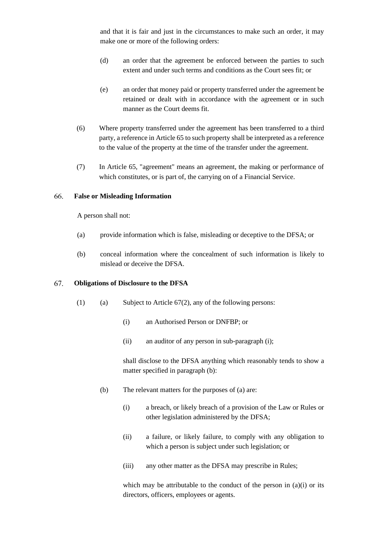and that it is fair and just in the circumstances to make such an order, it may make one or more of the following orders:

- (d) an order that the agreement be enforced between the parties to such extent and under such terms and conditions as the Court sees fit; or
- (e) an order that money paid or property transferred under the agreement be retained or dealt with in accordance with the agreement or in such manner as the Court deems fit.
- (6) Where property transferred under the agreement has been transferred to a third party, a reference in Article 65 to such property shall be interpreted as a reference to the value of the property at the time of the transfer under the agreement.
- (7) In Article 65, "agreement" means an agreement, the making or performance of which constitutes, or is part of, the carrying on of a Financial Service.

#### **False or Misleading Information** 66.

A person shall not:

- (a) provide information which is false, misleading or deceptive to the DFSA; or
- (b) conceal information where the concealment of such information is likely to mislead or deceive the DFSA.

#### 67. **Obligations of Disclosure to the DFSA**

- (1) (a) Subject to Article  $67(2)$ , any of the following persons:
	- (i) an Authorised Person or DNFBP; or
	- (ii) an auditor of any person in sub-paragraph (i);

shall disclose to the DFSA anything which reasonably tends to show a matter specified in paragraph (b):

- (b) The relevant matters for the purposes of (a) are:
	- (i) a breach, or likely breach of a provision of the Law or Rules or other legislation administered by the DFSA;
	- (ii) a failure, or likely failure, to comply with any obligation to which a person is subject under such legislation; or
	- (iii) any other matter as the DFSA may prescribe in Rules;

which may be attributable to the conduct of the person in  $(a)(i)$  or its directors, officers, employees or agents.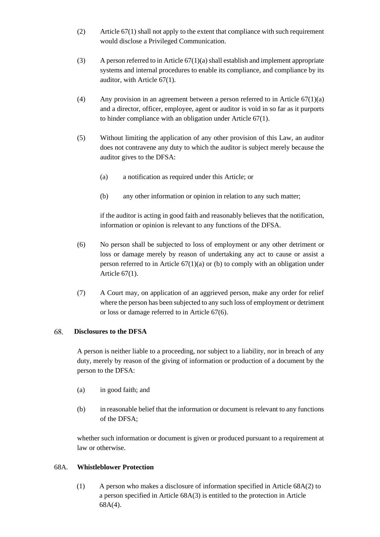- (2) Article 67(1) shall not apply to the extent that compliance with such requirement would disclose a Privileged Communication.
- (3) A person referred to in Article 67(1)(a) shall establish and implement appropriate systems and internal procedures to enable its compliance, and compliance by its auditor, with Article 67(1).
- (4) Any provision in an agreement between a person referred to in Article  $67(1)(a)$ and a director, officer, employee, agent or auditor is void in so far as it purports to hinder compliance with an obligation under Article 67(1).
- (5) Without limiting the application of any other provision of this Law, an auditor does not contravene any duty to which the auditor is subject merely because the auditor gives to the DFSA:
	- (a) a notification as required under this Article; or
	- (b) any other information or opinion in relation to any such matter;

if the auditor is acting in good faith and reasonably believes that the notification, information or opinion is relevant to any functions of the DFSA.

- (6) No person shall be subjected to loss of employment or any other detriment or loss or damage merely by reason of undertaking any act to cause or assist a person referred to in Article  $67(1)(a)$  or (b) to comply with an obligation under Article 67(1).
- (7) A Court may, on application of an aggrieved person, make any order for relief where the person has been subjected to any such loss of employment or detriment or loss or damage referred to in Article 67(6).

### 68. **Disclosures to the DFSA**

A person is neither liable to a proceeding, nor subject to a liability, nor in breach of any duty, merely by reason of the giving of information or production of a document by the person to the DFSA:

- (a) in good faith; and
- (b) in reasonable belief that the information or document is relevant to any functions of the DFSA;

whether such information or document is given or produced pursuant to a requirement at law or otherwise.

# 68A. **Whistleblower Protection**

(1) A person who makes a disclosure of information specified in Article 68A(2) to a person specified in Article 68A(3) is entitled to the protection in Article 68A(4).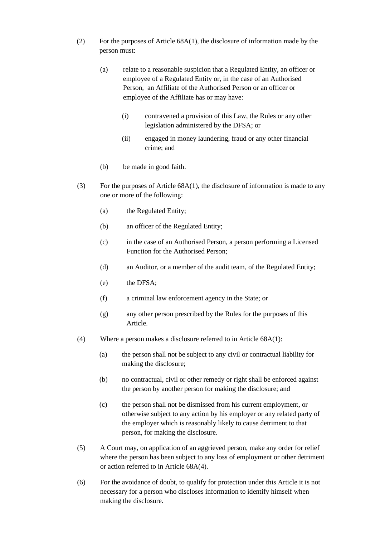- (2) For the purposes of Article 68A(1), the disclosure of information made by the person must:
	- (a) relate to a reasonable suspicion that a Regulated Entity, an officer or employee of a Regulated Entity or, in the case of an Authorised Person, an Affiliate of the Authorised Person or an officer or employee of the Affiliate has or may have:
		- (i) contravened a provision of this Law, the Rules or any other legislation administered by the DFSA; or
		- (ii) engaged in money laundering, fraud or any other financial crime; and
	- (b) be made in good faith.
- (3) For the purposes of Article  $68A(1)$ , the disclosure of information is made to any one or more of the following:
	- (a) the Regulated Entity;
	- (b) an officer of the Regulated Entity;
	- (c) in the case of an Authorised Person, a person performing a Licensed Function for the Authorised Person;
	- (d) an Auditor, or a member of the audit team, of the Regulated Entity;
	- (e) the DFSA;
	- (f) a criminal law enforcement agency in the State; or
	- (g) any other person prescribed by the Rules for the purposes of this Article.
- (4) Where a person makes a disclosure referred to in Article 68A(1):
	- (a) the person shall not be subject to any civil or contractual liability for making the disclosure;
	- (b) no contractual, civil or other remedy or right shall be enforced against the person by another person for making the disclosure; and
	- (c) the person shall not be dismissed from his current employment, or otherwise subject to any action by his employer or any related party of the employer which is reasonably likely to cause detriment to that person, for making the disclosure.
- (5) A Court may, on application of an aggrieved person, make any order for relief where the person has been subject to any loss of employment or other detriment or action referred to in Article 68A(4).
- (6) For the avoidance of doubt, to qualify for protection under this Article it is not necessary for a person who discloses information to identify himself when making the disclosure.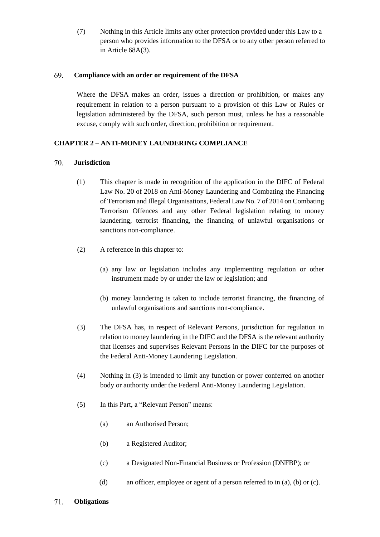(7) Nothing in this Article limits any other protection provided under this Law to a person who provides information to the DFSA or to any other person referred to in Article 68A(3).

### 69. **Compliance with an order or requirement of the DFSA**

Where the DFSA makes an order, issues a direction or prohibition, or makes any requirement in relation to a person pursuant to a provision of this Law or Rules or legislation administered by the DFSA, such person must, unless he has a reasonable excuse, comply with such order, direction, prohibition or requirement.

# **CHAPTER 2 – ANTI-MONEY LAUNDERING COMPLIANCE**

### 70. **Jurisdiction**

- (1) This chapter is made in recognition of the application in the DIFC of Federal Law No. 20 of 2018 on Anti-Money Laundering and Combating the Financing of Terrorism and Illegal Organisations, Federal Law No. 7 of 2014 on Combating Terrorism Offences and any other Federal legislation relating to money laundering, terrorist financing, the financing of unlawful organisations or sanctions non-compliance.
- (2) A reference in this chapter to:
	- (a) any law or legislation includes any implementing regulation or other instrument made by or under the law or legislation; and
	- (b) money laundering is taken to include terrorist financing, the financing of unlawful organisations and sanctions non-compliance.
- (3) The DFSA has, in respect of Relevant Persons, jurisdiction for regulation in relation to money laundering in the DIFC and the DFSA is the relevant authority that licenses and supervises Relevant Persons in the DIFC for the purposes of the Federal Anti-Money Laundering Legislation.
- (4) Nothing in (3) is intended to limit any function or power conferred on another body or authority under the Federal Anti-Money Laundering Legislation.
- (5) In this Part, a "Relevant Person" means:
	- (a) an Authorised Person;
	- (b) a Registered Auditor;
	- (c) a Designated Non-Financial Business or Profession (DNFBP); or
	- (d) an officer, employee or agent of a person referred to in (a), (b) or (c).
- 71. **Obligations**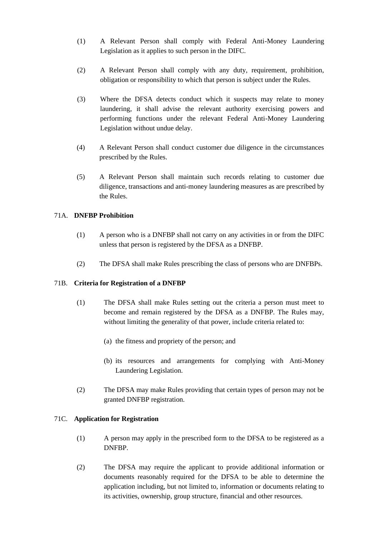- (1) A Relevant Person shall comply with Federal Anti-Money Laundering Legislation as it applies to such person in the DIFC.
- (2) A Relevant Person shall comply with any duty, requirement, prohibition, obligation or responsibility to which that person is subject under the Rules.
- (3) Where the DFSA detects conduct which it suspects may relate to money laundering, it shall advise the relevant authority exercising powers and performing functions under the relevant Federal Anti-Money Laundering Legislation without undue delay.
- (4) A Relevant Person shall conduct customer due diligence in the circumstances prescribed by the Rules.
- (5) A Relevant Person shall maintain such records relating to customer due diligence, transactions and anti-money laundering measures as are prescribed by the Rules.

# 71A. **DNFBP Prohibition**

- (1) A person who is a DNFBP shall not carry on any activities in or from the DIFC unless that person is registered by the DFSA as a DNFBP.
- (2) The DFSA shall make Rules prescribing the class of persons who are DNFBPs.

# 71B. **Criteria for Registration of a DNFBP**

- (1) The DFSA shall make Rules setting out the criteria a person must meet to become and remain registered by the DFSA as a DNFBP. The Rules may, without limiting the generality of that power, include criteria related to:
	- (a) the fitness and propriety of the person; and
	- (b) its resources and arrangements for complying with Anti-Money Laundering Legislation.
- (2) The DFSA may make Rules providing that certain types of person may not be granted DNFBP registration.

# 71C. **Application for Registration**

- (1) A person may apply in the prescribed form to the DFSA to be registered as a DNFBP.
- (2) The DFSA may require the applicant to provide additional information or documents reasonably required for the DFSA to be able to determine the application including, but not limited to, information or documents relating to its activities, ownership, group structure, financial and other resources.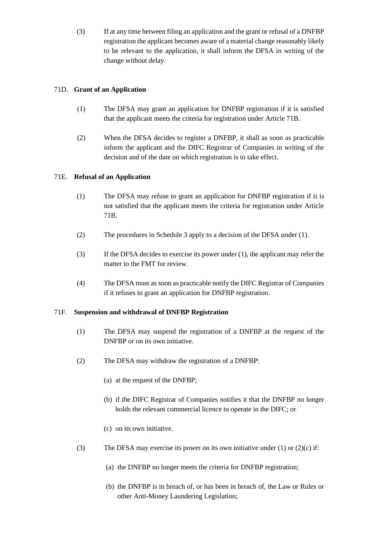(3) If at any time between filing an application and the grant or refusal of a DNFBP registration the applicant becomes aware of a material change reasonably likely to be relevant to the application, it shall inform the DFSA in writing of the change without delay.

# 71D. **Grant of an Application**

- (1) The DFSA may grant an application for DNFBP registration if it is satisfied that the applicant meets the criteria for registration under Article 71B.
- (2) When the DFSA decides to register a DNFBP, it shall as soon as practicable inform the applicant and the DIFC Registrar of Companies in writing of the decision and of the date on which registration is to take effect.

# 71E. **Refusal of an Application**

- (1) The DFSA may refuse to grant an application for DNFBP registration if it is not satisfied that the applicant meets the criteria for registration under Article 71B.
- (2) The procedures in Schedule 3 apply to a decision of the DFSA under (1).
- (3) If the DFSA decides to exercise its power under (1), the applicant may refer the matter to the FMT for review.
- (4) The DFSA must as soon as practicable notify the DIFC Registrar of Companies if it refuses to grant an application for DNFBP registration.

# 71F. **Suspension and withdrawal of DNFBP Registration**

- (1) The DFSA may suspend the registration of a DNFBP at the request of the DNFBP or on its own initiative.
- (2) The DFSA may withdraw the registration of a DNFBP:
	- (a) at the request of the DNFBP;
	- (b) if the DIFC Registrar of Companies notifies it that the DNFBP no longer holds the relevant commercial licence to operate in the DIFC; or
	- (c) on its own initiative.
- (3) The DFSA may exercise its power on its own initiative under (1) or  $(2)(c)$  if:
	- (a) the DNFBP no longer meets the criteria for DNFBP registration;
	- (b) the DNFBP is in breach of, or has been in breach of, the Law or Rules or other Anti-Money Laundering Legislation;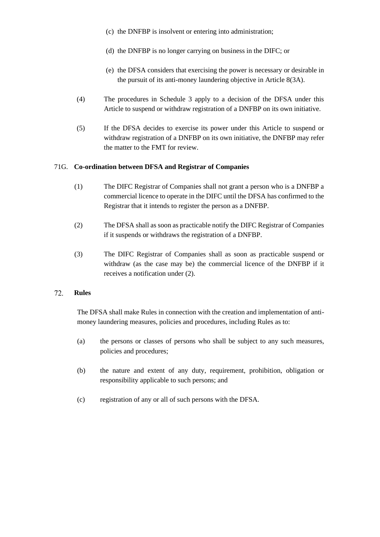- (c) the DNFBP is insolvent or entering into administration;
- (d) the DNFBP is no longer carrying on business in the DIFC; or
- (e) the DFSA considers that exercising the power is necessary or desirable in the pursuit of its anti-money laundering objective in Article 8(3A).
- (4) The procedures in Schedule 3 apply to a decision of the DFSA under this Article to suspend or withdraw registration of a DNFBP on its own initiative.
- (5) If the DFSA decides to exercise its power under this Article to suspend or withdraw registration of a DNFBP on its own initiative, the DNFBP may refer the matter to the FMT for review.

# 71G. **Co-ordination between DFSA and Registrar of Companies**

- (1) The DIFC Registrar of Companies shall not grant a person who is a DNFBP a commercial licence to operate in the DIFC until the DFSA has confirmed to the Registrar that it intends to register the person as a DNFBP.
- (2) The DFSA shall as soon as practicable notify the DIFC Registrar of Companies if it suspends or withdraws the registration of a DNFBP.
- (3) The DIFC Registrar of Companies shall as soon as practicable suspend or withdraw (as the case may be) the commercial licence of the DNFBP if it receives a notification under (2).

### 72. **Rules**

The DFSA shall make Rules in connection with the creation and implementation of antimoney laundering measures, policies and procedures, including Rules as to:

- (a) the persons or classes of persons who shall be subject to any such measures, policies and procedures;
- (b) the nature and extent of any duty, requirement, prohibition, obligation or responsibility applicable to such persons; and
- (c) registration of any or all of such persons with the DFSA.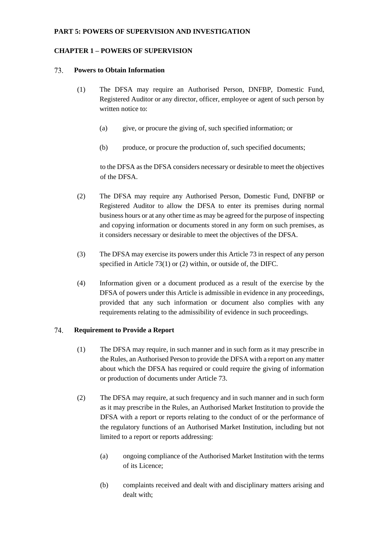# **PART 5: POWERS OF SUPERVISION AND INVESTIGATION**

# **CHAPTER 1 – POWERS OF SUPERVISION**

#### 73. **Powers to Obtain Information**

- (1) The DFSA may require an Authorised Person, DNFBP, Domestic Fund, Registered Auditor or any director, officer, employee or agent of such person by written notice to:
	- (a) give, or procure the giving of, such specified information; or
	- (b) produce, or procure the production of, such specified documents;

to the DFSA as the DFSA considers necessary or desirable to meet the objectives of the DFSA.

- (2) The DFSA may require any Authorised Person, Domestic Fund, DNFBP or Registered Auditor to allow the DFSA to enter its premises during normal business hours or at any other time as may be agreed for the purpose of inspecting and copying information or documents stored in any form on such premises, as it considers necessary or desirable to meet the objectives of the DFSA.
- (3) The DFSA may exercise its powers under this Article 73 in respect of any person specified in Article 73(1) or (2) within, or outside of, the DIFC.
- (4) Information given or a document produced as a result of the exercise by the DFSA of powers under this Article is admissible in evidence in any proceedings, provided that any such information or document also complies with any requirements relating to the admissibility of evidence in such proceedings.

#### 74. **Requirement to Provide a Report**

- (1) The DFSA may require, in such manner and in such form as it may prescribe in the Rules, an Authorised Person to provide the DFSA with a report on any matter about which the DFSA has required or could require the giving of information or production of documents under Article 73.
- (2) The DFSA may require, at such frequency and in such manner and in such form as it may prescribe in the Rules, an Authorised Market Institution to provide the DFSA with a report or reports relating to the conduct of or the performance of the regulatory functions of an Authorised Market Institution, including but not limited to a report or reports addressing:
	- (a) ongoing compliance of the Authorised Market Institution with the terms of its Licence;
	- (b) complaints received and dealt with and disciplinary matters arising and dealt with: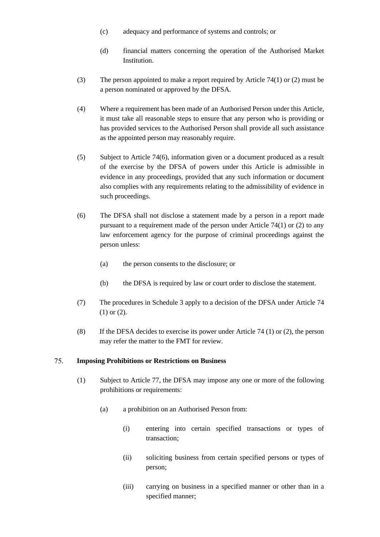- (c) adequacy and performance of systems and controls; or
- (d) financial matters concerning the operation of the Authorised Market Institution.
- (3) The person appointed to make a report required by Article 74(1) or (2) must be a person nominated or approved by the DFSA.
- (4) Where a requirement has been made of an Authorised Person under this Article, it must take all reasonable steps to ensure that any person who is providing or has provided services to the Authorised Person shall provide all such assistance as the appointed person may reasonably require.
- (5) Subject to Article 74(6), information given or a document produced as a result of the exercise by the DFSA of powers under this Article is admissible in evidence in any proceedings, provided that any such information or document also complies with any requirements relating to the admissibility of evidence in such proceedings.
- (6) The DFSA shall not disclose a statement made by a person in a report made pursuant to a requirement made of the person under Article 74(1) or (2) to any law enforcement agency for the purpose of criminal proceedings against the person unless:
	- (a) the person consents to the disclosure; or
	- (b) the DFSA is required by law or court order to disclose the statement.
- (7) The procedures in Schedule 3 apply to a decision of the DFSA under Article 74 (1) or (2).
- (8) If the DFSA decides to exercise its power under Article 74 (1) or (2), the person may refer the matter to the FMT for review.

#### 75. **Imposing Prohibitions or Restrictions on Business**

- (1) Subject to Article 77, the DFSA may impose any one or more of the following prohibitions or requirements:
	- (a) a prohibition on an Authorised Person from:
		- (i) entering into certain specified transactions or types of transaction;
		- (ii) soliciting business from certain specified persons or types of person;
		- (iii) carrying on business in a specified manner or other than in a specified manner;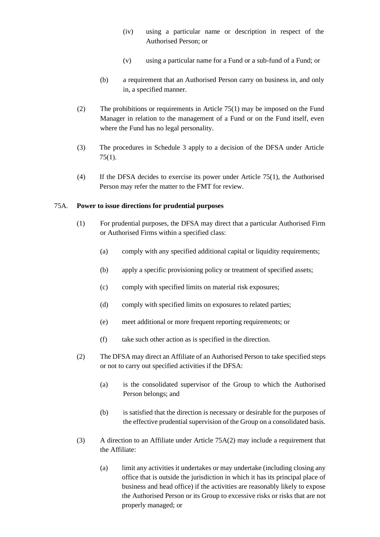- (iv) using a particular name or description in respect of the Authorised Person; or
- (v) using a particular name for a Fund or a sub-fund of a Fund; or
- (b) a requirement that an Authorised Person carry on business in, and only in, a specified manner.
- (2) The prohibitions or requirements in Article 75(1) may be imposed on the Fund Manager in relation to the management of a Fund or on the Fund itself, even where the Fund has no legal personality.
- (3) The procedures in Schedule 3 apply to a decision of the DFSA under Article 75(1).
- (4) If the DFSA decides to exercise its power under Article 75(1), the Authorised Person may refer the matter to the FMT for review.

# 75A. **Power to issue directions for prudential purposes**

- (1) For prudential purposes, the DFSA may direct that a particular Authorised Firm or Authorised Firms within a specified class:
	- (a) comply with any specified additional capital or liquidity requirements;
	- (b) apply a specific provisioning policy or treatment of specified assets;
	- (c) comply with specified limits on material risk exposures;
	- (d) comply with specified limits on exposures to related parties;
	- (e) meet additional or more frequent reporting requirements; or
	- (f) take such other action as is specified in the direction.
- (2) The DFSA may direct an Affiliate of an Authorised Person to take specified steps or not to carry out specified activities if the DFSA:
	- (a) is the consolidated supervisor of the Group to which the Authorised Person belongs; and
	- (b) is satisfied that the direction is necessary or desirable for the purposes of the effective prudential supervision of the Group on a consolidated basis.
- (3) A direction to an Affiliate under Article 75A(2) may include a requirement that the Affiliate:
	- (a) limit any activities it undertakes or may undertake (including closing any office that is outside the jurisdiction in which it has its principal place of business and head office) if the activities are reasonably likely to expose the Authorised Person or its Group to excessive risks or risks that are not properly managed; or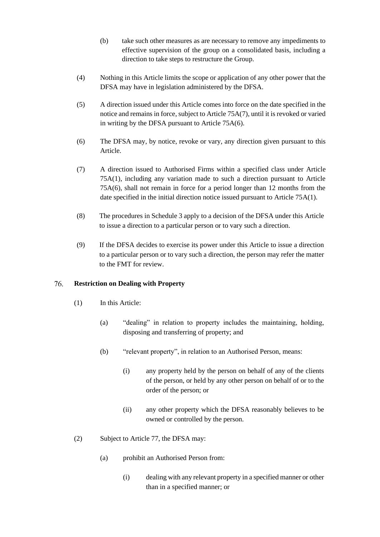- (b) take such other measures as are necessary to remove any impediments to effective supervision of the group on a consolidated basis, including a direction to take steps to restructure the Group.
- (4) Nothing in this Article limits the scope or application of any other power that the DFSA may have in legislation administered by the DFSA.
- (5) A direction issued under this Article comes into force on the date specified in the notice and remains in force, subject to Article 75A(7), until it is revoked or varied in writing by the DFSA pursuant to Article 75A(6).
- (6) The DFSA may, by notice, revoke or vary, any direction given pursuant to this Article.
- (7) A direction issued to Authorised Firms within a specified class under Article 75A(1), including any variation made to such a direction pursuant to Article 75A(6), shall not remain in force for a period longer than 12 months from the date specified in the initial direction notice issued pursuant to Article 75A(1).
- (8) The procedures in Schedule 3 apply to a decision of the DFSA under this Article to issue a direction to a particular person or to vary such a direction.
- (9) If the DFSA decides to exercise its power under this Article to issue a direction to a particular person or to vary such a direction, the person may refer the matter to the FMT for review.

### 76. **Restriction on Dealing with Property**

- (1) In this Article:
	- (a) "dealing" in relation to property includes the maintaining, holding, disposing and transferring of property; and
	- (b) "relevant property", in relation to an Authorised Person, means:
		- (i) any property held by the person on behalf of any of the clients of the person, or held by any other person on behalf of or to the order of the person; or
		- (ii) any other property which the DFSA reasonably believes to be owned or controlled by the person.
- (2) Subject to Article 77, the DFSA may:
	- (a) prohibit an Authorised Person from:
		- (i) dealing with any relevant property in a specified manner or other than in a specified manner; or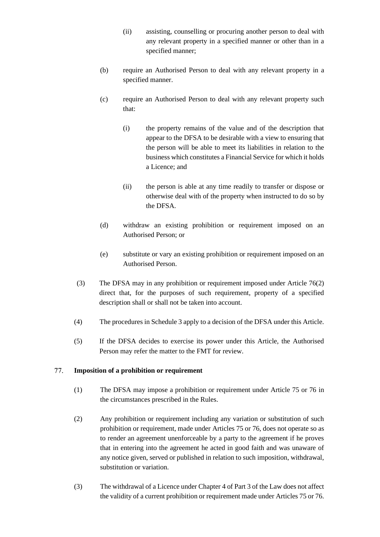- (ii) assisting, counselling or procuring another person to deal with any relevant property in a specified manner or other than in a specified manner;
- (b) require an Authorised Person to deal with any relevant property in a specified manner.
- (c) require an Authorised Person to deal with any relevant property such that:
	- (i) the property remains of the value and of the description that appear to the DFSA to be desirable with a view to ensuring that the person will be able to meet its liabilities in relation to the business which constitutes a Financial Service for which it holds a Licence; and
	- (ii) the person is able at any time readily to transfer or dispose or otherwise deal with of the property when instructed to do so by the DFSA.
- (d) withdraw an existing prohibition or requirement imposed on an Authorised Person; or
- (e) substitute or vary an existing prohibition or requirement imposed on an Authorised Person.
- (3) The DFSA may in any prohibition or requirement imposed under Article 76(2) direct that, for the purposes of such requirement, property of a specified description shall or shall not be taken into account.
- (4) The procedures in Schedule 3 apply to a decision of the DFSA under this Article.
- (5) If the DFSA decides to exercise its power under this Article, the Authorised Person may refer the matter to the FMT for review.

### 77. **Imposition of a prohibition or requirement**

- (1) The DFSA may impose a prohibition or requirement under Article 75 or 76 in the circumstances prescribed in the Rules.
- (2) Any prohibition or requirement including any variation or substitution of such prohibition or requirement, made under Articles 75 or 76, does not operate so as to render an agreement unenforceable by a party to the agreement if he proves that in entering into the agreement he acted in good faith and was unaware of any notice given, served or published in relation to such imposition, withdrawal, substitution or variation.
- (3) The withdrawal of a Licence under Chapter 4 of Part 3 of the Law does not affect the validity of a current prohibition or requirement made under Articles 75 or 76.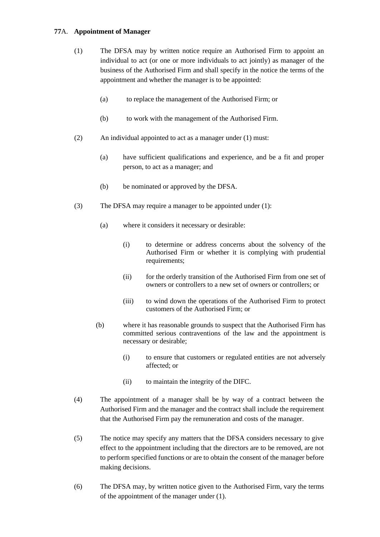# **77**A. **Appointment of Manager**

- (1) The DFSA may by written notice require an Authorised Firm to appoint an individual to act (or one or more individuals to act jointly) as manager of the business of the Authorised Firm and shall specify in the notice the terms of the appointment and whether the manager is to be appointed:
	- (a) to replace the management of the Authorised Firm; or
	- (b) to work with the management of the Authorised Firm.
- (2) An individual appointed to act as a manager under (1) must:
	- (a) have sufficient qualifications and experience, and be a fit and proper person, to act as a manager; and
	- (b) be nominated or approved by the DFSA.
- (3) The DFSA may require a manager to be appointed under (1):
	- (a) where it considers it necessary or desirable:
		- (i) to determine or address concerns about the solvency of the Authorised Firm or whether it is complying with prudential requirements;
		- (ii) for the orderly transition of the Authorised Firm from one set of owners or controllers to a new set of owners or controllers; or
		- (iii) to wind down the operations of the Authorised Firm to protect customers of the Authorised Firm; or
	- (b) where it has reasonable grounds to suspect that the Authorised Firm has committed serious contraventions of the law and the appointment is necessary or desirable;
		- (i) to ensure that customers or regulated entities are not adversely affected; or
		- (ii) to maintain the integrity of the DIFC.
- (4) The appointment of a manager shall be by way of a contract between the Authorised Firm and the manager and the contract shall include the requirement that the Authorised Firm pay the remuneration and costs of the manager.
- (5) The notice may specify any matters that the DFSA considers necessary to give effect to the appointment including that the directors are to be removed, are not to perform specified functions or are to obtain the consent of the manager before making decisions.
- (6) The DFSA may, by written notice given to the Authorised Firm, vary the terms of the appointment of the manager under (1).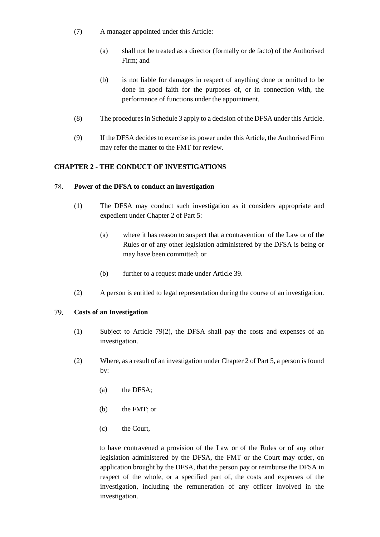- (7) A manager appointed under this Article:
	- (a) shall not be treated as a director (formally or de facto) of the Authorised Firm; and
	- (b) is not liable for damages in respect of anything done or omitted to be done in good faith for the purposes of, or in connection with, the performance of functions under the appointment.
- (8) The procedures in Schedule 3 apply to a decision of the DFSA under this Article.
- (9) If the DFSA decides to exercise its power under this Article, the Authorised Firm may refer the matter to the FMT for review.

# **CHAPTER 2 - THE CONDUCT OF INVESTIGATIONS**

#### 78. **Power of the DFSA to conduct an investigation**

- (1) The DFSA may conduct such investigation as it considers appropriate and expedient under Chapter 2 of Part 5:
	- (a) where it has reason to suspect that a contravention of the Law or of the Rules or of any other legislation administered by the DFSA is being or may have been committed; or
	- (b) further to a request made under Article 39.
- (2) A person is entitled to legal representation during the course of an investigation.

#### 79. **Costs of an Investigation**

- (1) Subject to Article 79(2), the DFSA shall pay the costs and expenses of an investigation.
- (2) Where, as a result of an investigation under Chapter 2 of Part 5, a person is found by:
	- (a) the DFSA;
	- (b) the FMT; or
	- (c) the Court,

to have contravened a provision of the Law or of the Rules or of any other legislation administered by the DFSA, the FMT or the Court may order, on application brought by the DFSA, that the person pay or reimburse the DFSA in respect of the whole, or a specified part of, the costs and expenses of the investigation, including the remuneration of any officer involved in the investigation.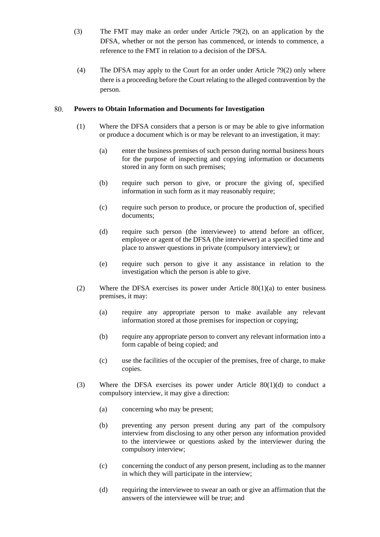- (3) The FMT may make an order under Article 79(2), on an application by the DFSA, whether or not the person has commenced, or intends to commence, a reference to the FMT in relation to a decision of the DFSA.
- (4) The DFSA may apply to the Court for an order under Article 79(2) only where there is a proceeding before the Court relating to the alleged contravention by the person.

### 80. **Powers to Obtain Information and Documents for Investigation**

- (1) Where the DFSA considers that a person is or may be able to give information or produce a document which is or may be relevant to an investigation, it may:
	- (a) enter the business premises of such person during normal business hours for the purpose of inspecting and copying information or documents stored in any form on such premises;
	- (b) require such person to give, or procure the giving of, specified information in such form as it may reasonably require;
	- (c) require such person to produce, or procure the production of, specified documents;
	- (d) require such person (the interviewee) to attend before an officer, employee or agent of the DFSA (the interviewer) at a specified time and place to answer questions in private (compulsory interview); or
	- (e) require such person to give it any assistance in relation to the investigation which the person is able to give.
- (2) Where the DFSA exercises its power under Article  $80(1)(a)$  to enter business premises, it may:
	- (a) require any appropriate person to make available any relevant information stored at those premises for inspection or copying;
	- (b) require any appropriate person to convert any relevant information into a form capable of being copied; and
	- (c) use the facilities of the occupier of the premises, free of charge, to make copies.
- (3) Where the DFSA exercises its power under Article  $80(1)(d)$  to conduct a compulsory interview, it may give a direction:
	- (a) concerning who may be present;
	- (b) preventing any person present during any part of the compulsory interview from disclosing to any other person any information provided to the interviewee or questions asked by the interviewer during the compulsory interview;
	- (c) concerning the conduct of any person present, including as to the manner in which they will participate in the interview;
	- (d) requiring the interviewee to swear an oath or give an affirmation that the answers of the interviewee will be true; and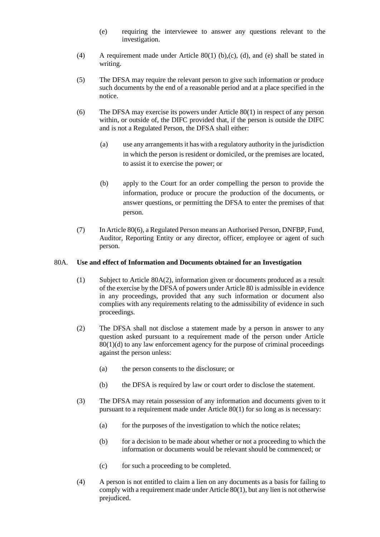- (e) requiring the interviewee to answer any questions relevant to the investigation.
- (4) A requirement made under Article 80(1) (b),(c), (d), and (e) shall be stated in writing.
- (5) The DFSA may require the relevant person to give such information or produce such documents by the end of a reasonable period and at a place specified in the notice.
- (6) The DFSA may exercise its powers under Article 80(1) in respect of any person within, or outside of, the DIFC provided that, if the person is outside the DIFC and is not a Regulated Person, the DFSA shall either:
	- (a) use any arrangements it has with a regulatory authority in the jurisdiction in which the person is resident or domiciled, or the premises are located, to assist it to exercise the power; or
	- (b) apply to the Court for an order compelling the person to provide the information, produce or procure the production of the documents, or answer questions, or permitting the DFSA to enter the premises of that person.
- (7) In Article 80(6), a Regulated Person means an Authorised Person, DNFBP, Fund, Auditor, Reporting Entity or any director, officer, employee or agent of such person.

## 80A. **Use and effect of Information and Documents obtained for an Investigation**

- (1) Subject to Article 80A(2), information given or documents produced as a result of the exercise by the DFSA of powers under Article 80 is admissible in evidence in any proceedings, provided that any such information or document also complies with any requirements relating to the admissibility of evidence in such proceedings.
- (2) The DFSA shall not disclose a statement made by a person in answer to any question asked pursuant to a requirement made of the person under Article 80(1)(d) to any law enforcement agency for the purpose of criminal proceedings against the person unless:
	- (a) the person consents to the disclosure; or
	- (b) the DFSA is required by law or court order to disclose the statement.
- (3) The DFSA may retain possession of any information and documents given to it pursuant to a requirement made under Article 80(1) for so long as is necessary:
	- (a) for the purposes of the investigation to which the notice relates;
	- (b) for a decision to be made about whether or not a proceeding to which the information or documents would be relevant should be commenced; or
	- (c) for such a proceeding to be completed.
- (4) A person is not entitled to claim a lien on any documents as a basis for failing to comply with a requirement made under Article 80(1), but any lien is not otherwise prejudiced.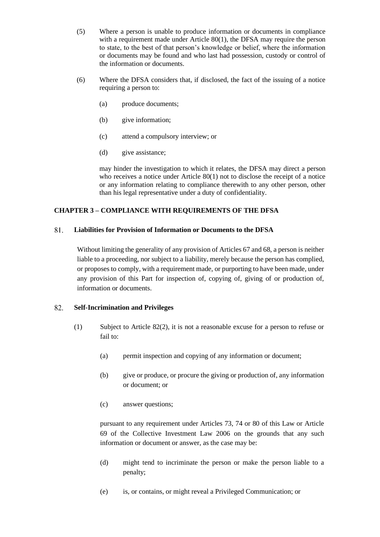- (5) Where a person is unable to produce information or documents in compliance with a requirement made under Article 80(1), the DFSA may require the person to state, to the best of that person's knowledge or belief, where the information or documents may be found and who last had possession, custody or control of the information or documents.
- (6) Where the DFSA considers that, if disclosed, the fact of the issuing of a notice requiring a person to:
	- (a) produce documents;
	- (b) give information;
	- (c) attend a compulsory interview; or
	- (d) give assistance;

may hinder the investigation to which it relates, the DFSA may direct a person who receives a notice under Article 80(1) not to disclose the receipt of a notice or any information relating to compliance therewith to any other person, other than his legal representative under a duty of confidentiality.

# **CHAPTER 3 – COMPLIANCE WITH REQUIREMENTS OF THE DFSA**

### 81. **Liabilities for Provision of Information or Documents to the DFSA**

Without limiting the generality of any provision of Articles 67 and 68, a person is neither liable to a proceeding, nor subject to a liability, merely because the person has complied, or proposes to comply, with a requirement made, or purporting to have been made, under any provision of this Part for inspection of, copying of, giving of or production of, information or documents.

### 82. **Self-Incrimination and Privileges**

- (1) Subject to Article 82(2), it is not a reasonable excuse for a person to refuse or fail to:
	- (a) permit inspection and copying of any information or document;
	- (b) give or produce, or procure the giving or production of, any information or document; or
	- (c) answer questions;

pursuant to any requirement under Articles 73, 74 or 80 of this Law or Article 69 of the Collective Investment Law 2006 on the grounds that any such information or document or answer, as the case may be:

- (d) might tend to incriminate the person or make the person liable to a penalty;
- (e) is, or contains, or might reveal a Privileged Communication; or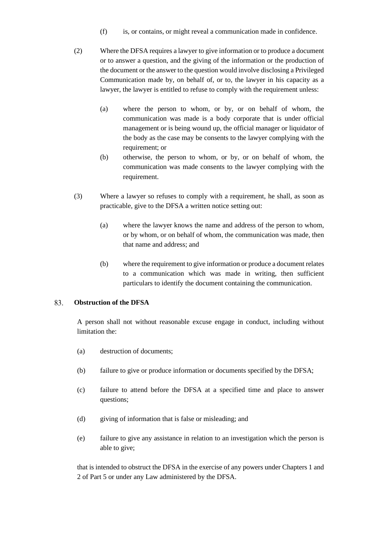- (f) is, or contains, or might reveal a communication made in confidence.
- (2) Where the DFSA requires a lawyer to give information or to produce a document or to answer a question, and the giving of the information or the production of the document or the answer to the question would involve disclosing a Privileged Communication made by, on behalf of, or to, the lawyer in his capacity as a lawyer, the lawyer is entitled to refuse to comply with the requirement unless:
	- (a) where the person to whom, or by, or on behalf of whom, the communication was made is a body corporate that is under official management or is being wound up, the official manager or liquidator of the body as the case may be consents to the lawyer complying with the requirement; or
	- (b) otherwise, the person to whom, or by, or on behalf of whom, the communication was made consents to the lawyer complying with the requirement.
- (3) Where a lawyer so refuses to comply with a requirement, he shall, as soon as practicable, give to the DFSA a written notice setting out:
	- (a) where the lawyer knows the name and address of the person to whom, or by whom, or on behalf of whom, the communication was made, then that name and address; and
	- (b) where the requirement to give information or produce a document relates to a communication which was made in writing, then sufficient particulars to identify the document containing the communication.

#### 83. **Obstruction of the DFSA**

A person shall not without reasonable excuse engage in conduct, including without limitation the:

- (a) destruction of documents;
- (b) failure to give or produce information or documents specified by the DFSA;
- (c) failure to attend before the DFSA at a specified time and place to answer questions;
- (d) giving of information that is false or misleading; and
- (e) failure to give any assistance in relation to an investigation which the person is able to give;

that is intended to obstruct the DFSA in the exercise of any powers under Chapters 1 and 2 of Part 5 or under any Law administered by the DFSA.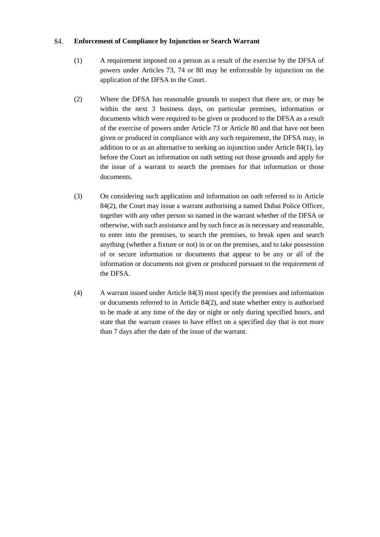#### 84. **Enforcement of Compliance by Injunction or Search Warrant**

- (1) A requirement imposed on a person as a result of the exercise by the DFSA of powers under Articles 73, 74 or 80 may be enforceable by injunction on the application of the DFSA to the Court.
- (2) Where the DFSA has reasonable grounds to suspect that there are, or may be within the next 3 business days, on particular premises, information or documents which were required to be given or produced to the DFSA as a result of the exercise of powers under Article 73 or Article 80 and that have not been given or produced in compliance with any such requirement, the DFSA may, in addition to or as an alternative to seeking an injunction under Article 84(1), lay before the Court an information on oath setting out those grounds and apply for the issue of a warrant to search the premises for that information or those documents.
- (3) On considering such application and information on oath referred to in Article 84(2), the Court may issue a warrant authorising a named Dubai Police Officer, together with any other person so named in the warrant whether of the DFSA or otherwise, with such assistance and by such force as is necessary and reasonable, to enter into the premises, to search the premises, to break open and search anything (whether a fixture or not) in or on the premises, and to take possession of or secure information or documents that appear to be any or all of the information or documents not given or produced pursuant to the requirement of the DFSA.
- (4) A warrant issued under Article 84(3) must specify the premises and information or documents referred to in Article 84(2), and state whether entry is authorised to be made at any time of the day or night or only during specified hours, and state that the warrant ceases to have effect on a specified day that is not more than 7 days after the date of the issue of the warrant.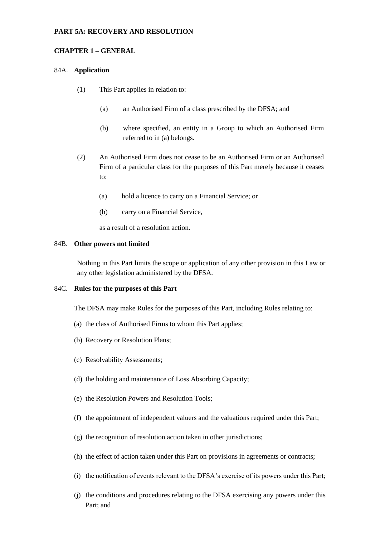## **PART 5A: RECOVERY AND RESOLUTION**

### **CHAPTER 1 – GENERAL**

### 84A. **Application**

- (1) This Part applies in relation to:
	- (a) an Authorised Firm of a class prescribed by the DFSA; and
	- (b) where specified, an entity in a Group to which an Authorised Firm referred to in (a) belongs.
- (2) An Authorised Firm does not cease to be an Authorised Firm or an Authorised Firm of a particular class for the purposes of this Part merely because it ceases to:
	- (a) hold a licence to carry on a Financial Service; or
	- (b) carry on a Financial Service,

as a result of a resolution action.

#### 84B. **Other powers not limited**

Nothing in this Part limits the scope or application of any other provision in this Law or any other legislation administered by the DFSA.

## 84C. **Rules for the purposes of this Part**

The DFSA may make Rules for the purposes of this Part, including Rules relating to:

- (a) the class of Authorised Firms to whom this Part applies;
- (b) Recovery or Resolution Plans;
- (c) Resolvability Assessments;
- (d) the holding and maintenance of Loss Absorbing Capacity;
- (e) the Resolution Powers and Resolution Tools;
- (f) the appointment of independent valuers and the valuations required under this Part;
- (g) the recognition of resolution action taken in other jurisdictions;
- (h) the effect of action taken under this Part on provisions in agreements or contracts;
- (i) the notification of events relevant to the DFSA's exercise of its powers under this Part;
- (j) the conditions and procedures relating to the DFSA exercising any powers under this Part; and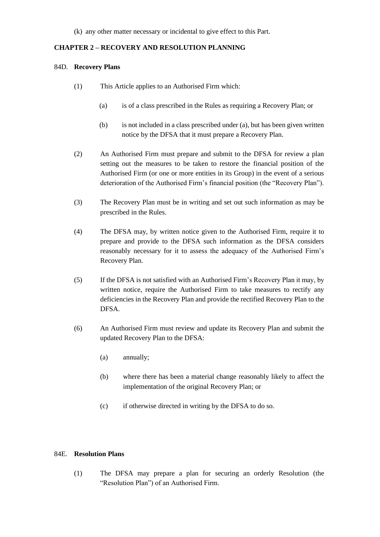## **CHAPTER 2 – RECOVERY AND RESOLUTION PLANNING**

### 84D. **Recovery Plans**

- (1) This Article applies to an Authorised Firm which:
	- (a) is of a class prescribed in the Rules as requiring a Recovery Plan; or
	- (b) is not included in a class prescribed under (a), but has been given written notice by the DFSA that it must prepare a Recovery Plan.
- (2) An Authorised Firm must prepare and submit to the DFSA for review a plan setting out the measures to be taken to restore the financial position of the Authorised Firm (or one or more entities in its Group) in the event of a serious deterioration of the Authorised Firm's financial position (the "Recovery Plan").
- (3) The Recovery Plan must be in writing and set out such information as may be prescribed in the Rules.
- (4) The DFSA may, by written notice given to the Authorised Firm, require it to prepare and provide to the DFSA such information as the DFSA considers reasonably necessary for it to assess the adequacy of the Authorised Firm's Recovery Plan.
- (5) If the DFSA is not satisfied with an Authorised Firm's Recovery Plan it may, by written notice, require the Authorised Firm to take measures to rectify any deficiencies in the Recovery Plan and provide the rectified Recovery Plan to the DFSA.
- (6) An Authorised Firm must review and update its Recovery Plan and submit the updated Recovery Plan to the DFSA:
	- (a) annually;
	- (b) where there has been a material change reasonably likely to affect the implementation of the original Recovery Plan; or
	- (c) if otherwise directed in writing by the DFSA to do so.

## 84E. **Resolution Plans**

(1) The DFSA may prepare a plan for securing an orderly Resolution (the "Resolution Plan") of an Authorised Firm.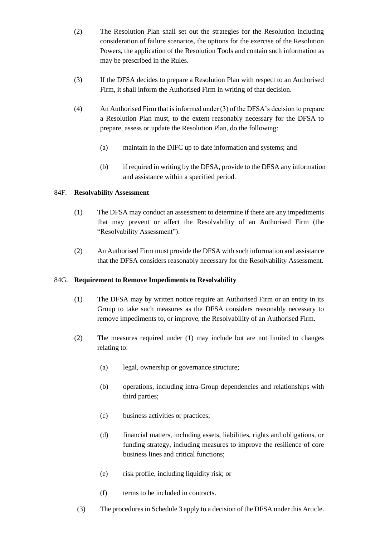- (2) The Resolution Plan shall set out the strategies for the Resolution including consideration of failure scenarios, the options for the exercise of the Resolution Powers, the application of the Resolution Tools and contain such information as may be prescribed in the Rules.
- (3) If the DFSA decides to prepare a Resolution Plan with respect to an Authorised Firm, it shall inform the Authorised Firm in writing of that decision.
- (4) An Authorised Firm that isinformed under (3) of the DFSA's decision to prepare a Resolution Plan must, to the extent reasonably necessary for the DFSA to prepare, assess or update the Resolution Plan, do the following:
	- (a) maintain in the DIFC up to date information and systems; and
	- (b) if required in writing by the DFSA, provide to the DFSA any information and assistance within a specified period.

## 84F. **Resolvability Assessment**

- (1) The DFSA may conduct an assessment to determine if there are any impediments that may prevent or affect the Resolvability of an Authorised Firm (the "Resolvability Assessment").
- (2) An Authorised Firm must provide the DFSA with such information and assistance that the DFSA considers reasonably necessary for the Resolvability Assessment.

## 84G. **Requirement to Remove Impediments to Resolvability**

- (1) The DFSA may by written notice require an Authorised Firm or an entity in its Group to take such measures as the DFSA considers reasonably necessary to remove impediments to, or improve, the Resolvability of an Authorised Firm.
- (2) The measures required under (1) may include but are not limited to changes relating to:
	- (a) legal, ownership or governance structure;
	- (b) operations, including intra-Group dependencies and relationships with third parties;
	- (c) business activities or practices;
	- (d) financial matters, including assets, liabilities, rights and obligations, or funding strategy, including measures to improve the resilience of core business lines and critical functions;
	- (e) risk profile, including liquidity risk; or
	- (f) terms to be included in contracts.
	- (3) The procedures in Schedule 3 apply to a decision of the DFSA under this Article.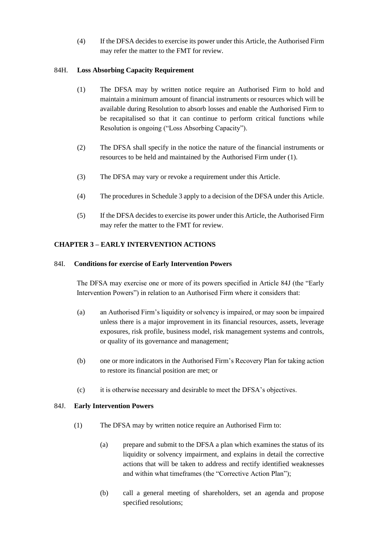(4) If the DFSA decides to exercise its power under this Article, the Authorised Firm may refer the matter to the FMT for review.

## 84H. **Loss Absorbing Capacity Requirement**

- (1) The DFSA may by written notice require an Authorised Firm to hold and maintain a minimum amount of financial instruments or resources which will be available during Resolution to absorb losses and enable the Authorised Firm to be recapitalised so that it can continue to perform critical functions while Resolution is ongoing ("Loss Absorbing Capacity").
- (2) The DFSA shall specify in the notice the nature of the financial instruments or resources to be held and maintained by the Authorised Firm under (1).
- (3) The DFSA may vary or revoke a requirement under this Article.
- (4) The procedures in Schedule 3 apply to a decision of the DFSA under this Article.
- (5) If the DFSA decides to exercise its power under this Article, the Authorised Firm may refer the matter to the FMT for review.

# **CHAPTER 3 – EARLY INTERVENTION ACTIONS**

## 84I. **Conditions for exercise of Early Intervention Powers**

The DFSA may exercise one or more of its powers specified in Article 84J (the "Early Intervention Powers") in relation to an Authorised Firm where it considers that:

- (a) an Authorised Firm's liquidity or solvency is impaired, or may soon be impaired unless there is a major improvement in its financial resources, assets, leverage exposures, risk profile, business model, risk management systems and controls, or quality of its governance and management;
- (b) one or more indicators in the Authorised Firm's Recovery Plan for taking action to restore its financial position are met; or
- (c) it is otherwise necessary and desirable to meet the DFSA's objectives.

## 84J. **Early Intervention Powers**

- (1) The DFSA may by written notice require an Authorised Firm to:
	- (a) prepare and submit to the DFSA a plan which examines the status of its liquidity or solvency impairment, and explains in detail the corrective actions that will be taken to address and rectify identified weaknesses and within what timeframes (the "Corrective Action Plan");
	- (b) call a general meeting of shareholders, set an agenda and propose specified resolutions;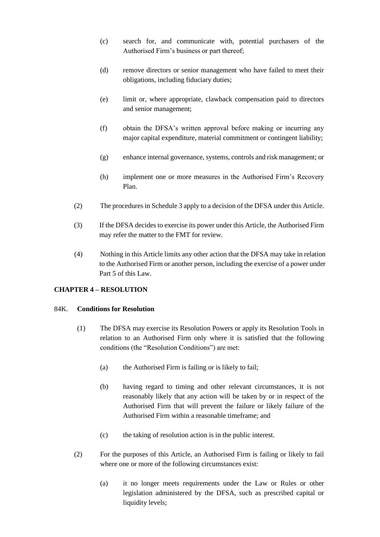- (c) search for, and communicate with, potential purchasers of the Authorised Firm's business or part thereof;
- (d) remove directors or senior management who have failed to meet their obligations, including fiduciary duties;
- (e) limit or, where appropriate, clawback compensation paid to directors and senior management;
- (f) obtain the DFSA's written approval before making or incurring any major capital expenditure, material commitment or contingent liability;
- (g) enhance internal governance, systems, controls and risk management; or
- (h) implement one or more measures in the Authorised Firm's Recovery Plan.
- (2) The procedures in Schedule 3 apply to a decision of the DFSA under this Article.
- (3) If the DFSA decides to exercise its power under this Article, the Authorised Firm may refer the matter to the FMT for review.
- (4) Nothing in this Article limits any other action that the DFSA may take in relation to the Authorised Firm or another person, including the exercise of a power under Part 5 of this Law.

## **CHAPTER 4 – RESOLUTION**

### 84K. **Conditions for Resolution**

- (1) The DFSA may exercise its Resolution Powers or apply its Resolution Tools in relation to an Authorised Firm only where it is satisfied that the following conditions (the "Resolution Conditions") are met:
	- (a) the Authorised Firm is failing or is likely to fail;
	- (b) having regard to timing and other relevant circumstances, it is not reasonably likely that any action will be taken by or in respect of the Authorised Firm that will prevent the failure or likely failure of the Authorised Firm within a reasonable timeframe; and
	- (c) the taking of resolution action is in the public interest.
- (2) For the purposes of this Article, an Authorised Firm is failing or likely to fail where one or more of the following circumstances exist:
	- (a) it no longer meets requirements under the Law or Rules or other legislation administered by the DFSA, such as prescribed capital or liquidity levels;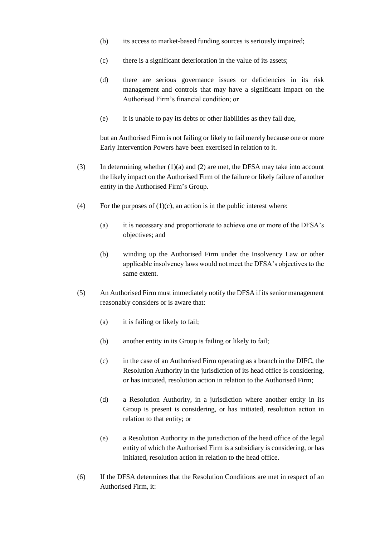- (b) its access to market-based funding sources is seriously impaired;
- (c) there is a significant deterioration in the value of its assets;
- (d) there are serious governance issues or deficiencies in its risk management and controls that may have a significant impact on the Authorised Firm's financial condition; or
- (e) it is unable to pay its debts or other liabilities as they fall due,

but an Authorised Firm is not failing or likely to fail merely because one or more Early Intervention Powers have been exercised in relation to it.

- (3) In determining whether (1)(a) and (2) are met, the DFSA may take into account the likely impact on the Authorised Firm of the failure or likely failure of another entity in the Authorised Firm's Group.
- (4) For the purposes of  $(1)(c)$ , an action is in the public interest where:
	- (a) it is necessary and proportionate to achieve one or more of the DFSA's objectives; and
	- (b) winding up the Authorised Firm under the Insolvency Law or other applicable insolvency laws would not meet the DFSA's objectives to the same extent.
- (5) An Authorised Firm must immediately notify the DFSA if its senior management reasonably considers or is aware that:
	- (a) it is failing or likely to fail;
	- (b) another entity in its Group is failing or likely to fail;
	- (c) in the case of an Authorised Firm operating as a branch in the DIFC, the Resolution Authority in the jurisdiction of its head office is considering, or has initiated, resolution action in relation to the Authorised Firm;
	- (d) a Resolution Authority, in a jurisdiction where another entity in its Group is present is considering, or has initiated, resolution action in relation to that entity; or
	- (e) a Resolution Authority in the jurisdiction of the head office of the legal entity of which the Authorised Firm is a subsidiary is considering, or has initiated, resolution action in relation to the head office.
- (6) If the DFSA determines that the Resolution Conditions are met in respect of an Authorised Firm, it: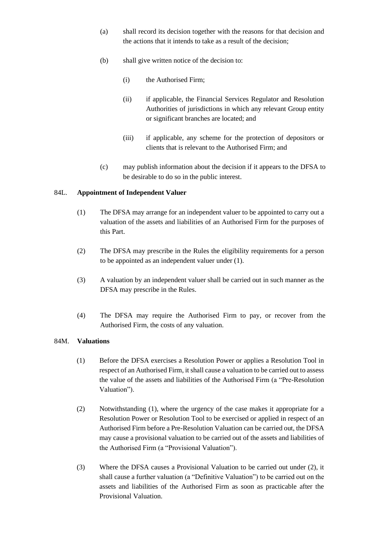- (a) shall record its decision together with the reasons for that decision and the actions that it intends to take as a result of the decision;
- (b) shall give written notice of the decision to:
	- (i) the Authorised Firm;
	- (ii) if applicable, the Financial Services Regulator and Resolution Authorities of jurisdictions in which any relevant Group entity or significant branches are located; and
	- (iii) if applicable, any scheme for the protection of depositors or clients that is relevant to the Authorised Firm; and
- (c) may publish information about the decision if it appears to the DFSA to be desirable to do so in the public interest.

## 84L. **Appointment of Independent Valuer**

- (1) The DFSA may arrange for an independent valuer to be appointed to carry out a valuation of the assets and liabilities of an Authorised Firm for the purposes of this Part.
- (2) The DFSA may prescribe in the Rules the eligibility requirements for a person to be appointed as an independent valuer under (1).
- (3) A valuation by an independent valuer shall be carried out in such manner as the DFSA may prescribe in the Rules.
- (4) The DFSA may require the Authorised Firm to pay, or recover from the Authorised Firm, the costs of any valuation.

### 84M. **Valuations**

- (1) Before the DFSA exercises a Resolution Power or applies a Resolution Tool in respect of an Authorised Firm, it shall cause a valuation to be carried out to assess the value of the assets and liabilities of the Authorised Firm (a "Pre-Resolution Valuation").
- (2) Notwithstanding (1), where the urgency of the case makes it appropriate for a Resolution Power or Resolution Tool to be exercised or applied in respect of an Authorised Firm before a Pre-Resolution Valuation can be carried out, the DFSA may cause a provisional valuation to be carried out of the assets and liabilities of the Authorised Firm (a "Provisional Valuation").
- (3) Where the DFSA causes a Provisional Valuation to be carried out under (2), it shall cause a further valuation (a "Definitive Valuation") to be carried out on the assets and liabilities of the Authorised Firm as soon as practicable after the Provisional Valuation.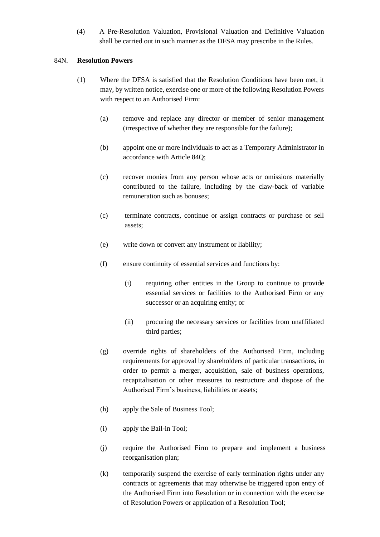(4) A Pre-Resolution Valuation, Provisional Valuation and Definitive Valuation shall be carried out in such manner as the DFSA may prescribe in the Rules.

### 84N. **Resolution Powers**

- (1) Where the DFSA is satisfied that the Resolution Conditions have been met, it may, by written notice, exercise one or more of the following Resolution Powers with respect to an Authorised Firm:
	- (a) remove and replace any director or member of senior management (irrespective of whether they are responsible for the failure);
	- (b) appoint one or more individuals to act as a Temporary Administrator in accordance with Article 84Q;
	- (c) recover monies from any person whose acts or omissions materially contributed to the failure, including by the claw-back of variable remuneration such as bonuses;
	- (c) terminate contracts, continue or assign contracts or purchase or sell assets;
	- (e) write down or convert any instrument or liability;
	- (f) ensure continuity of essential services and functions by:
		- (i) requiring other entities in the Group to continue to provide essential services or facilities to the Authorised Firm or any successor or an acquiring entity; or
		- (ii) procuring the necessary services or facilities from unaffiliated third parties;
	- (g) override rights of shareholders of the Authorised Firm, including requirements for approval by shareholders of particular transactions, in order to permit a merger, acquisition, sale of business operations, recapitalisation or other measures to restructure and dispose of the Authorised Firm's business, liabilities or assets;
	- (h) apply the Sale of Business Tool;
	- (i) apply the Bail-in Tool;
	- (j) require the Authorised Firm to prepare and implement a business reorganisation plan;
	- (k) temporarily suspend the exercise of early termination rights under any contracts or agreements that may otherwise be triggered upon entry of the Authorised Firm into Resolution or in connection with the exercise of Resolution Powers or application of a Resolution Tool;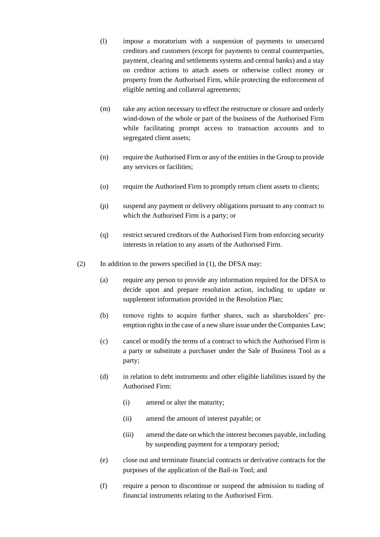- (l) impose a moratorium with a suspension of payments to unsecured creditors and customers (except for payments to central counterparties, payment, clearing and settlements systems and central banks) and a stay on creditor actions to attach assets or otherwise collect money or property from the Authorised Firm, while protecting the enforcement of eligible netting and collateral agreements;
- (m) take any action necessary to effect the restructure or closure and orderly wind-down of the whole or part of the business of the Authorised Firm while facilitating prompt access to transaction accounts and to segregated client assets;
- (n) require the Authorised Firm or any of the entities in the Group to provide any services or facilities;
- (o) require the Authorised Firm to promptly return client assets to clients;
- (p) suspend any payment or delivery obligations pursuant to any contract to which the Authorised Firm is a party; or
- (q) restrict secured creditors of the Authorised Firm from enforcing security interests in relation to any assets of the Authorised Firm.
- (2) In addition to the powers specified in (1), the DFSA may:
	- (a) require any person to provide any information required for the DFSA to decide upon and prepare resolution action, including to update or supplement information provided in the Resolution Plan;
	- (b) remove rights to acquire further shares, such as shareholders' preemption rights in the case of a new share issue under the Companies Law;
	- (c) cancel or modify the terms of a contract to which the Authorised Firm is a party or substitute a purchaser under the Sale of Business Tool as a party;
	- (d) in relation to debt instruments and other eligible liabilities issued by the Authorised Firm:
		- (i) amend or alter the maturity;
		- (ii) amend the amount of interest payable; or
		- (iii) amend the date on which the interest becomes payable, including by suspending payment for a temporary period;
	- (e) close out and terminate financial contracts or derivative contracts for the purposes of the application of the Bail-in Tool; and
	- (f) require a person to discontinue or suspend the admission to trading of financial instruments relating to the Authorised Firm.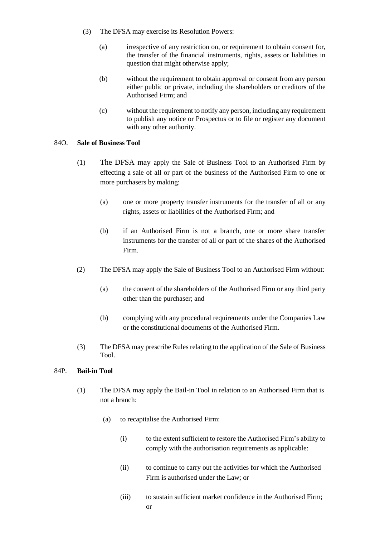- (3) The DFSA may exercise its Resolution Powers:
	- (a) irrespective of any restriction on, or requirement to obtain consent for, the transfer of the financial instruments, rights, assets or liabilities in question that might otherwise apply;
	- (b) without the requirement to obtain approval or consent from any person either public or private, including the shareholders or creditors of the Authorised Firm; and
	- (c) without the requirement to notify any person, including any requirement to publish any notice or Prospectus or to file or register any document with any other authority.

### 84O. **Sale of Business Tool**

- (1) The DFSA may apply the Sale of Business Tool to an Authorised Firm by effecting a sale of all or part of the business of the Authorised Firm to one or more purchasers by making:
	- (a) one or more property transfer instruments for the transfer of all or any rights, assets or liabilities of the Authorised Firm; and
	- (b) if an Authorised Firm is not a branch, one or more share transfer instruments for the transfer of all or part of the shares of the Authorised Firm.
- (2) The DFSA may apply the Sale of Business Tool to an Authorised Firm without:
	- (a) the consent of the shareholders of the Authorised Firm or any third party other than the purchaser; and
	- (b) complying with any procedural requirements under the Companies Law or the constitutional documents of the Authorised Firm.
- (3) The DFSA may prescribe Rules relating to the application of the Sale of Business Tool.

#### 84P. **Bail-in Tool**

- (1) The DFSA may apply the Bail-in Tool in relation to an Authorised Firm that is not a branch:
	- (a) to recapitalise the Authorised Firm:
		- (i) to the extent sufficient to restore the Authorised Firm's ability to comply with the authorisation requirements as applicable:
		- (ii) to continue to carry out the activities for which the Authorised Firm is authorised under the Law; or
		- (iii) to sustain sufficient market confidence in the Authorised Firm; or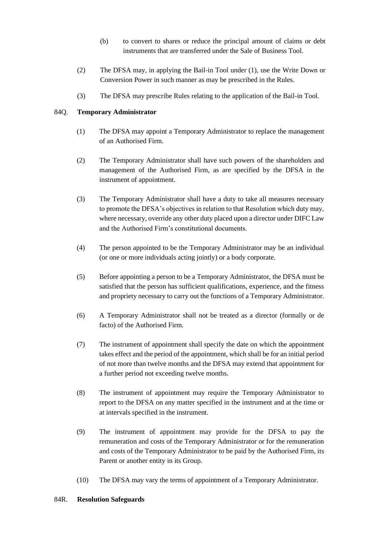- (b) to convert to shares or reduce the principal amount of claims or debt instruments that are transferred under the Sale of Business Tool.
- (2) The DFSA may, in applying the Bail-in Tool under (1), use the Write Down or Conversion Power in such manner as may be prescribed in the Rules.
- (3) The DFSA may prescribe Rules relating to the application of the Bail-in Tool.

## 84Q. **Temporary Administrator**

- (1) The DFSA may appoint a Temporary Administrator to replace the management of an Authorised Firm.
- (2) The Temporary Administrator shall have such powers of the shareholders and management of the Authorised Firm, as are specified by the DFSA in the instrument of appointment.
- (3) The Temporary Administrator shall have a duty to take all measures necessary to promote the DFSA's objectives in relation to that Resolution which duty may, where necessary, override any other duty placed upon a director under DIFC Law and the Authorised Firm's constitutional documents.
- (4) The person appointed to be the Temporary Administrator may be an individual (or one or more individuals acting jointly) or a body corporate.
- (5) Before appointing a person to be a Temporary Administrator, the DFSA must be satisfied that the person has sufficient qualifications, experience, and the fitness and propriety necessary to carry out the functions of a Temporary Administrator.
- (6) A Temporary Administrator shall not be treated as a director (formally or de facto) of the Authorised Firm.
- (7) The instrument of appointment shall specify the date on which the appointment takes effect and the period of the appointment, which shall be for an initial period of not more than twelve months and the DFSA may extend that appointment for a further period not exceeding twelve months.
- (8) The instrument of appointment may require the Temporary Administrator to report to the DFSA on any matter specified in the instrument and at the time or at intervals specified in the instrument.
- (9) The instrument of appointment may provide for the DFSA to pay the remuneration and costs of the Temporary Administrator or for the remuneration and costs of the Temporary Administrator to be paid by the Authorised Firm, its Parent or another entity in its Group.
- (10) The DFSA may vary the terms of appointment of a Temporary Administrator.

## 84R. **Resolution Safeguards**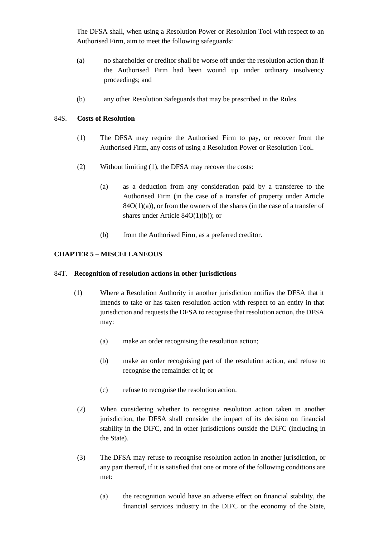The DFSA shall, when using a Resolution Power or Resolution Tool with respect to an Authorised Firm, aim to meet the following safeguards:

- (a) no shareholder or creditor shall be worse off under the resolution action than if the Authorised Firm had been wound up under ordinary insolvency proceedings; and
- (b) any other Resolution Safeguards that may be prescribed in the Rules.

## 84S. **Costs of Resolution**

- (1) The DFSA may require the Authorised Firm to pay, or recover from the Authorised Firm, any costs of using a Resolution Power or Resolution Tool.
- (2) Without limiting (1), the DFSA may recover the costs:
	- (a) as a deduction from any consideration paid by a transferee to the Authorised Firm (in the case of a transfer of property under Article  $84O(1)(a)$ , or from the owners of the shares (in the case of a transfer of shares under Article 84O(1)(b)); or
	- (b) from the Authorised Firm, as a preferred creditor.

## **CHAPTER 5 – MISCELLANEOUS**

### 84T. **Recognition of resolution actions in other jurisdictions**

- (1) Where a Resolution Authority in another jurisdiction notifies the DFSA that it intends to take or has taken resolution action with respect to an entity in that jurisdiction and requests the DFSA to recognise that resolution action, the DFSA may:
	- (a) make an order recognising the resolution action;
	- (b) make an order recognising part of the resolution action, and refuse to recognise the remainder of it; or
	- (c) refuse to recognise the resolution action.
- (2) When considering whether to recognise resolution action taken in another jurisdiction, the DFSA shall consider the impact of its decision on financial stability in the DIFC, and in other jurisdictions outside the DIFC (including in the State).
- (3) The DFSA may refuse to recognise resolution action in another jurisdiction, or any part thereof, if it is satisfied that one or more of the following conditions are met:
	- (a) the recognition would have an adverse effect on financial stability, the financial services industry in the DIFC or the economy of the State,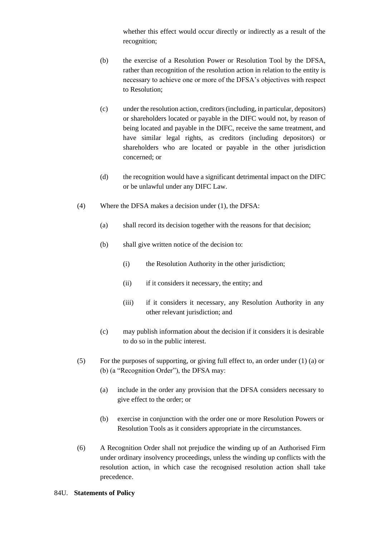whether this effect would occur directly or indirectly as a result of the recognition;

- (b) the exercise of a Resolution Power or Resolution Tool by the DFSA, rather than recognition of the resolution action in relation to the entity is necessary to achieve one or more of the DFSA's objectives with respect to Resolution;
- (c) under the resolution action, creditors (including, in particular, depositors) or shareholders located or payable in the DIFC would not, by reason of being located and payable in the DIFC, receive the same treatment, and have similar legal rights, as creditors (including depositors) or shareholders who are located or payable in the other jurisdiction concerned; or
- (d) the recognition would have a significant detrimental impact on the DIFC or be unlawful under any DIFC Law.
- (4) Where the DFSA makes a decision under (1), the DFSA:
	- (a) shall record its decision together with the reasons for that decision;
	- (b) shall give written notice of the decision to:
		- (i) the Resolution Authority in the other jurisdiction;
		- (ii) if it considers it necessary, the entity; and
		- (iii) if it considers it necessary, any Resolution Authority in any other relevant jurisdiction; and
	- (c) may publish information about the decision if it considers it is desirable to do so in the public interest.
- (5) For the purposes of supporting, or giving full effect to, an order under (1) (a) or (b) (a "Recognition Order"), the DFSA may:
	- (a) include in the order any provision that the DFSA considers necessary to give effect to the order; or
	- (b) exercise in conjunction with the order one or more Resolution Powers or Resolution Tools as it considers appropriate in the circumstances.
- (6) A Recognition Order shall not prejudice the winding up of an Authorised Firm under ordinary insolvency proceedings, unless the winding up conflicts with the resolution action, in which case the recognised resolution action shall take precedence.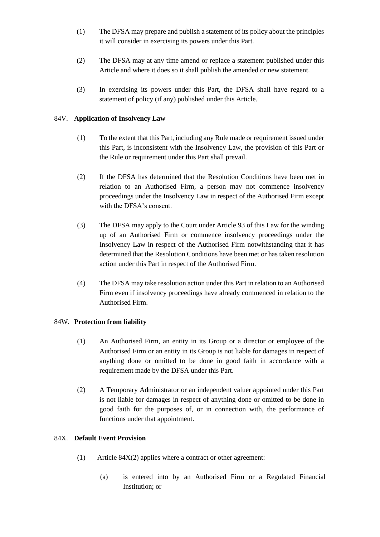- (1) The DFSA may prepare and publish a statement of its policy about the principles it will consider in exercising its powers under this Part.
- (2) The DFSA may at any time amend or replace a statement published under this Article and where it does so it shall publish the amended or new statement.
- (3) In exercising its powers under this Part, the DFSA shall have regard to a statement of policy (if any) published under this Article.

## 84V. **Application of Insolvency Law**

- (1) To the extent that this Part, including any Rule made or requirement issued under this Part, is inconsistent with the Insolvency Law, the provision of this Part or the Rule or requirement under this Part shall prevail.
- (2) If the DFSA has determined that the Resolution Conditions have been met in relation to an Authorised Firm, a person may not commence insolvency proceedings under the Insolvency Law in respect of the Authorised Firm except with the DFSA's consent.
- (3) The DFSA may apply to the Court under Article 93 of this Law for the winding up of an Authorised Firm or commence insolvency proceedings under the Insolvency Law in respect of the Authorised Firm notwithstanding that it has determined that the Resolution Conditions have been met or has taken resolution action under this Part in respect of the Authorised Firm.
- (4) The DFSA may take resolution action under this Part in relation to an Authorised Firm even if insolvency proceedings have already commenced in relation to the Authorised Firm.

## 84W. **Protection from liability**

- (1) An Authorised Firm, an entity in its Group or a director or employee of the Authorised Firm or an entity in its Group is not liable for damages in respect of anything done or omitted to be done in good faith in accordance with a requirement made by the DFSA under this Part.
- (2) A Temporary Administrator or an independent valuer appointed under this Part is not liable for damages in respect of anything done or omitted to be done in good faith for the purposes of, or in connection with, the performance of functions under that appointment.

## 84X. **Default Event Provision**

- (1) Article 84X(2) applies where a contract or other agreement:
	- (a) is entered into by an Authorised Firm or a Regulated Financial Institution; or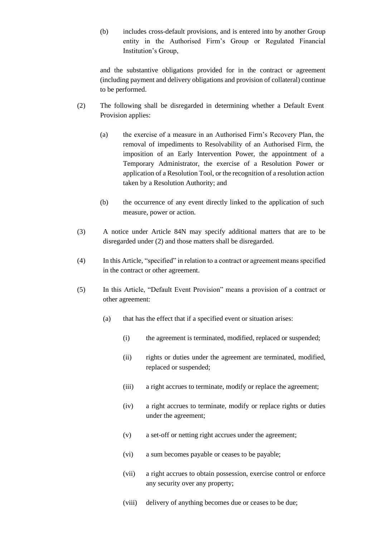(b) includes cross-default provisions, and is entered into by another Group entity in the Authorised Firm's Group or Regulated Financial Institution's Group,

and the substantive obligations provided for in the contract or agreement (including payment and delivery obligations and provision of collateral) continue to be performed.

- (2) The following shall be disregarded in determining whether a Default Event Provision applies:
	- (a) the exercise of a measure in an Authorised Firm's Recovery Plan, the removal of impediments to Resolvability of an Authorised Firm, the imposition of an Early Intervention Power, the appointment of a Temporary Administrator, the exercise of a Resolution Power or application of a Resolution Tool, or the recognition of a resolution action taken by a Resolution Authority; and
	- (b) the occurrence of any event directly linked to the application of such measure, power or action.
- (3) A notice under Article 84N may specify additional matters that are to be disregarded under (2) and those matters shall be disregarded.
- (4) In this Article, "specified" in relation to a contract or agreement means specified in the contract or other agreement.
- (5) In this Article, "Default Event Provision" means a provision of a contract or other agreement:
	- (a) that has the effect that if a specified event or situation arises:
		- (i) the agreement is terminated, modified, replaced or suspended;
		- (ii) rights or duties under the agreement are terminated, modified, replaced or suspended;
		- (iii) a right accrues to terminate, modify or replace the agreement;
		- (iv) a right accrues to terminate, modify or replace rights or duties under the agreement;
		- (v) a set-off or netting right accrues under the agreement;
		- (vi) a sum becomes payable or ceases to be payable;
		- (vii) a right accrues to obtain possession, exercise control or enforce any security over any property;
		- (viii) delivery of anything becomes due or ceases to be due;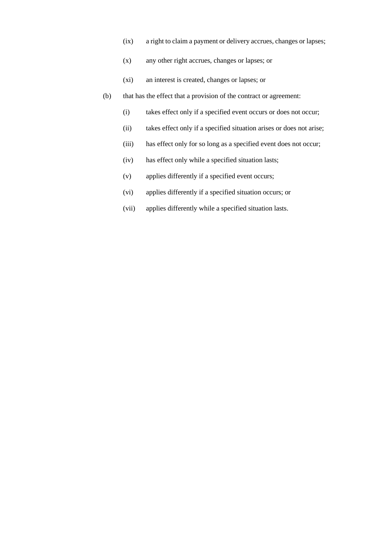- (ix) a right to claim a payment or delivery accrues, changes or lapses;
- (x) any other right accrues, changes or lapses; or
- (xi) an interest is created, changes or lapses; or
- (b) that has the effect that a provision of the contract or agreement:
	- (i) takes effect only if a specified event occurs or does not occur;
	- (ii) takes effect only if a specified situation arises or does not arise;
	- (iii) has effect only for so long as a specified event does not occur;
	- (iv) has effect only while a specified situation lasts;
	- (v) applies differently if a specified event occurs;
	- (vi) applies differently if a specified situation occurs; or
	- (vii) applies differently while a specified situation lasts.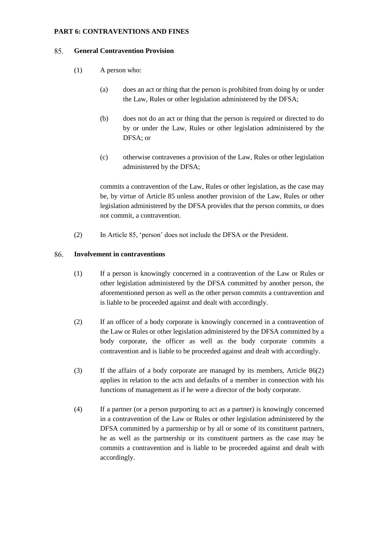## **PART 6: CONTRAVENTIONS AND FINES**

#### 85. **General Contravention Provision**

- (1) A person who:
	- (a) does an act or thing that the person is prohibited from doing by or under the Law, Rules or other legislation administered by the DFSA;
	- (b) does not do an act or thing that the person is required or directed to do by or under the Law, Rules or other legislation administered by the DFSA; or
	- (c) otherwise contravenes a provision of the Law, Rules or other legislation administered by the DFSA;

commits a contravention of the Law, Rules or other legislation, as the case may be, by virtue of Article 85 unless another provision of the Law, Rules or other legislation administered by the DFSA provides that the person commits, or does not commit, a contravention.

(2) In Article 85, 'person' does not include the DFSA or the President.

#### 86. **Involvement in contraventions**

- (1) If a person is knowingly concerned in a contravention of the Law or Rules or other legislation administered by the DFSA committed by another person, the aforementioned person as well as the other person commits a contravention and is liable to be proceeded against and dealt with accordingly.
- (2) If an officer of a body corporate is knowingly concerned in a contravention of the Law or Rules or other legislation administered by the DFSA committed by a body corporate, the officer as well as the body corporate commits a contravention and is liable to be proceeded against and dealt with accordingly.
- (3) If the affairs of a body corporate are managed by its members, Article 86(2) applies in relation to the acts and defaults of a member in connection with his functions of management as if he were a director of the body corporate.
- (4) If a partner (or a person purporting to act as a partner) is knowingly concerned in a contravention of the Law or Rules or other legislation administered by the DFSA committed by a partnership or by all or some of its constituent partners, he as well as the partnership or its constituent partners as the case may be commits a contravention and is liable to be proceeded against and dealt with accordingly.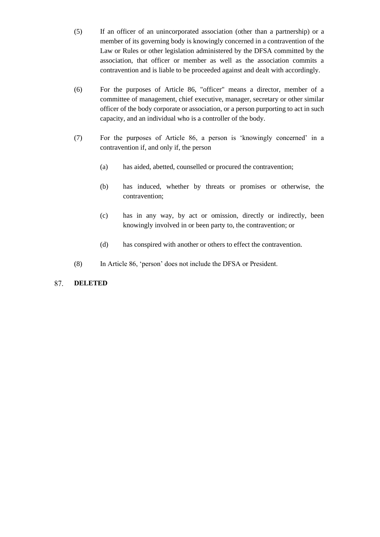- (5) If an officer of an unincorporated association (other than a partnership) or a member of its governing body is knowingly concerned in a contravention of the Law or Rules or other legislation administered by the DFSA committed by the association, that officer or member as well as the association commits a contravention and is liable to be proceeded against and dealt with accordingly.
- (6) For the purposes of Article 86, "officer" means a director, member of a committee of management, chief executive, manager, secretary or other similar officer of the body corporate or association, or a person purporting to act in such capacity, and an individual who is a controller of the body.
- (7) For the purposes of Article 86, a person is 'knowingly concerned' in a contravention if, and only if, the person
	- (a) has aided, abetted, counselled or procured the contravention;
	- (b) has induced, whether by threats or promises or otherwise, the contravention;
	- (c) has in any way, by act or omission, directly or indirectly, been knowingly involved in or been party to, the contravention; or
	- (d) has conspired with another or others to effect the contravention.
- (8) In Article 86, 'person' does not include the DFSA or President.

#### 87. **DELETED**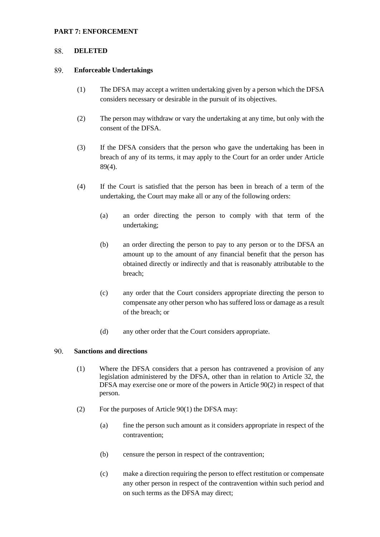### **PART 7: ENFORCEMENT**

#### 88. **DELETED**

#### 89. **Enforceable Undertakings**

- (1) The DFSA may accept a written undertaking given by a person which the DFSA considers necessary or desirable in the pursuit of its objectives.
- (2) The person may withdraw or vary the undertaking at any time, but only with the consent of the DFSA.
- (3) If the DFSA considers that the person who gave the undertaking has been in breach of any of its terms, it may apply to the Court for an order under Article 89(4).
- (4) If the Court is satisfied that the person has been in breach of a term of the undertaking, the Court may make all or any of the following orders:
	- (a) an order directing the person to comply with that term of the undertaking;
	- (b) an order directing the person to pay to any person or to the DFSA an amount up to the amount of any financial benefit that the person has obtained directly or indirectly and that is reasonably attributable to the breach;
	- (c) any order that the Court considers appropriate directing the person to compensate any other person who has suffered loss or damage as a result of the breach; or
	- (d) any other order that the Court considers appropriate.

#### 90. **Sanctions and directions**

- (1) Where the DFSA considers that a person has contravened a provision of any legislation administered by the DFSA, other than in relation to Article 32, the DFSA may exercise one or more of the powers in Article 90(2) in respect of that person.
- (2) For the purposes of Article 90(1) the DFSA may:
	- (a) fine the person such amount as it considers appropriate in respect of the contravention;
	- (b) censure the person in respect of the contravention;
	- (c) make a direction requiring the person to effect restitution or compensate any other person in respect of the contravention within such period and on such terms as the DFSA may direct;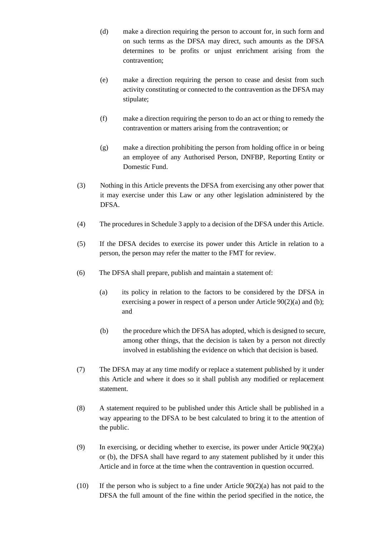- (d) make a direction requiring the person to account for, in such form and on such terms as the DFSA may direct, such amounts as the DFSA determines to be profits or unjust enrichment arising from the contravention;
- (e) make a direction requiring the person to cease and desist from such activity constituting or connected to the contravention as the DFSA may stipulate;
- (f) make a direction requiring the person to do an act or thing to remedy the contravention or matters arising from the contravention; or
- (g) make a direction prohibiting the person from holding office in or being an employee of any Authorised Person, DNFBP, Reporting Entity or Domestic Fund.
- (3) Nothing in this Article prevents the DFSA from exercising any other power that it may exercise under this Law or any other legislation administered by the DFSA.
- (4) The procedures in Schedule 3 apply to a decision of the DFSA under this Article.
- (5) If the DFSA decides to exercise its power under this Article in relation to a person, the person may refer the matter to the FMT for review.
- (6) The DFSA shall prepare, publish and maintain a statement of:
	- (a) its policy in relation to the factors to be considered by the DFSA in exercising a power in respect of a person under Article 90(2)(a) and (b); and
	- (b) the procedure which the DFSA has adopted, which is designed to secure, among other things, that the decision is taken by a person not directly involved in establishing the evidence on which that decision is based.
- (7) The DFSA may at any time modify or replace a statement published by it under this Article and where it does so it shall publish any modified or replacement statement.
- (8) A statement required to be published under this Article shall be published in a way appearing to the DFSA to be best calculated to bring it to the attention of the public.
- (9) In exercising, or deciding whether to exercise, its power under Article  $90(2)(a)$ or (b), the DFSA shall have regard to any statement published by it under this Article and in force at the time when the contravention in question occurred.
- (10) If the person who is subject to a fine under Article  $90(2)(a)$  has not paid to the DFSA the full amount of the fine within the period specified in the notice, the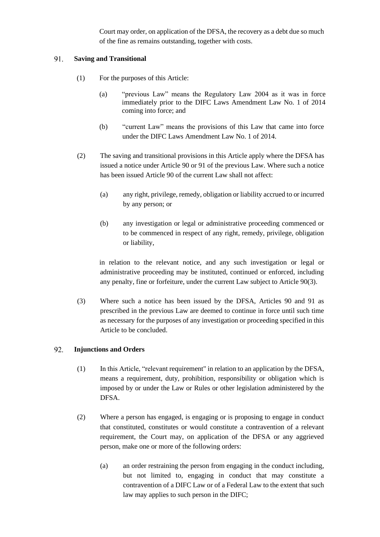Court may order, on application of the DFSA, the recovery as a debt due so much of the fine as remains outstanding, together with costs.

#### 91. **Saving and Transitional**

- (1) For the purposes of this Article:
	- (a) "previous Law" means the Regulatory Law 2004 as it was in force immediately prior to the DIFC Laws Amendment Law No. 1 of 2014 coming into force; and
	- (b) "current Law" means the provisions of this Law that came into force under the DIFC Laws Amendment Law No. 1 of 2014.
- (2) The saving and transitional provisions in this Article apply where the DFSA has issued a notice under Article 90 or 91 of the previous Law. Where such a notice has been issued Article 90 of the current Law shall not affect:
	- (a) any right, privilege, remedy, obligation or liability accrued to or incurred by any person; or
	- (b) any investigation or legal or administrative proceeding commenced or to be commenced in respect of any right, remedy, privilege, obligation or liability,

in relation to the relevant notice, and any such investigation or legal or administrative proceeding may be instituted, continued or enforced, including any penalty, fine or forfeiture, under the current Law subject to Article 90(3).

(3) Where such a notice has been issued by the DFSA, Articles 90 and 91 as prescribed in the previous Law are deemed to continue in force until such time as necessary for the purposes of any investigation or proceeding specified in this Article to be concluded.

#### 92. **Injunctions and Orders**

- (1) In this Article, "relevant requirement" in relation to an application by the DFSA, means a requirement, duty, prohibition, responsibility or obligation which is imposed by or under the Law or Rules or other legislation administered by the DFSA.
- (2) Where a person has engaged, is engaging or is proposing to engage in conduct that constituted, constitutes or would constitute a contravention of a relevant requirement, the Court may, on application of the DFSA or any aggrieved person, make one or more of the following orders:
	- (a) an order restraining the person from engaging in the conduct including, but not limited to, engaging in conduct that may constitute a contravention of a DIFC Law or of a Federal Law to the extent that such law may applies to such person in the DIFC;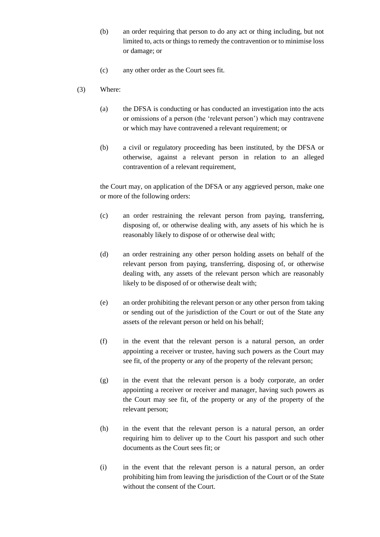- (b) an order requiring that person to do any act or thing including, but not limited to, acts or things to remedy the contravention or to minimise loss or damage; or
- (c) any other order as the Court sees fit.
- (3) Where:
	- (a) the DFSA is conducting or has conducted an investigation into the acts or omissions of a person (the 'relevant person') which may contravene or which may have contravened a relevant requirement; or
	- (b) a civil or regulatory proceeding has been instituted, by the DFSA or otherwise, against a relevant person in relation to an alleged contravention of a relevant requirement,

the Court may, on application of the DFSA or any aggrieved person, make one or more of the following orders:

- (c) an order restraining the relevant person from paying, transferring, disposing of, or otherwise dealing with, any assets of his which he is reasonably likely to dispose of or otherwise deal with;
- (d) an order restraining any other person holding assets on behalf of the relevant person from paying, transferring, disposing of, or otherwise dealing with, any assets of the relevant person which are reasonably likely to be disposed of or otherwise dealt with;
- (e) an order prohibiting the relevant person or any other person from taking or sending out of the jurisdiction of the Court or out of the State any assets of the relevant person or held on his behalf;
- (f) in the event that the relevant person is a natural person, an order appointing a receiver or trustee, having such powers as the Court may see fit, of the property or any of the property of the relevant person;
- (g) in the event that the relevant person is a body corporate, an order appointing a receiver or receiver and manager, having such powers as the Court may see fit, of the property or any of the property of the relevant person;
- (h) in the event that the relevant person is a natural person, an order requiring him to deliver up to the Court his passport and such other documents as the Court sees fit; or
- (i) in the event that the relevant person is a natural person, an order prohibiting him from leaving the jurisdiction of the Court or of the State without the consent of the Court.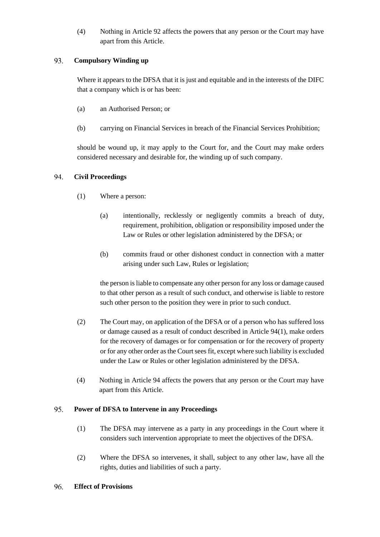(4) Nothing in Article 92 affects the powers that any person or the Court may have apart from this Article.

#### 93. **Compulsory Winding up**

Where it appears to the DFSA that it is just and equitable and in the interests of the DIFC that a company which is or has been:

- (a) an Authorised Person; or
- (b) carrying on Financial Services in breach of the Financial Services Prohibition;

should be wound up, it may apply to the Court for, and the Court may make orders considered necessary and desirable for, the winding up of such company.

#### 94. **Civil Proceedings**

- (1) Where a person:
	- (a) intentionally, recklessly or negligently commits a breach of duty, requirement, prohibition, obligation or responsibility imposed under the Law or Rules or other legislation administered by the DFSA; or
	- (b) commits fraud or other dishonest conduct in connection with a matter arising under such Law, Rules or legislation;

the person is liable to compensate any other person for any loss or damage caused to that other person as a result of such conduct, and otherwise is liable to restore such other person to the position they were in prior to such conduct.

- (2) The Court may, on application of the DFSA or of a person who has suffered loss or damage caused as a result of conduct described in Article 94(1), make orders for the recovery of damages or for compensation or for the recovery of property or for any other order as the Court sees fit, except where such liability is excluded under the Law or Rules or other legislation administered by the DFSA.
- (4) Nothing in Article 94 affects the powers that any person or the Court may have apart from this Article.

#### 95. **Power of DFSA to Intervene in any Proceedings**

- (1) The DFSA may intervene as a party in any proceedings in the Court where it considers such intervention appropriate to meet the objectives of the DFSA.
- (2) Where the DFSA so intervenes, it shall, subject to any other law, have all the rights, duties and liabilities of such a party.
- 96. **Effect of Provisions**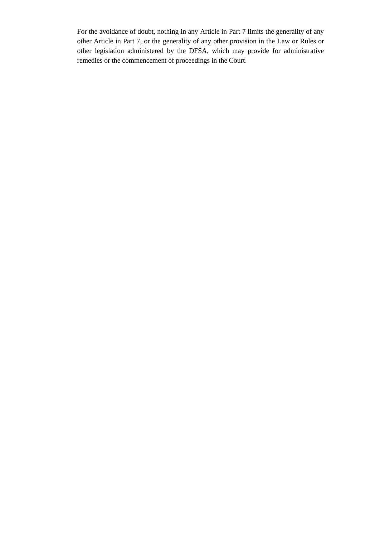For the avoidance of doubt, nothing in any Article in Part 7 limits the generality of any other Article in Part 7, or the generality of any other provision in the Law or Rules or other legislation administered by the DFSA, which may provide for administrative remedies or the commencement of proceedings in the Court.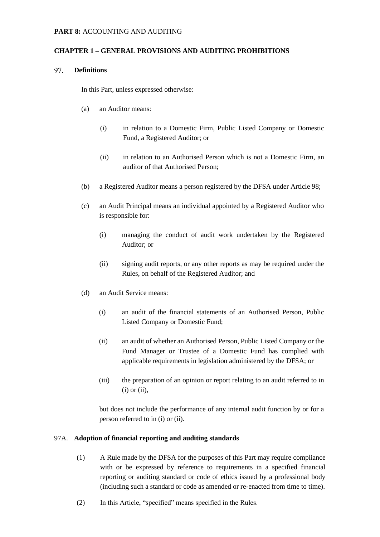### **CHAPTER 1 – GENERAL PROVISIONS AND AUDITING PROHIBITIONS**

#### 97. **Definitions**

In this Part, unless expressed otherwise:

- (a) an Auditor means:
	- (i) in relation to a Domestic Firm, Public Listed Company or Domestic Fund, a Registered Auditor; or
	- (ii) in relation to an Authorised Person which is not a Domestic Firm, an auditor of that Authorised Person;
- (b) a Registered Auditor means a person registered by the DFSA under Article 98;
- (c) an Audit Principal means an individual appointed by a Registered Auditor who is responsible for:
	- (i) managing the conduct of audit work undertaken by the Registered Auditor; or
	- (ii) signing audit reports, or any other reports as may be required under the Rules, on behalf of the Registered Auditor; and
- (d) an Audit Service means:
	- (i) an audit of the financial statements of an Authorised Person, Public Listed Company or Domestic Fund;
	- (ii) an audit of whether an Authorised Person, Public Listed Company or the Fund Manager or Trustee of a Domestic Fund has complied with applicable requirements in legislation administered by the DFSA; or
	- (iii) the preparation of an opinion or report relating to an audit referred to in  $(i)$  or  $(ii)$ ,

but does not include the performance of any internal audit function by or for a person referred to in (i) or (ii).

#### 97A. **Adoption of financial reporting and auditing standards**

- (1) A Rule made by the DFSA for the purposes of this Part may require compliance with or be expressed by reference to requirements in a specified financial reporting or auditing standard or code of ethics issued by a professional body (including such a standard or code as amended or re-enacted from time to time).
- (2) In this Article, "specified" means specified in the Rules.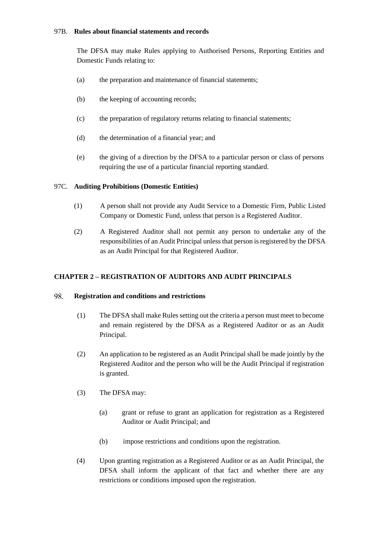## 97B. **Rules about financial statements and records**

The DFSA may make Rules applying to Authorised Persons, Reporting Entities and Domestic Funds relating to:

- (a) the preparation and maintenance of financial statements;
- (b) the keeping of accounting records;
- (c) the preparation of regulatory returns relating to financial statements;
- (d) the determination of a financial year; and
- (e) the giving of a direction by the DFSA to a particular person or class of persons requiring the use of a particular financial reporting standard.

## 97C. **Auditing Prohibitions (Domestic Entities)**

- (1) A person shall not provide any Audit Service to a Domestic Firm, Public Listed Company or Domestic Fund, unless that person is a Registered Auditor.
- (2) A Registered Auditor shall not permit any person to undertake any of the responsibilities of an Audit Principal unless that person is registered by the DFSA as an Audit Principal for that Registered Auditor.

## **CHAPTER 2 – REGISTRATION OF AUDITORS AND AUDIT PRINCIPALS**

#### 98. **Registration and conditions and restrictions**

- (1) The DFSA shall make Rules setting out the criteria a person must meet to become and remain registered by the DFSA as a Registered Auditor or as an Audit Principal.
- (2) An application to be registered as an Audit Principal shall be made jointly by the Registered Auditor and the person who will be the Audit Principal if registration is granted.
- (3) The DFSA may:
	- (a) grant or refuse to grant an application for registration as a Registered Auditor or Audit Principal; and
	- (b) impose restrictions and conditions upon the registration.
- (4) Upon granting registration as a Registered Auditor or as an Audit Principal, the DFSA shall inform the applicant of that fact and whether there are any restrictions or conditions imposed upon the registration.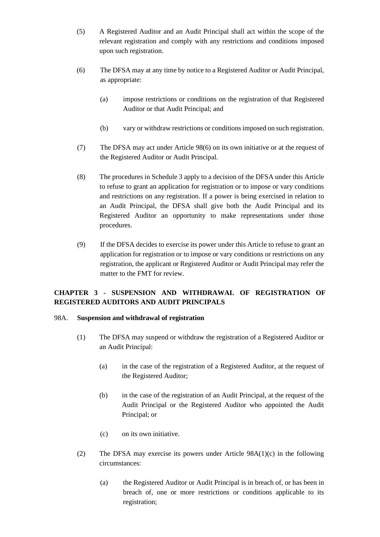- (5) A Registered Auditor and an Audit Principal shall act within the scope of the relevant registration and comply with any restrictions and conditions imposed upon such registration.
- (6) The DFSA may at any time by notice to a Registered Auditor or Audit Principal, as appropriate:
	- (a) impose restrictions or conditions on the registration of that Registered Auditor or that Audit Principal; and
	- (b) vary or withdraw restrictions or conditions imposed on such registration.
- (7) The DFSA may act under Article 98(6) on its own initiative or at the request of the Registered Auditor or Audit Principal.
- (8) The procedures in Schedule 3 apply to a decision of the DFSA under this Article to refuse to grant an application for registration or to impose or vary conditions and restrictions on any registration. If a power is being exercised in relation to an Audit Principal, the DFSA shall give both the Audit Principal and its Registered Auditor an opportunity to make representations under those procedures.
- (9) If the DFSA decides to exercise its power under this Article to refuse to grant an application for registration or to impose or vary conditions or restrictions on any registration, the applicant or Registered Auditor or Audit Principal may refer the matter to the FMT for review.

# **CHAPTER 3 - SUSPENSION AND WITHDRAWAL OF REGISTRATION OF REGISTERED AUDITORS AND AUDIT PRINCIPALS**

## 98A. **Suspension and withdrawal of registration**

- (1) The DFSA may suspend or withdraw the registration of a Registered Auditor or an Audit Principal:
	- (a) in the case of the registration of a Registered Auditor, at the request of the Registered Auditor;
	- (b) in the case of the registration of an Audit Principal, at the request of the Audit Principal or the Registered Auditor who appointed the Audit Principal; or
	- (c) on its own initiative.
- (2) The DFSA may exercise its powers under Article 98A(1)(c) in the following circumstances:
	- (a) the Registered Auditor or Audit Principal is in breach of, or has been in breach of, one or more restrictions or conditions applicable to its registration;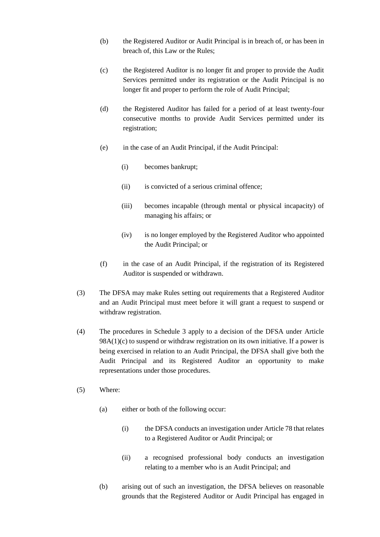- (b) the Registered Auditor or Audit Principal is in breach of, or has been in breach of, this Law or the Rules;
- (c) the Registered Auditor is no longer fit and proper to provide the Audit Services permitted under its registration or the Audit Principal is no longer fit and proper to perform the role of Audit Principal;
- (d) the Registered Auditor has failed for a period of at least twenty-four consecutive months to provide Audit Services permitted under its registration;
- (e) in the case of an Audit Principal, if the Audit Principal:
	- (i) becomes bankrupt;
	- (ii) is convicted of a serious criminal offence;
	- (iii) becomes incapable (through mental or physical incapacity) of managing his affairs; or
	- (iv) is no longer employed by the Registered Auditor who appointed the Audit Principal; or
- (f) in the case of an Audit Principal, if the registration of its Registered Auditor is suspended or withdrawn.
- (3) The DFSA may make Rules setting out requirements that a Registered Auditor and an Audit Principal must meet before it will grant a request to suspend or withdraw registration.
- (4) The procedures in Schedule 3 apply to a decision of the DFSA under Article  $98A(1)(c)$  to suspend or withdraw registration on its own initiative. If a power is being exercised in relation to an Audit Principal, the DFSA shall give both the Audit Principal and its Registered Auditor an opportunity to make representations under those procedures.
- (5) Where:
	- (a) either or both of the following occur:
		- (i) the DFSA conducts an investigation under Article 78 that relates to a Registered Auditor or Audit Principal; or
		- (ii) a recognised professional body conducts an investigation relating to a member who is an Audit Principal; and
	- (b) arising out of such an investigation, the DFSA believes on reasonable grounds that the Registered Auditor or Audit Principal has engaged in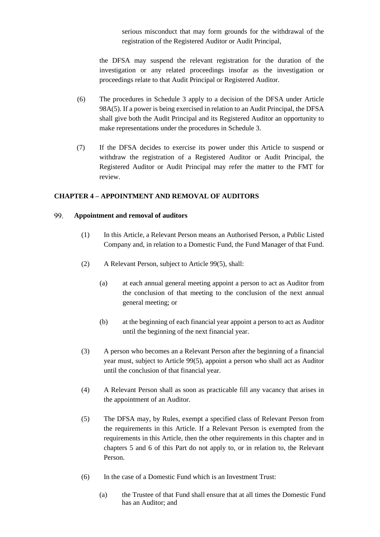serious misconduct that may form grounds for the withdrawal of the registration of the Registered Auditor or Audit Principal,

the DFSA may suspend the relevant registration for the duration of the investigation or any related proceedings insofar as the investigation or proceedings relate to that Audit Principal or Registered Auditor.

- (6) The procedures in Schedule 3 apply to a decision of the DFSA under Article 98A(5). If a power is being exercised in relation to an Audit Principal, the DFSA shall give both the Audit Principal and its Registered Auditor an opportunity to make representations under the procedures in Schedule 3.
- (7) If the DFSA decides to exercise its power under this Article to suspend or withdraw the registration of a Registered Auditor or Audit Principal, the Registered Auditor or Audit Principal may refer the matter to the FMT for review.

## **CHAPTER 4 – APPOINTMENT AND REMOVAL OF AUDITORS**

#### 99. **Appointment and removal of auditors**

- (1) In this Article, a Relevant Person means an Authorised Person, a Public Listed Company and, in relation to a Domestic Fund, the Fund Manager of that Fund.
- (2) A Relevant Person, subject to Article 99(5), shall:
	- (a) at each annual general meeting appoint a person to act as Auditor from the conclusion of that meeting to the conclusion of the next annual general meeting; or
	- (b) at the beginning of each financial year appoint a person to act as Auditor until the beginning of the next financial year.
- (3) A person who becomes an a Relevant Person after the beginning of a financial year must, subject to Article 99(5), appoint a person who shall act as Auditor until the conclusion of that financial year.
- (4) A Relevant Person shall as soon as practicable fill any vacancy that arises in the appointment of an Auditor.
- (5) The DFSA may, by Rules, exempt a specified class of Relevant Person from the requirements in this Article. If a Relevant Person is exempted from the requirements in this Article, then the other requirements in this chapter and in chapters 5 and 6 of this Part do not apply to, or in relation to, the Relevant Person.
- (6) In the case of a Domestic Fund which is an Investment Trust:
	- (a) the Trustee of that Fund shall ensure that at all times the Domestic Fund has an Auditor; and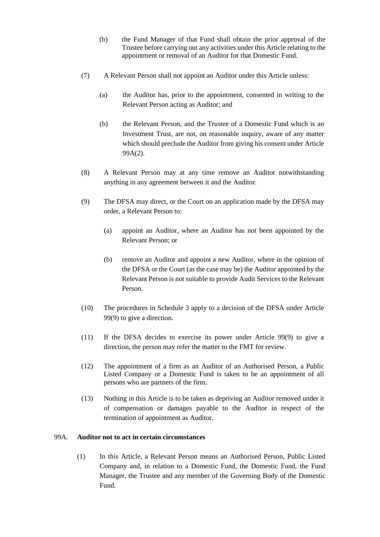- (b) the Fund Manager of that Fund shall obtain the prior approval of the Trustee before carrying out any activities under this Article relating to the appointment or removal of an Auditor for that Domestic Fund.
- (7) A Relevant Person shall not appoint an Auditor under this Article unless:
	- (a) the Auditor has, prior to the appointment, consented in writing to the Relevant Person acting as Auditor; and
	- (b) the Relevant Person, and the Trustee of a Domestic Fund which is an Investment Trust, are not, on reasonable inquiry, aware of any matter which should preclude the Auditor from giving his consent under Article 99A(2).
- (8) A Relevant Person may at any time remove an Auditor notwithstanding anything in any agreement between it and the Auditor.
- (9) The DFSA may direct, or the Court on an application made by the DFSA may order, a Relevant Person to:
	- (a) appoint an Auditor, where an Auditor has not been appointed by the Relevant Person; or
	- (b) remove an Auditor and appoint a new Auditor, where in the opinion of the DFSA or the Court (as the case may be) the Auditor appointed by the Relevant Person is not suitable to provide Audit Services to the Relevant Person.
- (10) The procedures in Schedule 3 apply to a decision of the DFSA under Article 99(9) to give a direction.
- (11) If the DFSA decides to exercise its power under Article 99(9) to give a direction, the person may refer the matter to the FMT for review.
- (12) The appointment of a firm as an Auditor of an Authorised Person, a Public Listed Company or a Domestic Fund is taken to be an appointment of all persons who are partners of the firm.
- (13) Nothing in this Article is to be taken as depriving an Auditor removed under it of compensation or damages payable to the Auditor in respect of the termination of appointment as Auditor.

### 99A. **Auditor not to act in certain circumstances**

(1) In this Article, a Relevant Person means an Authorised Person, Public Listed Company and, in relation to a Domestic Fund, the Domestic Fund, the Fund Manager, the Trustee and any member of the Governing Body of the Domestic Fund.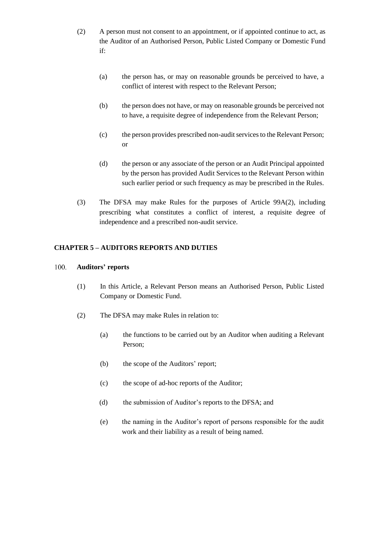- (2) A person must not consent to an appointment, or if appointed continue to act, as the Auditor of an Authorised Person, Public Listed Company or Domestic Fund if:
	- (a) the person has, or may on reasonable grounds be perceived to have, a conflict of interest with respect to the Relevant Person;
	- (b) the person does not have, or may on reasonable grounds be perceived not to have, a requisite degree of independence from the Relevant Person;
	- (c) the person provides prescribed non-audit services to the Relevant Person; or
	- (d) the person or any associate of the person or an Audit Principal appointed by the person has provided Audit Services to the Relevant Person within such earlier period or such frequency as may be prescribed in the Rules.
- (3) The DFSA may make Rules for the purposes of Article 99A(2), including prescribing what constitutes a conflict of interest, a requisite degree of independence and a prescribed non-audit service.

## **CHAPTER 5 – AUDITORS REPORTS AND DUTIES**

#### 100. **Auditors' reports**

- (1) In this Article, a Relevant Person means an Authorised Person, Public Listed Company or Domestic Fund.
- (2) The DFSA may make Rules in relation to:
	- (a) the functions to be carried out by an Auditor when auditing a Relevant Person;
	- (b) the scope of the Auditors' report;
	- (c) the scope of ad-hoc reports of the Auditor;
	- (d) the submission of Auditor's reports to the DFSA; and
	- (e) the naming in the Auditor's report of persons responsible for the audit work and their liability as a result of being named.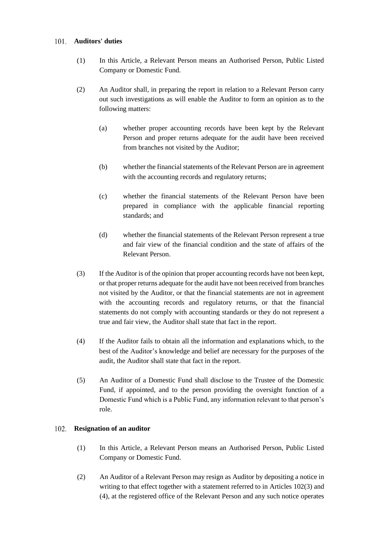## **Auditors' duties**

- (1) In this Article, a Relevant Person means an Authorised Person, Public Listed Company or Domestic Fund.
- (2) An Auditor shall, in preparing the report in relation to a Relevant Person carry out such investigations as will enable the Auditor to form an opinion as to the following matters:
	- (a) whether proper accounting records have been kept by the Relevant Person and proper returns adequate for the audit have been received from branches not visited by the Auditor;
	- (b) whether the financial statements of the Relevant Person are in agreement with the accounting records and regulatory returns;
	- (c) whether the financial statements of the Relevant Person have been prepared in compliance with the applicable financial reporting standards; and
	- (d) whether the financial statements of the Relevant Person represent a true and fair view of the financial condition and the state of affairs of the Relevant Person.
- (3) If the Auditor is of the opinion that proper accounting records have not been kept, or that proper returns adequate for the audit have not been received from branches not visited by the Auditor, or that the financial statements are not in agreement with the accounting records and regulatory returns, or that the financial statements do not comply with accounting standards or they do not represent a true and fair view, the Auditor shall state that fact in the report.
- (4) If the Auditor fails to obtain all the information and explanations which, to the best of the Auditor's knowledge and belief are necessary for the purposes of the audit, the Auditor shall state that fact in the report.
- (5) An Auditor of a Domestic Fund shall disclose to the Trustee of the Domestic Fund, if appointed, and to the person providing the oversight function of a Domestic Fund which is a Public Fund, any information relevant to that person's role.

## **Resignation of an auditor**

- (1) In this Article, a Relevant Person means an Authorised Person, Public Listed Company or Domestic Fund.
- (2) An Auditor of a Relevant Person may resign as Auditor by depositing a notice in writing to that effect together with a statement referred to in Articles 102(3) and (4), at the registered office of the Relevant Person and any such notice operates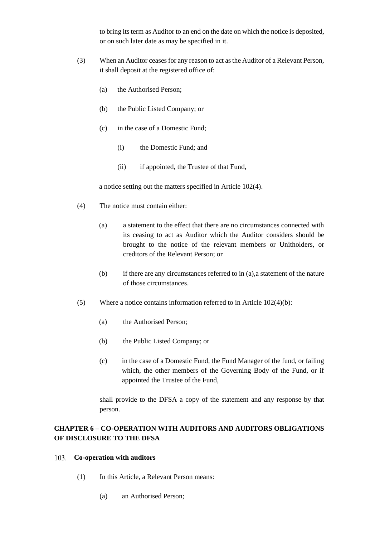to bring its term as Auditor to an end on the date on which the notice is deposited, or on such later date as may be specified in it.

- (3) When an Auditor ceases for any reason to act asthe Auditor of a Relevant Person, it shall deposit at the registered office of:
	- (a) the Authorised Person;
	- (b) the Public Listed Company; or
	- (c) in the case of a Domestic Fund;
		- (i) the Domestic Fund; and
		- (ii) if appointed, the Trustee of that Fund,

a notice setting out the matters specified in Article 102(4).

- (4) The notice must contain either:
	- (a) a statement to the effect that there are no circumstances connected with its ceasing to act as Auditor which the Auditor considers should be brought to the notice of the relevant members or Unitholders, or creditors of the Relevant Person; or
	- (b) if there are any circumstances referred to in (a),a statement of the nature of those circumstances.
- (5) Where a notice contains information referred to in Article 102(4)(b):
	- (a) the Authorised Person;
	- (b) the Public Listed Company; or
	- (c) in the case of a Domestic Fund, the Fund Manager of the fund, or failing which, the other members of the Governing Body of the Fund, or if appointed the Trustee of the Fund,

shall provide to the DFSA a copy of the statement and any response by that person.

# **CHAPTER 6 – CO-OPERATION WITH AUDITORS AND AUDITORS OBLIGATIONS OF DISCLOSURE TO THE DFSA**

### **Co-operation with auditors**

- (1) In this Article, a Relevant Person means:
	- (a) an Authorised Person;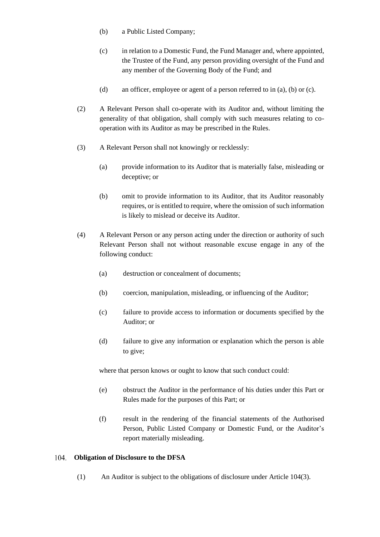- (b) a Public Listed Company;
- (c) in relation to a Domestic Fund, the Fund Manager and, where appointed, the Trustee of the Fund, any person providing oversight of the Fund and any member of the Governing Body of the Fund; and
- (d) an officer, employee or agent of a person referred to in (a), (b) or (c).
- (2) A Relevant Person shall co-operate with its Auditor and, without limiting the generality of that obligation, shall comply with such measures relating to cooperation with its Auditor as may be prescribed in the Rules.
- (3) A Relevant Person shall not knowingly or recklessly:
	- (a) provide information to its Auditor that is materially false, misleading or deceptive; or
	- (b) omit to provide information to its Auditor, that its Auditor reasonably requires, or is entitled to require, where the omission of such information is likely to mislead or deceive its Auditor.
- (4) A Relevant Person or any person acting under the direction or authority of such Relevant Person shall not without reasonable excuse engage in any of the following conduct:
	- (a) destruction or concealment of documents;
	- (b) coercion, manipulation, misleading, or influencing of the Auditor;
	- (c) failure to provide access to information or documents specified by the Auditor; or
	- (d) failure to give any information or explanation which the person is able to give;

where that person knows or ought to know that such conduct could:

- (e) obstruct the Auditor in the performance of his duties under this Part or Rules made for the purposes of this Part; or
- (f) result in the rendering of the financial statements of the Authorised Person, Public Listed Company or Domestic Fund, or the Auditor's report materially misleading.

#### **Obligation of Disclosure to the DFSA** 104.

(1) An Auditor is subject to the obligations of disclosure under Article 104(3).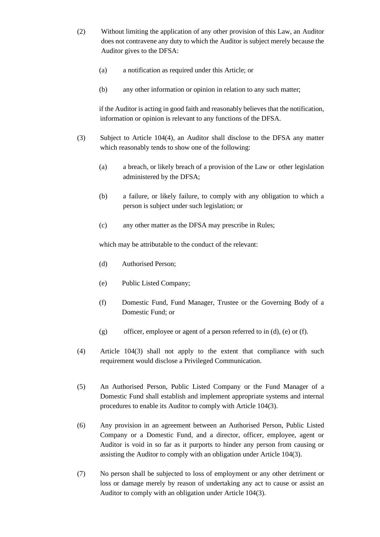- (2) Without limiting the application of any other provision of this Law, an Auditor does not contravene any duty to which the Auditor is subject merely because the Auditor gives to the DFSA:
	- (a) a notification as required under this Article; or
	- (b) any other information or opinion in relation to any such matter;

if the Auditor is acting in good faith and reasonably believes that the notification, information or opinion is relevant to any functions of the DFSA.

- (3) Subject to Article 104(4), an Auditor shall disclose to the DFSA any matter which reasonably tends to show one of the following:
	- (a) a breach, or likely breach of a provision of the Law or other legislation administered by the DFSA;
	- (b) a failure, or likely failure, to comply with any obligation to which a person is subject under such legislation; or
	- (c) any other matter as the DFSA may prescribe in Rules;

which may be attributable to the conduct of the relevant:

- (d) Authorised Person;
- (e) Public Listed Company;
- (f) Domestic Fund, Fund Manager, Trustee or the Governing Body of a Domestic Fund; or
- (g) officer, employee or agent of a person referred to in (d), (e) or (f).
- (4) Article 104(3) shall not apply to the extent that compliance with such requirement would disclose a Privileged Communication.
- (5) An Authorised Person, Public Listed Company or the Fund Manager of a Domestic Fund shall establish and implement appropriate systems and internal procedures to enable its Auditor to comply with Article 104(3).
- (6) Any provision in an agreement between an Authorised Person, Public Listed Company or a Domestic Fund, and a director, officer, employee, agent or Auditor is void in so far as it purports to hinder any person from causing or assisting the Auditor to comply with an obligation under Article 104(3).
- (7) No person shall be subjected to loss of employment or any other detriment or loss or damage merely by reason of undertaking any act to cause or assist an Auditor to comply with an obligation under Article 104(3).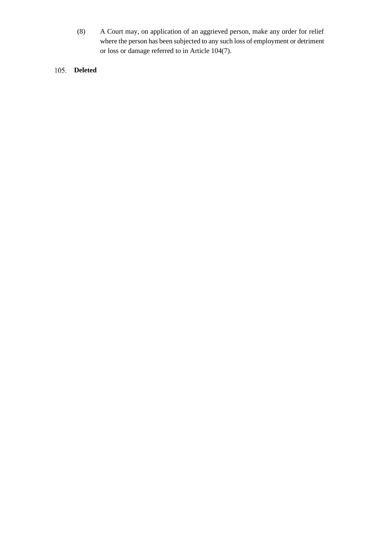- (8) A Court may, on application of an aggrieved person, make any order for relief where the person has been subjected to any such loss of employment or detriment or loss or damage referred to in Article 104(7).
- **Deleted**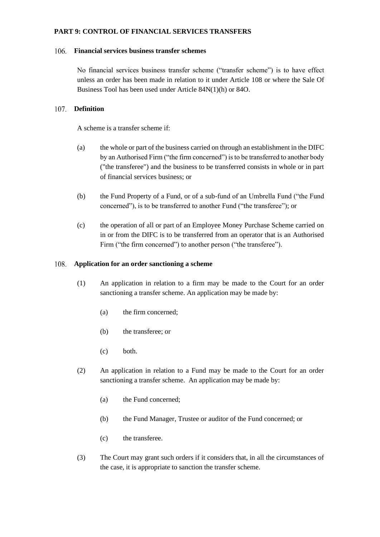## **PART 9: CONTROL OF FINANCIAL SERVICES TRANSFERS**

## **Financial services business transfer schemes**

No financial services business transfer scheme ("transfer scheme") is to have effect unless an order has been made in relation to it under Article 108 or where the Sale Of Business Tool has been used under Article 84N(1)(h) or 84O.

## **Definition**

A scheme is a transfer scheme if:

- (a) the whole or part of the business carried on through an establishment in the DIFC by an Authorised Firm ("the firm concerned") is to be transferred to another body ("the transferee") and the business to be transferred consists in whole or in part of financial services business; or
- (b) the Fund Property of a Fund, or of a sub-fund of an Umbrella Fund ("the Fund concerned"), is to be transferred to another Fund ("the transferee"); or
- (c) the operation of all or part of an Employee Money Purchase Scheme carried on in or from the DIFC is to be transferred from an operator that is an Authorised Firm ("the firm concerned") to another person ("the transferee").

## **Application for an order sanctioning a scheme**

- (1) An application in relation to a firm may be made to the Court for an order sanctioning a transfer scheme. An application may be made by:
	- (a) the firm concerned;
	- (b) the transferee; or
	- (c) both.
- (2) An application in relation to a Fund may be made to the Court for an order sanctioning a transfer scheme. An application may be made by:
	- (a) the Fund concerned;
	- (b) the Fund Manager, Trustee or auditor of the Fund concerned; or
	- (c) the transferee.
- (3) The Court may grant such orders if it considers that, in all the circumstances of the case, it is appropriate to sanction the transfer scheme.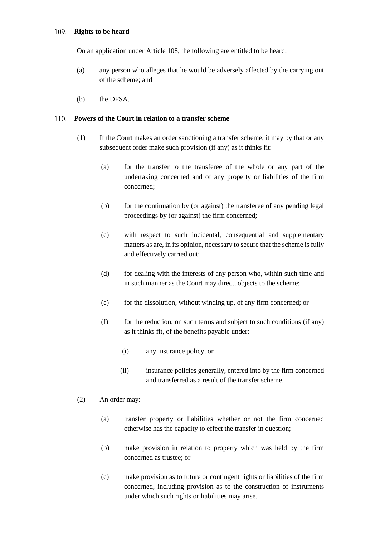## **Rights to be heard**

On an application under Article 108, the following are entitled to be heard:

- (a) any person who alleges that he would be adversely affected by the carrying out of the scheme; and
- (b) the DFSA.

## **Powers of the Court in relation to a transfer scheme**

- (1) If the Court makes an order sanctioning a transfer scheme, it may by that or any subsequent order make such provision (if any) as it thinks fit:
	- (a) for the transfer to the transferee of the whole or any part of the undertaking concerned and of any property or liabilities of the firm concerned;
	- (b) for the continuation by (or against) the transferee of any pending legal proceedings by (or against) the firm concerned;
	- (c) with respect to such incidental, consequential and supplementary matters as are, in its opinion, necessary to secure that the scheme is fully and effectively carried out;
	- (d) for dealing with the interests of any person who, within such time and in such manner as the Court may direct, objects to the scheme;
	- (e) for the dissolution, without winding up, of any firm concerned; or
	- $(f)$  for the reduction, on such terms and subject to such conditions (if any) as it thinks fit, of the benefits payable under:
		- (i) any insurance policy, or
		- (ii) insurance policies generally, entered into by the firm concerned and transferred as a result of the transfer scheme.
- (2) An order may:
	- (a) transfer property or liabilities whether or not the firm concerned otherwise has the capacity to effect the transfer in question;
	- (b) make provision in relation to property which was held by the firm concerned as trustee; or
	- (c) make provision as to future or contingent rights or liabilities of the firm concerned, including provision as to the construction of instruments under which such rights or liabilities may arise.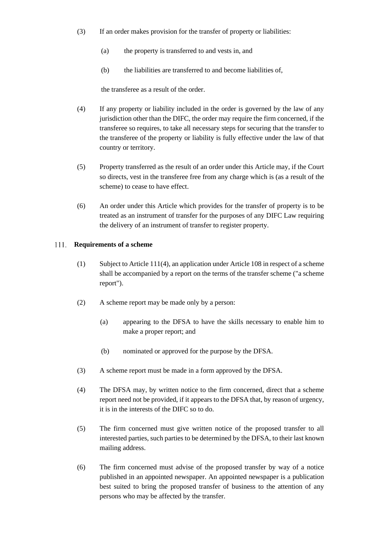- (3) If an order makes provision for the transfer of property or liabilities:
	- (a) the property is transferred to and vests in, and
	- (b) the liabilities are transferred to and become liabilities of,

the transferee as a result of the order.

- (4) If any property or liability included in the order is governed by the law of any jurisdiction other than the DIFC, the order may require the firm concerned, if the transferee so requires, to take all necessary steps for securing that the transfer to the transferee of the property or liability is fully effective under the law of that country or territory.
- (5) Property transferred as the result of an order under this Article may, if the Court so directs, vest in the transferee free from any charge which is (as a result of the scheme) to cease to have effect.
- (6) An order under this Article which provides for the transfer of property is to be treated as an instrument of transfer for the purposes of any DIFC Law requiring the delivery of an instrument of transfer to register property.

#### $111.$ **Requirements of a scheme**

- (1) Subject to Article 111(4), an application under Article 108 in respect of a scheme shall be accompanied by a report on the terms of the transfer scheme ("a scheme report").
- (2) A scheme report may be made only by a person:
	- (a) appearing to the DFSA to have the skills necessary to enable him to make a proper report; and
	- (b) nominated or approved for the purpose by the DFSA.
- (3) A scheme report must be made in a form approved by the DFSA.
- (4) The DFSA may, by written notice to the firm concerned, direct that a scheme report need not be provided, if it appears to the DFSA that, by reason of urgency, it is in the interests of the DIFC so to do.
- (5) The firm concerned must give written notice of the proposed transfer to all interested parties, such parties to be determined by the DFSA, to their last known mailing address.
- (6) The firm concerned must advise of the proposed transfer by way of a notice published in an appointed newspaper. An appointed newspaper is a publication best suited to bring the proposed transfer of business to the attention of any persons who may be affected by the transfer.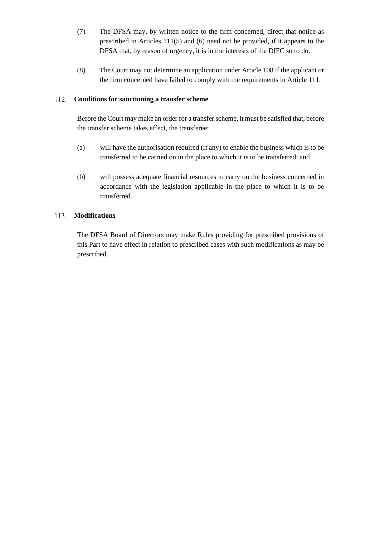- (7) The DFSA may, by written notice to the firm concerned, direct that notice as prescribed in Articles 111(5) and (6) need not be provided, if it appears to the DFSA that, by reason of urgency, it is in the interests of the DIFC so to do.
- (8) The Court may not determine an application under Article 108 if the applicant or the firm concerned have failed to comply with the requirements in Article 111.

### **Conditions for sanctioning a transfer scheme** 112.

Before the Court may make an order for a transfer scheme, it must be satisfied that, before the transfer scheme takes effect, the transferee:

- (a) will have the authorisation required (if any) to enable the business which is to be transferred to be carried on in the place to which it is to be transferred; and
- (b) will possess adequate financial resources to carry on the business concerned in accordance with the legislation applicable in the place to which it is to be transferred.

# **Modifications**

The DFSA Board of Directors may make Rules providing for prescribed provisions of this Part to have effect in relation to prescribed cases with such modifications as may be prescribed.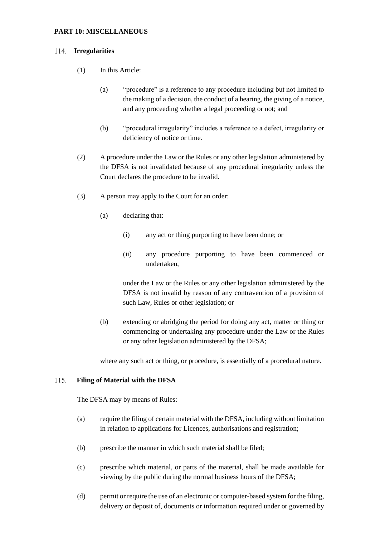## **PART 10: MISCELLANEOUS**

## 114. **Irregularities**

- (1) In this Article:
	- (a) "procedure" is a reference to any procedure including but not limited to the making of a decision, the conduct of a hearing, the giving of a notice, and any proceeding whether a legal proceeding or not; and
	- (b) "procedural irregularity" includes a reference to a defect, irregularity or deficiency of notice or time.
- (2) A procedure under the Law or the Rules or any other legislation administered by the DFSA is not invalidated because of any procedural irregularity unless the Court declares the procedure to be invalid.
- (3) A person may apply to the Court for an order:
	- (a) declaring that:
		- (i) any act or thing purporting to have been done; or
		- (ii) any procedure purporting to have been commenced or undertaken,

under the Law or the Rules or any other legislation administered by the DFSA is not invalid by reason of any contravention of a provision of such Law, Rules or other legislation; or

(b) extending or abridging the period for doing any act, matter or thing or commencing or undertaking any procedure under the Law or the Rules or any other legislation administered by the DFSA;

where any such act or thing, or procedure, is essentially of a procedural nature.

#### 115. **Filing of Material with the DFSA**

The DFSA may by means of Rules:

- (a) require the filing of certain material with the DFSA, including without limitation in relation to applications for Licences, authorisations and registration;
- (b) prescribe the manner in which such material shall be filed;
- (c) prescribe which material, or parts of the material, shall be made available for viewing by the public during the normal business hours of the DFSA;
- (d) permit or require the use of an electronic or computer-based system for the filing, delivery or deposit of, documents or information required under or governed by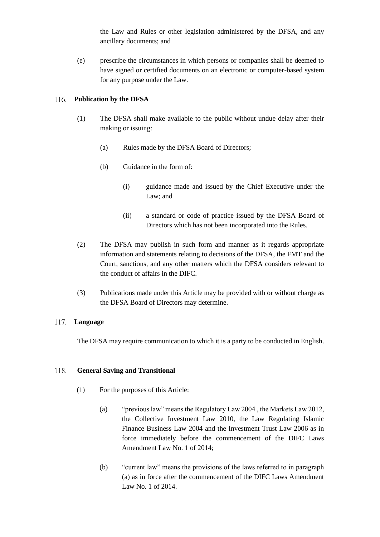the Law and Rules or other legislation administered by the DFSA, and any ancillary documents; and

(e) prescribe the circumstances in which persons or companies shall be deemed to have signed or certified documents on an electronic or computer-based system for any purpose under the Law.

# **Publication by the DFSA**

- (1) The DFSA shall make available to the public without undue delay after their making or issuing:
	- (a) Rules made by the DFSA Board of Directors;
	- (b) Guidance in the form of:
		- (i) guidance made and issued by the Chief Executive under the Law; and
		- (ii) a standard or code of practice issued by the DFSA Board of Directors which has not been incorporated into the Rules.
- (2) The DFSA may publish in such form and manner as it regards appropriate information and statements relating to decisions of the DFSA, the FMT and the Court, sanctions, and any other matters which the DFSA considers relevant to the conduct of affairs in the DIFC.
- (3) Publications made under this Article may be provided with or without charge as the DFSA Board of Directors may determine.

### 117. **Language**

The DFSA may require communication to which it is a party to be conducted in English.

### 118. **General Saving and Transitional**

- (1) For the purposes of this Article:
	- (a) "previous law" means the Regulatory Law 2004 , the Markets Law 2012, the Collective Investment Law 2010, the Law Regulating Islamic Finance Business Law 2004 and the Investment Trust Law 2006 as in force immediately before the commencement of the DIFC Laws Amendment Law No. 1 of 2014;
	- (b) "current law" means the provisions of the laws referred to in paragraph (a) as in force after the commencement of the DIFC Laws Amendment Law No. 1 of 2014.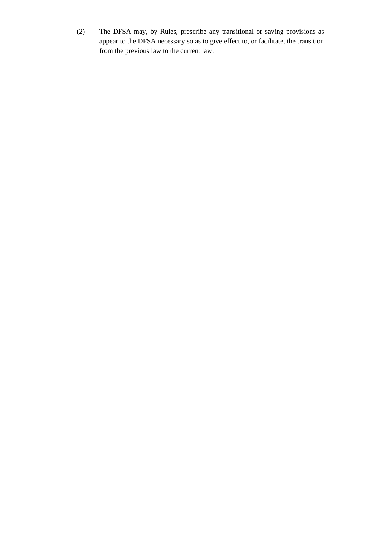(2) The DFSA may, by Rules, prescribe any transitional or saving provisions as appear to the DFSA necessary so as to give effect to, or facilitate, the transition from the previous law to the current law.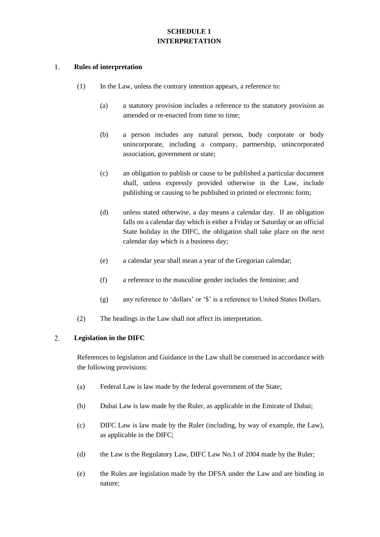# **SCHEDULE 1 INTERPRETATION**

#### $1.$ **Rules of interpretation**

- (1) In the Law, unless the contrary intention appears, a reference to:
	- (a) a statutory provision includes a reference to the statutory provision as amended or re-enacted from time to time;
	- (b) a person includes any natural person, body corporate or body unincorporate, including a company, partnership, unincorporated association, government or state;
	- (c) an obligation to publish or cause to be published a particular document shall, unless expressly provided otherwise in the Law, include publishing or causing to be published in printed or electronic form;
	- (d) unless stated otherwise, a day means a calendar day. If an obligation falls on a calendar day which is either a Friday or Saturday or an official State holiday in the DIFC, the obligation shall take place on the next calendar day which is a business day;
	- (e) a calendar year shall mean a year of the Gregorian calendar;
	- (f) a reference to the masculine gender includes the feminine; and
	- (g) any reference to 'dollars' or '\$' is a reference to United States Dollars.
- (2) The headings in the Law shall not affect its interpretation.

### 2. **Legislation in the DIFC**

References to legislation and Guidance in the Law shall be construed in accordance with the following provisions:

- (a) Federal Law is law made by the federal government of the State;
- (b) Dubai Law is law made by the Ruler, as applicable in the Emirate of Dubai;
- (c) DIFC Law is law made by the Ruler (including, by way of example, the Law), as applicable in the DIFC;
- (d) the Law is the Regulatory Law, DIFC Law No.1 of 2004 made by the Ruler;
- (e) the Rules are legislation made by the DFSA under the Law and are binding in nature;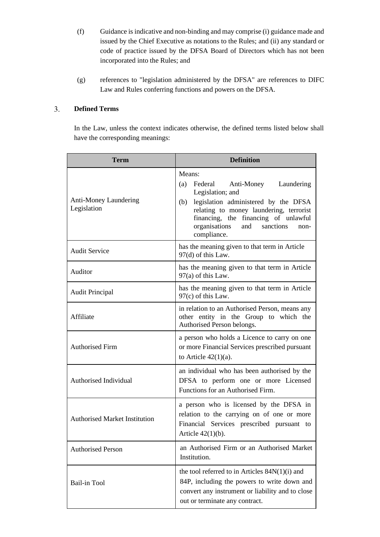- (f) Guidance is indicative and non-binding and may comprise (i) guidance made and issued by the Chief Executive as notations to the Rules; and (ii) any standard or code of practice issued by the DFSA Board of Directors which has not been incorporated into the Rules; and
- (g) references to "legislation administered by the DFSA" are references to DIFC Law and Rules conferring functions and powers on the DFSA.

### $3.$ **Defined Terms**

In the Law, unless the context indicates otherwise, the defined terms listed below shall have the corresponding meanings:

| <b>Term</b>                                 | <b>Definition</b>                                                                                                                                                                                                                                                      |
|---------------------------------------------|------------------------------------------------------------------------------------------------------------------------------------------------------------------------------------------------------------------------------------------------------------------------|
| <b>Anti-Money Laundering</b><br>Legislation | Means:<br>Federal<br>Anti-Money<br>Laundering<br>(a)<br>Legislation; and<br>legislation administered by the DFSA<br>(b)<br>relating to money laundering, terrorist<br>financing, the financing of unlawful<br>organisations<br>sanctions<br>and<br>non-<br>compliance. |
| <b>Audit Service</b>                        | has the meaning given to that term in Article<br>97(d) of this Law.                                                                                                                                                                                                    |
| Auditor                                     | has the meaning given to that term in Article<br>$97(a)$ of this Law.                                                                                                                                                                                                  |
| <b>Audit Principal</b>                      | has the meaning given to that term in Article<br>97(c) of this Law.                                                                                                                                                                                                    |
| Affiliate                                   | in relation to an Authorised Person, means any<br>other entity in the Group to which the<br>Authorised Person belongs.                                                                                                                                                 |
| <b>Authorised Firm</b>                      | a person who holds a Licence to carry on one<br>or more Financial Services prescribed pursuant<br>to Article $42(1)(a)$ .                                                                                                                                              |
| Authorised Individual                       | an individual who has been authorised by the<br>DFSA to perform one or more Licensed<br>Functions for an Authorised Firm.                                                                                                                                              |
| <b>Authorised Market Institution</b>        | a person who is licensed by the DFSA in<br>relation to the carrying on of one or more<br>Financial Services prescribed pursuant to<br>Article $42(1)(b)$ .                                                                                                             |
| <b>Authorised Person</b>                    | an Authorised Firm or an Authorised Market<br>Institution.                                                                                                                                                                                                             |
| Bail-in Tool                                | the tool referred to in Articles $84N(1)(i)$ and<br>84P, including the powers to write down and<br>convert any instrument or liability and to close<br>out or terminate any contract.                                                                                  |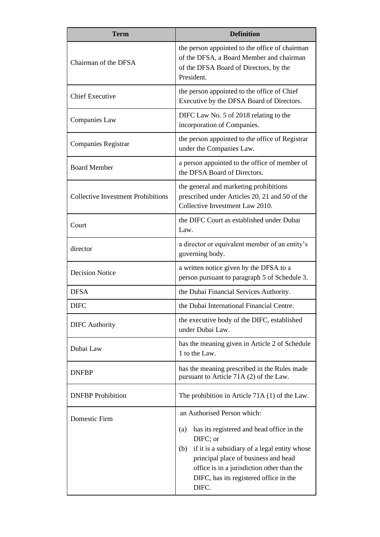| <b>Term</b>                               | <b>Definition</b>                                                                                                                                                                                                                                             |
|-------------------------------------------|---------------------------------------------------------------------------------------------------------------------------------------------------------------------------------------------------------------------------------------------------------------|
| Chairman of the DFSA                      | the person appointed to the office of chairman<br>of the DFSA, a Board Member and chairman<br>of the DFSA Board of Directors, by the<br>President.                                                                                                            |
| <b>Chief Executive</b>                    | the person appointed to the office of Chief<br>Executive by the DFSA Board of Directors.                                                                                                                                                                      |
| <b>Companies Law</b>                      | DIFC Law No. 5 of 2018 relating to the<br>incorporation of Companies.                                                                                                                                                                                         |
| <b>Companies Registrar</b>                | the person appointed to the office of Registrar<br>under the Companies Law.                                                                                                                                                                                   |
| <b>Board Member</b>                       | a person appointed to the office of member of<br>the DFSA Board of Directors.                                                                                                                                                                                 |
| <b>Collective Investment Prohibitions</b> | the general and marketing prohibitions<br>prescribed under Articles 20, 21 and 50 of the<br>Collective Investment Law 2010.                                                                                                                                   |
| Court                                     | the DIFC Court as established under Dubai<br>Law.                                                                                                                                                                                                             |
| director                                  | a director or equivalent member of an entity's<br>governing body.                                                                                                                                                                                             |
| <b>Decision Notice</b>                    | a written notice given by the DFSA to a<br>person pursuant to paragraph 5 of Schedule 3.                                                                                                                                                                      |
| <b>DFSA</b>                               | the Dubai Financial Services Authority.                                                                                                                                                                                                                       |
| <b>DIFC</b>                               | the Dubai International Financial Centre.                                                                                                                                                                                                                     |
| <b>DIFC</b> Authority                     | the executive body of the DIFC, established<br>under Dubai Law.                                                                                                                                                                                               |
| Dubai Law                                 | has the meaning given in Article 2 of Schedule<br>1 to the Law.                                                                                                                                                                                               |
| <b>DNFBP</b>                              | has the meaning prescribed in the Rules made<br>pursuant to Article 71A (2) of the Law.                                                                                                                                                                       |
| <b>DNFBP</b> Prohibition                  | The prohibition in Article $71A(1)$ of the Law.                                                                                                                                                                                                               |
| Domestic Firm                             | an Authorised Person which:                                                                                                                                                                                                                                   |
|                                           | has its registered and head office in the<br>(a)<br>DIFC; or<br>if it is a subsidiary of a legal entity whose<br>(b)<br>principal place of business and head<br>office is in a jurisdiction other than the<br>DIFC, has its registered office in the<br>DIFC. |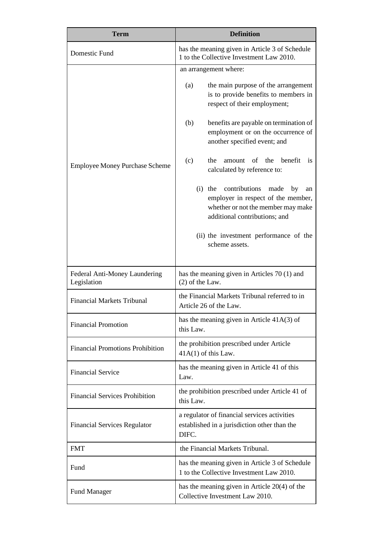| <b>Term</b>                                  | <b>Definition</b>                                                                                                                                            |
|----------------------------------------------|--------------------------------------------------------------------------------------------------------------------------------------------------------------|
| Domestic Fund                                | has the meaning given in Article 3 of Schedule<br>1 to the Collective Investment Law 2010.                                                                   |
| <b>Employee Money Purchase Scheme</b>        | an arrangement where:                                                                                                                                        |
|                                              | the main purpose of the arrangement<br>(a)<br>is to provide benefits to members in<br>respect of their employment;                                           |
|                                              | (b)<br>benefits are payable on termination of<br>employment or on the occurrence of<br>another specified event; and                                          |
|                                              | (c)<br>amount of the<br>henefit<br>the<br><i>is</i><br>calculated by reference to:                                                                           |
|                                              | contributions<br>(i)<br>the<br>made<br>by<br>an<br>employer in respect of the member,<br>whether or not the member may make<br>additional contributions; and |
|                                              | (ii) the investment performance of the<br>scheme assets.                                                                                                     |
| Federal Anti-Money Laundering<br>Legislation | has the meaning given in Articles 70 (1) and<br>$(2)$ of the Law.                                                                                            |
| <b>Financial Markets Tribunal</b>            | the Financial Markets Tribunal referred to in<br>Article 26 of the Law.                                                                                      |
| <b>Financial Promotion</b>                   | has the meaning given in Article 41A(3) of<br>this Law.                                                                                                      |
| <b>Financial Promotions Prohibition</b>      | the prohibition prescribed under Article<br>$41A(1)$ of this Law.                                                                                            |
| <b>Financial Service</b>                     | has the meaning given in Article 41 of this<br>Law.                                                                                                          |
| <b>Financial Services Prohibition</b>        | the prohibition prescribed under Article 41 of<br>this Law.                                                                                                  |
| <b>Financial Services Regulator</b>          | a regulator of financial services activities<br>established in a jurisdiction other than the<br>DIFC.                                                        |
| <b>FMT</b>                                   | the Financial Markets Tribunal.                                                                                                                              |
| Fund                                         | has the meaning given in Article 3 of Schedule<br>1 to the Collective Investment Law 2010.                                                                   |
| <b>Fund Manager</b>                          | has the meaning given in Article $20(4)$ of the<br>Collective Investment Law 2010.                                                                           |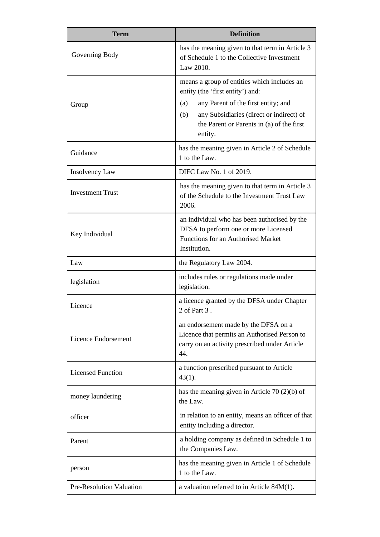| <b>Term</b>              | <b>Definition</b>                                                                                                                            |
|--------------------------|----------------------------------------------------------------------------------------------------------------------------------------------|
| Governing Body           | has the meaning given to that term in Article 3<br>of Schedule 1 to the Collective Investment<br>Law 2010.                                   |
|                          | means a group of entities which includes an<br>entity (the 'first entity') and:                                                              |
| Group                    | any Parent of the first entity; and<br>(a)                                                                                                   |
|                          | any Subsidiaries (direct or indirect) of<br>(b)<br>the Parent or Parents in (a) of the first<br>entity.                                      |
| Guidance                 | has the meaning given in Article 2 of Schedule<br>1 to the Law.                                                                              |
| Insolvency Law           | DIFC Law No. 1 of 2019.                                                                                                                      |
| <b>Investment Trust</b>  | has the meaning given to that term in Article 3<br>of the Schedule to the Investment Trust Law<br>2006.                                      |
| Key Individual           | an individual who has been authorised by the<br>DFSA to perform one or more Licensed<br>Functions for an Authorised Market                   |
|                          | Institution.                                                                                                                                 |
| Law                      | the Regulatory Law 2004.                                                                                                                     |
| legislation              | includes rules or regulations made under<br>legislation.                                                                                     |
| Licence                  | a licence granted by the DFSA under Chapter<br>2 of Part 3                                                                                   |
| Licence Endorsement      | an endorsement made by the DFSA on a<br>Licence that permits an Authorised Person to<br>carry on an activity prescribed under Article<br>44. |
| <b>Licensed Function</b> | a function prescribed pursuant to Article<br>$43(1)$ .                                                                                       |
| money laundering         | has the meaning given in Article 70 $(2)(b)$ of<br>the Law.                                                                                  |
| officer                  | in relation to an entity, means an officer of that<br>entity including a director.                                                           |
| Parent                   | a holding company as defined in Schedule 1 to<br>the Companies Law.                                                                          |
| person                   | has the meaning given in Article 1 of Schedule<br>1 to the Law.                                                                              |
| Pre-Resolution Valuation | a valuation referred to in Article $84M(1)$ .                                                                                                |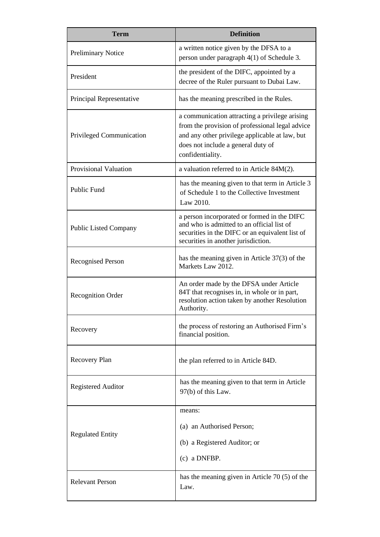| <b>Term</b>                  | <b>Definition</b>                                                                                                                                                                                             |
|------------------------------|---------------------------------------------------------------------------------------------------------------------------------------------------------------------------------------------------------------|
| <b>Preliminary Notice</b>    | a written notice given by the DFSA to a<br>person under paragraph 4(1) of Schedule 3.                                                                                                                         |
| President                    | the president of the DIFC, appointed by a<br>decree of the Ruler pursuant to Dubai Law.                                                                                                                       |
| Principal Representative     | has the meaning prescribed in the Rules.                                                                                                                                                                      |
| Privileged Communication     | a communication attracting a privilege arising<br>from the provision of professional legal advice<br>and any other privilege applicable at law, but<br>does not include a general duty of<br>confidentiality. |
| <b>Provisional Valuation</b> | a valuation referred to in Article 84M(2).                                                                                                                                                                    |
| <b>Public Fund</b>           | has the meaning given to that term in Article 3<br>of Schedule 1 to the Collective Investment<br>Law 2010.                                                                                                    |
| Public Listed Company        | a person incorporated or formed in the DIFC<br>and who is admitted to an official list of<br>securities in the DIFC or an equivalent list of<br>securities in another jurisdiction.                           |
| <b>Recognised Person</b>     | has the meaning given in Article $37(3)$ of the<br>Markets Law 2012.                                                                                                                                          |
| <b>Recognition Order</b>     | An order made by the DFSA under Article<br>84T that recognises in, in whole or in part,<br>resolution action taken by another Resolution<br>Authority.                                                        |
| Recovery                     | the process of restoring an Authorised Firm's<br>financial position.                                                                                                                                          |
| Recovery Plan                | the plan referred to in Article 84D.                                                                                                                                                                          |
| <b>Registered Auditor</b>    | has the meaning given to that term in Article<br>97(b) of this Law.                                                                                                                                           |
| <b>Regulated Entity</b>      | means:<br>(a) an Authorised Person;<br>(b) a Registered Auditor; or<br>$(c)$ a DNFBP.                                                                                                                         |
| <b>Relevant Person</b>       | has the meaning given in Article $70(5)$ of the<br>Law.                                                                                                                                                       |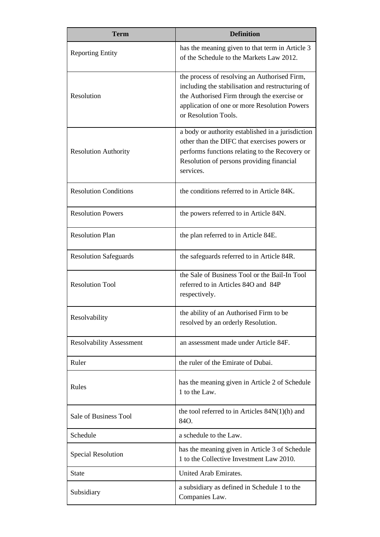| <b>Term</b>                     | <b>Definition</b>                                                                                                                                                                                                       |
|---------------------------------|-------------------------------------------------------------------------------------------------------------------------------------------------------------------------------------------------------------------------|
| <b>Reporting Entity</b>         | has the meaning given to that term in Article 3<br>of the Schedule to the Markets Law 2012.                                                                                                                             |
| Resolution                      | the process of resolving an Authorised Firm,<br>including the stabilisation and restructuring of<br>the Authorised Firm through the exercise or<br>application of one or more Resolution Powers<br>or Resolution Tools. |
| <b>Resolution Authority</b>     | a body or authority established in a jurisdiction<br>other than the DIFC that exercises powers or<br>performs functions relating to the Recovery or<br>Resolution of persons providing financial<br>services.           |
| <b>Resolution Conditions</b>    | the conditions referred to in Article 84K.                                                                                                                                                                              |
| <b>Resolution Powers</b>        | the powers referred to in Article 84N.                                                                                                                                                                                  |
| <b>Resolution Plan</b>          | the plan referred to in Article 84E.                                                                                                                                                                                    |
| <b>Resolution Safeguards</b>    | the safeguards referred to in Article 84R.                                                                                                                                                                              |
| <b>Resolution Tool</b>          | the Sale of Business Tool or the Bail-In Tool<br>referred to in Articles 84O and 84P<br>respectively.                                                                                                                   |
| Resolvability                   | the ability of an Authorised Firm to be<br>resolved by an orderly Resolution.                                                                                                                                           |
| <b>Resolvability Assessment</b> | an assessment made under Article 84F.                                                                                                                                                                                   |
| Ruler                           | the ruler of the Emirate of Dubai.                                                                                                                                                                                      |
| Rules                           | has the meaning given in Article 2 of Schedule<br>1 to the Law.                                                                                                                                                         |
| Sale of Business Tool           | the tool referred to in Articles $84N(1)(h)$ and<br>84O.                                                                                                                                                                |
| Schedule                        | a schedule to the Law.                                                                                                                                                                                                  |
| <b>Special Resolution</b>       | has the meaning given in Article 3 of Schedule<br>1 to the Collective Investment Law 2010.                                                                                                                              |
| <b>State</b>                    | United Arab Emirates.                                                                                                                                                                                                   |
| Subsidiary                      | a subsidiary as defined in Schedule 1 to the<br>Companies Law.                                                                                                                                                          |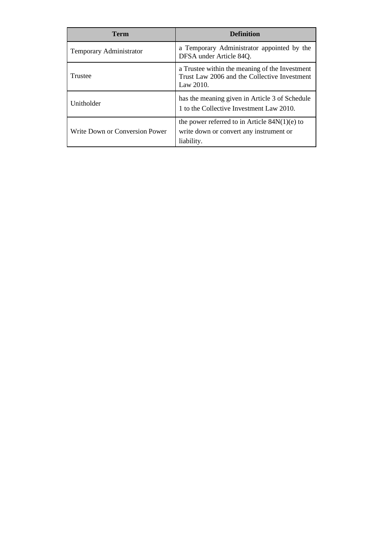| <b>Term</b>                    | <b>Definition</b>                                                                                              |
|--------------------------------|----------------------------------------------------------------------------------------------------------------|
| Temporary Administrator        | a Temporary Administrator appointed by the<br>DFSA under Article 84Q.                                          |
| Trustee                        | a Trustee within the meaning of the Investment<br>Trust Law 2006 and the Collective Investment<br>Law $2010$ . |
| Unitholder                     | has the meaning given in Article 3 of Schedule<br>1 to the Collective Investment Law 2010.                     |
| Write Down or Conversion Power | the power referred to in Article $84N(1)(e)$ to<br>write down or convert any instrument or<br>liability.       |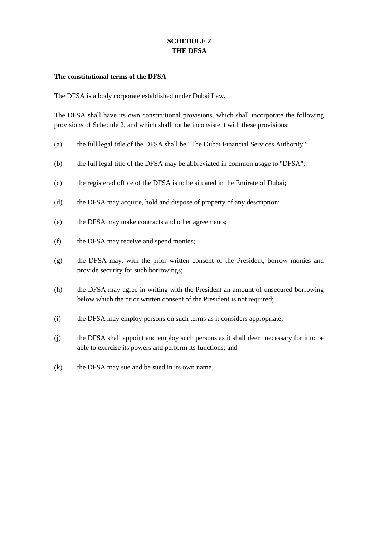# **SCHEDULE 2 THE DFSA**

## **The constitutional terms of the DFSA**

The DFSA is a body corporate established under Dubai Law.

The DFSA shall have its own constitutional provisions, which shall incorporate the following provisions of Schedule 2, and which shall not be inconsistent with these provisions:

- (a) the full legal title of the DFSA shall be "The Dubai Financial Services Authority";
- (b) the full legal title of the DFSA may be abbreviated in common usage to "DFSA";
- (c) the registered office of the DFSA is to be situated in the Emirate of Dubai;
- (d) the DFSA may acquire, hold and dispose of property of any description;
- (e) the DFSA may make contracts and other agreements;
- (f) the DFSA may receive and spend monies;
- (g) the DFSA may, with the prior written consent of the President, borrow monies and provide security for such borrowings;
- (h) the DFSA may agree in writing with the President an amount of unsecured borrowing below which the prior written consent of the President is not required;
- (i) the DFSA may employ persons on such terms as it considers appropriate;
- (j) the DFSA shall appoint and employ such persons as it shall deem necessary for it to be able to exercise its powers and perform its functions; and
- (k) the DFSA may sue and be sued in its own name.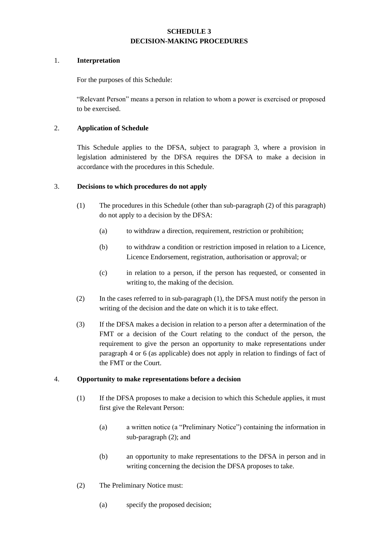# **SCHEDULE 3 DECISION-MAKING PROCEDURES**

## 1. **Interpretation**

For the purposes of this Schedule:

"Relevant Person" means a person in relation to whom a power is exercised or proposed to be exercised.

# 2. **Application of Schedule**

This Schedule applies to the DFSA, subject to paragraph 3, where a provision in legislation administered by the DFSA requires the DFSA to make a decision in accordance with the procedures in this Schedule.

## 3. **Decisions to which procedures do not apply**

- (1) The procedures in this Schedule (other than sub-paragraph (2) of this paragraph) do not apply to a decision by the DFSA:
	- (a) to withdraw a direction, requirement, restriction or prohibition;
	- (b) to withdraw a condition or restriction imposed in relation to a Licence, Licence Endorsement, registration, authorisation or approval; or
	- (c) in relation to a person, if the person has requested, or consented in writing to, the making of the decision.
- (2) In the cases referred to in sub-paragraph (1), the DFSA must notify the person in writing of the decision and the date on which it is to take effect.
- (3) If the DFSA makes a decision in relation to a person after a determination of the FMT or a decision of the Court relating to the conduct of the person, the requirement to give the person an opportunity to make representations under paragraph 4 or 6 (as applicable) does not apply in relation to findings of fact of the FMT or the Court.

# 4. **Opportunity to make representations before a decision**

- (1) If the DFSA proposes to make a decision to which this Schedule applies, it must first give the Relevant Person:
	- (a) a written notice (a "Preliminary Notice") containing the information in sub-paragraph (2); and
	- (b) an opportunity to make representations to the DFSA in person and in writing concerning the decision the DFSA proposes to take.
- (2) The Preliminary Notice must:
	- (a) specify the proposed decision;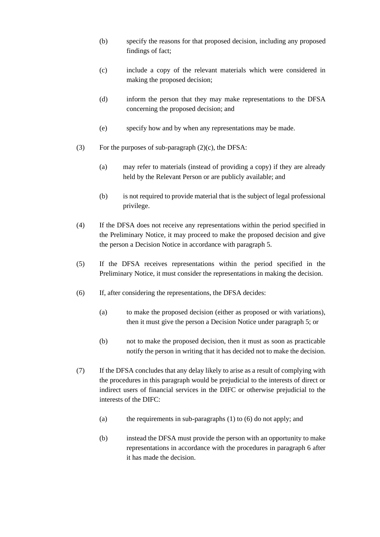- (b) specify the reasons for that proposed decision, including any proposed findings of fact;
- (c) include a copy of the relevant materials which were considered in making the proposed decision;
- (d) inform the person that they may make representations to the DFSA concerning the proposed decision; and
- (e) specify how and by when any representations may be made.
- (3) For the purposes of sub-paragraph (2)(c), the DFSA:
	- (a) may refer to materials (instead of providing a copy) if they are already held by the Relevant Person or are publicly available; and
	- (b) is not required to provide material that is the subject of legal professional privilege.
- (4) If the DFSA does not receive any representations within the period specified in the Preliminary Notice, it may proceed to make the proposed decision and give the person a Decision Notice in accordance with paragraph 5.
- (5) If the DFSA receives representations within the period specified in the Preliminary Notice, it must consider the representations in making the decision.
- (6) If, after considering the representations, the DFSA decides:
	- (a) to make the proposed decision (either as proposed or with variations), then it must give the person a Decision Notice under paragraph 5; or
	- (b) not to make the proposed decision, then it must as soon as practicable notify the person in writing that it has decided not to make the decision.
- (7) If the DFSA concludes that any delay likely to arise as a result of complying with the procedures in this paragraph would be prejudicial to the interests of direct or indirect users of financial services in the DIFC or otherwise prejudicial to the interests of the DIFC:
	- (a) the requirements in sub-paragraphs (1) to (6) do not apply; and
	- (b) instead the DFSA must provide the person with an opportunity to make representations in accordance with the procedures in paragraph 6 after it has made the decision.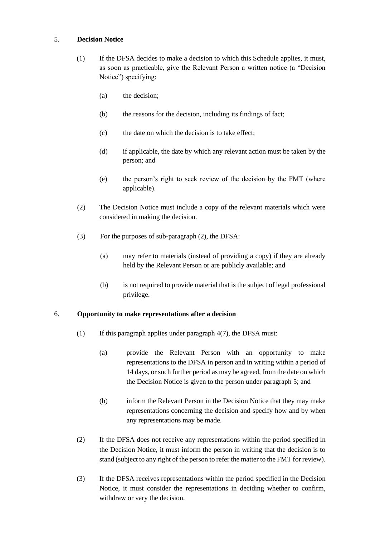## 5. **Decision Notice**

- (1) If the DFSA decides to make a decision to which this Schedule applies, it must, as soon as practicable, give the Relevant Person a written notice (a "Decision Notice") specifying:
	- (a) the decision;
	- (b) the reasons for the decision, including its findings of fact;
	- (c) the date on which the decision is to take effect;
	- (d) if applicable, the date by which any relevant action must be taken by the person; and
	- (e) the person's right to seek review of the decision by the FMT (where applicable).
- (2) The Decision Notice must include a copy of the relevant materials which were considered in making the decision.
- (3) For the purposes of sub-paragraph (2), the DFSA:
	- (a) may refer to materials (instead of providing a copy) if they are already held by the Relevant Person or are publicly available; and
	- (b) is not required to provide material that is the subject of legal professional privilege.

# 6. **Opportunity to make representations after a decision**

- (1) If this paragraph applies under paragraph 4(7), the DFSA must:
	- (a) provide the Relevant Person with an opportunity to make representations to the DFSA in person and in writing within a period of 14 days, or such further period as may be agreed, from the date on which the Decision Notice is given to the person under paragraph 5; and
	- (b) inform the Relevant Person in the Decision Notice that they may make representations concerning the decision and specify how and by when any representations may be made.
- (2) If the DFSA does not receive any representations within the period specified in the Decision Notice, it must inform the person in writing that the decision is to stand (subject to any right of the person to refer the matter to the FMT for review).
- (3) If the DFSA receives representations within the period specified in the Decision Notice, it must consider the representations in deciding whether to confirm, withdraw or vary the decision.